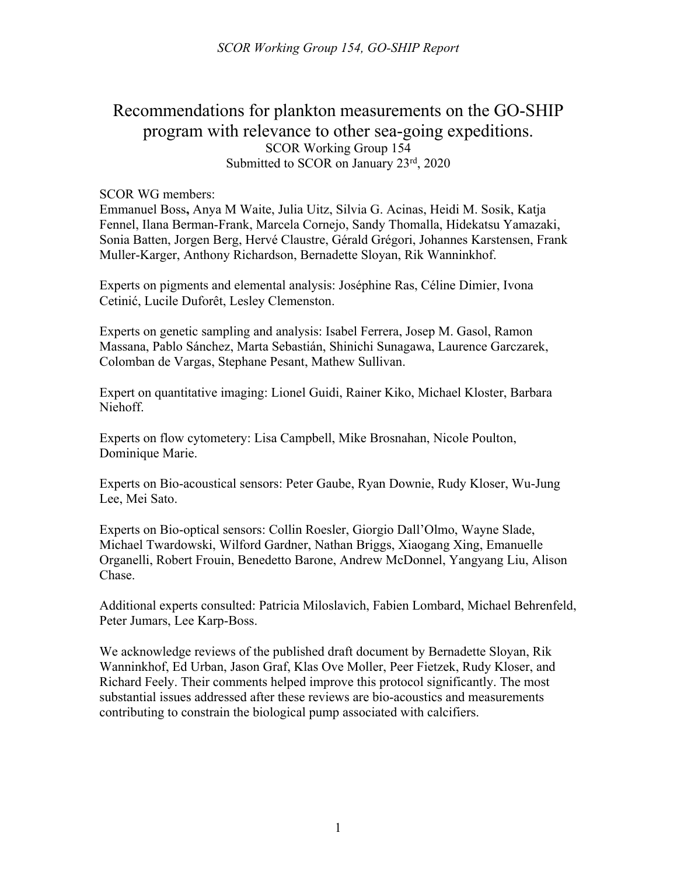# Recommendations for plankton measurements on the GO-SHIP program with relevance to other sea-going expeditions. SCOR Working Group 154 Submitted to SCOR on January 23<sup>rd</sup>, 2020

#### SCOR WG members:

Emmanuel Boss**,** Anya M Waite, Julia Uitz, Silvia G. Acinas, Heidi M. Sosik, Katja Fennel, Ilana Berman-Frank, Marcela Cornejo, Sandy Thomalla, Hidekatsu Yamazaki, Sonia Batten, Jorgen Berg, Hervé Claustre, Gérald Grégori, Johannes Karstensen, Frank Muller-Karger, Anthony Richardson, Bernadette Sloyan, Rik Wanninkhof.

Experts on pigments and elemental analysis: Joséphine Ras, Céline Dimier, Ivona Cetinić, Lucile Duforêt, Lesley Clemenston.

Experts on genetic sampling and analysis: Isabel Ferrera, Josep M. Gasol, Ramon Massana, Pablo Sánchez, Marta Sebastián, Shinichi Sunagawa, Laurence Garczarek, Colomban de Vargas, Stephane Pesant, Mathew Sullivan.

Expert on quantitative imaging: Lionel Guidi, Rainer Kiko, Michael Kloster, Barbara Niehoff.

Experts on flow cytometery: Lisa Campbell, Mike Brosnahan, Nicole Poulton, Dominique Marie.

Experts on Bio-acoustical sensors: Peter Gaube, Ryan Downie, Rudy Kloser, Wu-Jung Lee, Mei Sato.

Experts on Bio-optical sensors: Collin Roesler, Giorgio Dall'Olmo, Wayne Slade, Michael Twardowski, Wilford Gardner, Nathan Briggs, Xiaogang Xing, Emanuelle Organelli, Robert Frouin, Benedetto Barone, Andrew McDonnel, Yangyang Liu, Alison Chase.

Additional experts consulted: Patricia Miloslavich, Fabien Lombard, Michael Behrenfeld, Peter Jumars, Lee Karp-Boss.

We acknowledge reviews of the published draft document by Bernadette Sloyan, Rik Wanninkhof, Ed Urban, Jason Graf, Klas Ove Moller, Peer Fietzek, Rudy Kloser, and Richard Feely. Their comments helped improve this protocol significantly. The most substantial issues addressed after these reviews are bio-acoustics and measurements contributing to constrain the biological pump associated with calcifiers.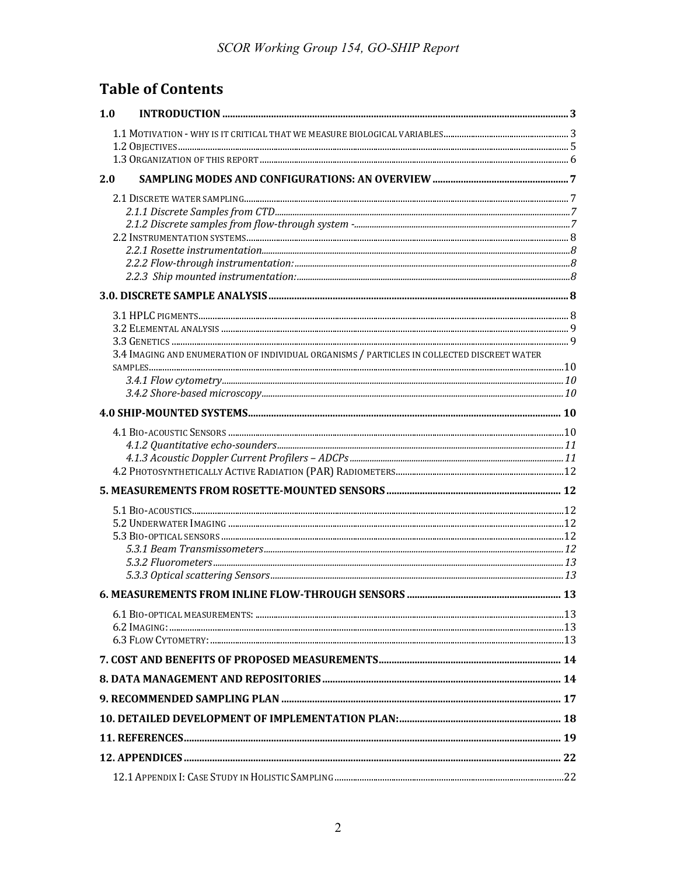# **Table of Contents**

| 1.0                                                                                         |  |  |
|---------------------------------------------------------------------------------------------|--|--|
|                                                                                             |  |  |
|                                                                                             |  |  |
|                                                                                             |  |  |
| 2.0                                                                                         |  |  |
|                                                                                             |  |  |
|                                                                                             |  |  |
|                                                                                             |  |  |
|                                                                                             |  |  |
|                                                                                             |  |  |
|                                                                                             |  |  |
|                                                                                             |  |  |
|                                                                                             |  |  |
|                                                                                             |  |  |
| 3.4 IMAGING AND ENUMERATION OF INDIVIDUAL ORGANISMS / PARTICLES IN COLLECTED DISCREET WATER |  |  |
|                                                                                             |  |  |
|                                                                                             |  |  |
|                                                                                             |  |  |
|                                                                                             |  |  |
|                                                                                             |  |  |
|                                                                                             |  |  |
|                                                                                             |  |  |
|                                                                                             |  |  |
|                                                                                             |  |  |
|                                                                                             |  |  |
|                                                                                             |  |  |
|                                                                                             |  |  |
|                                                                                             |  |  |
|                                                                                             |  |  |
|                                                                                             |  |  |
|                                                                                             |  |  |
|                                                                                             |  |  |
|                                                                                             |  |  |
|                                                                                             |  |  |
|                                                                                             |  |  |
|                                                                                             |  |  |
|                                                                                             |  |  |
|                                                                                             |  |  |
|                                                                                             |  |  |
|                                                                                             |  |  |
|                                                                                             |  |  |
|                                                                                             |  |  |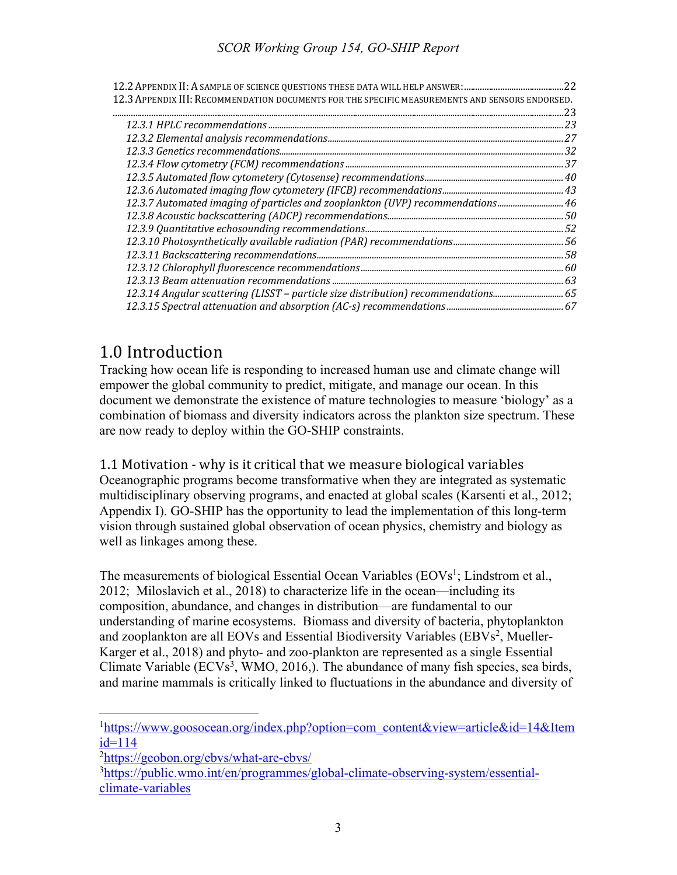| 12.3 APPENDIX III: RECOMMENDATION DOCUMENTS FOR THE SPECIFIC MEASUREMENTS AND SENSORS ENDORSED. |  |
|-------------------------------------------------------------------------------------------------|--|
|                                                                                                 |  |
|                                                                                                 |  |
|                                                                                                 |  |
|                                                                                                 |  |
|                                                                                                 |  |
|                                                                                                 |  |
|                                                                                                 |  |
| 12.3.7 Automated imaging of particles and zooplankton (UVP) recommendations46                   |  |
|                                                                                                 |  |
|                                                                                                 |  |
|                                                                                                 |  |
|                                                                                                 |  |
|                                                                                                 |  |
|                                                                                                 |  |
| 12.3.14 Angular scattering (LISST - particle size distribution) recommendations65               |  |
|                                                                                                 |  |

# 1.0 Introduction

Tracking how ocean life is responding to increased human use and climate change will empower the global community to predict, mitigate, and manage our ocean. In this document we demonstrate the existence of mature technologies to measure 'biology' as a combination of biomass and diversity indicators across the plankton size spectrum. These are now ready to deploy within the GO-SHIP constraints.

1.1 Motivation - why is it critical that we measure biological variables Oceanographic programs become transformative when they are integrated as systematic multidisciplinary observing programs, and enacted at global scales (Karsenti et al., 2012; Appendix I). GO-SHIP has the opportunity to lead the implementation of this long-term vision through sustained global observation of ocean physics, chemistry and biology as well as linkages among these.

The measurements of biological Essential Ocean Variables ( $EOVs<sup>1</sup>$ ; Lindstrom et al., 2012; Miloslavich et al., 2018) to characterize life in the ocean—including its composition, abundance, and changes in distribution—are fundamental to our understanding of marine ecosystems. Biomass and diversity of bacteria, phytoplankton and zooplankton are all EOVs and Essential Biodiversity Variables (EBVs<sup>2</sup>, Mueller-Karger et al., 2018) and phyto- and zoo-plankton are represented as a single Essential Climate Variable  $(ECVs<sup>3</sup>, WMO, 2016)$ . The abundance of many fish species, sea birds, and marine mammals is critically linked to fluctuations in the abundance and diversity of

<sup>&</sup>lt;sup>1</sup>https://www.goosocean.org/index.php?option=com\_content&view=article&id=14&Item id=114

<sup>&</sup>lt;sup>2</sup>https://geobon.org/ebvs/what-are-ebvs/

<sup>3</sup>https://public.wmo.int/en/programmes/global-climate-observing-system/essentialclimate-variables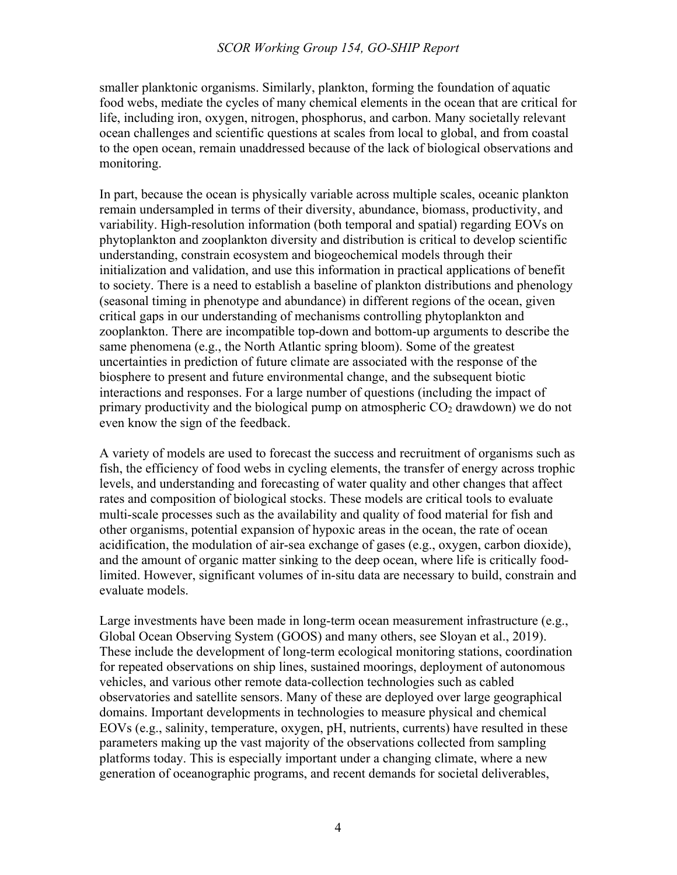smaller planktonic organisms. Similarly, plankton, forming the foundation of aquatic food webs, mediate the cycles of many chemical elements in the ocean that are critical for life, including iron, oxygen, nitrogen, phosphorus, and carbon. Many societally relevant ocean challenges and scientific questions at scales from local to global, and from coastal to the open ocean, remain unaddressed because of the lack of biological observations and monitoring.

In part, because the ocean is physically variable across multiple scales, oceanic plankton remain undersampled in terms of their diversity, abundance, biomass, productivity, and variability. High-resolution information (both temporal and spatial) regarding EOVs on phytoplankton and zooplankton diversity and distribution is critical to develop scientific understanding, constrain ecosystem and biogeochemical models through their initialization and validation, and use this information in practical applications of benefit to society. There is a need to establish a baseline of plankton distributions and phenology (seasonal timing in phenotype and abundance) in different regions of the ocean, given critical gaps in our understanding of mechanisms controlling phytoplankton and zooplankton. There are incompatible top-down and bottom-up arguments to describe the same phenomena (e.g., the North Atlantic spring bloom). Some of the greatest uncertainties in prediction of future climate are associated with the response of the biosphere to present and future environmental change, and the subsequent biotic interactions and responses. For a large number of questions (including the impact of primary productivity and the biological pump on atmospheric  $CO<sub>2</sub>$  drawdown) we do not even know the sign of the feedback.

A variety of models are used to forecast the success and recruitment of organisms such as fish, the efficiency of food webs in cycling elements, the transfer of energy across trophic levels, and understanding and forecasting of water quality and other changes that affect rates and composition of biological stocks. These models are critical tools to evaluate multi-scale processes such as the availability and quality of food material for fish and other organisms, potential expansion of hypoxic areas in the ocean, the rate of ocean acidification, the modulation of air-sea exchange of gases (e.g., oxygen, carbon dioxide), and the amount of organic matter sinking to the deep ocean, where life is critically foodlimited. However, significant volumes of in-situ data are necessary to build, constrain and evaluate models.

Large investments have been made in long-term ocean measurement infrastructure (e.g., Global Ocean Observing System (GOOS) and many others, see Sloyan et al., 2019). These include the development of long-term ecological monitoring stations, coordination for repeated observations on ship lines, sustained moorings, deployment of autonomous vehicles, and various other remote data-collection technologies such as cabled observatories and satellite sensors. Many of these are deployed over large geographical domains. Important developments in technologies to measure physical and chemical EOVs (e.g., salinity, temperature, oxygen, pH, nutrients, currents) have resulted in these parameters making up the vast majority of the observations collected from sampling platforms today. This is especially important under a changing climate, where a new generation of oceanographic programs, and recent demands for societal deliverables,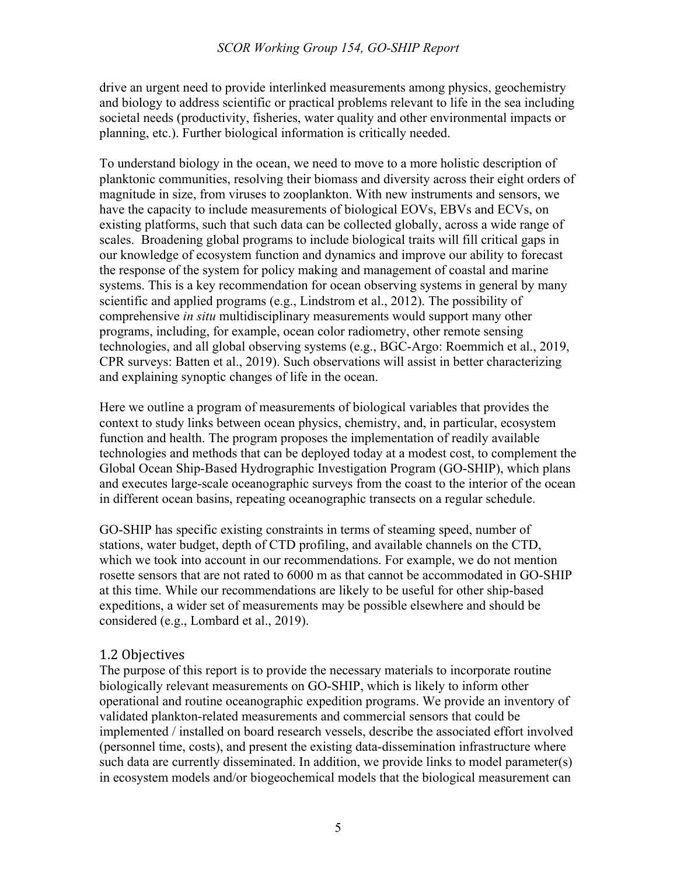drive an urgent need to provide interlinked measurements among physics, geochemistry and biology to address scientific or practical problems relevant to life in the sea including societal needs (productivity, fisheries, water quality and other environmental impacts or planning, etc.). Further biological information is critically needed.

To understand biology in the ocean, we need to move to a more holistic description of planktonic communities, resolving their biomass and diversity across their eight orders of magnitude in size, from viruses to zooplankton. With new instruments and sensors, we have the capacity to include measurements of biological EOVs, EBVs and ECVs, on existing platforms, such that such data can be collected globally, across a wide range of scales. Broadening global programs to include biological traits will fill critical gaps in our knowledge of ecosystem function and dynamics and improve our ability to forecast the response of the system for policy making and management of coastal and marine systems. This is a key recommendation for ocean observing systems in general by many scientific and applied programs (e.g., Lindstrom et al., 2012). The possibility of comprehensive *in situ* multidisciplinary measurements would support many other programs, including, for example, ocean color radiometry, other remote sensing technologies, and all global observing systems (e.g., BGC-Argo: Roemmich et al., 2019, CPR surveys: Batten et al., 2019). Such observations will assist in better characterizing and explaining synoptic changes of life in the ocean.

Here we outline a program of measurements of biological variables that provides the context to study links between ocean physics, chemistry, and, in particular, ecosystem function and health. The program proposes the implementation of readily available technologies and methods that can be deployed today at a modest cost, to complement the Global Ocean Ship-Based Hydrographic Investigation Program (GO-SHIP), which plans and executes large-scale oceanographic surveys from the coast to the interior of the ocean in different ocean basins, repeating oceanographic transects on a regular schedule.

GO-SHIP has specific existing constraints in terms of steaming speed, number of stations, water budget, depth of CTD profiling, and available channels on the CTD, which we took into account in our recommendations. For example, we do not mention rosette sensors that are not rated to 6000 m as that cannot be accommodated in GO-SHIP at this time. While our recommendations are likely to be useful for other ship-based expeditions, a wider set of measurements may be possible elsewhere and should be considered (e.g., Lombard et al., 2019).

#### 1.2 Objectives

The purpose of this report is to provide the necessary materials to incorporate routine biologically relevant measurements on GO-SHIP, which is likely to inform other operational and routine oceanographic expedition programs. We provide an inventory of validated plankton-related measurements and commercial sensors that could be implemented / installed on board research vessels, describe the associated effort involved (personnel time, costs), and present the existing data-dissemination infrastructure where such data are currently disseminated. In addition, we provide links to model parameter(s) in ecosystem models and/or biogeochemical models that the biological measurement can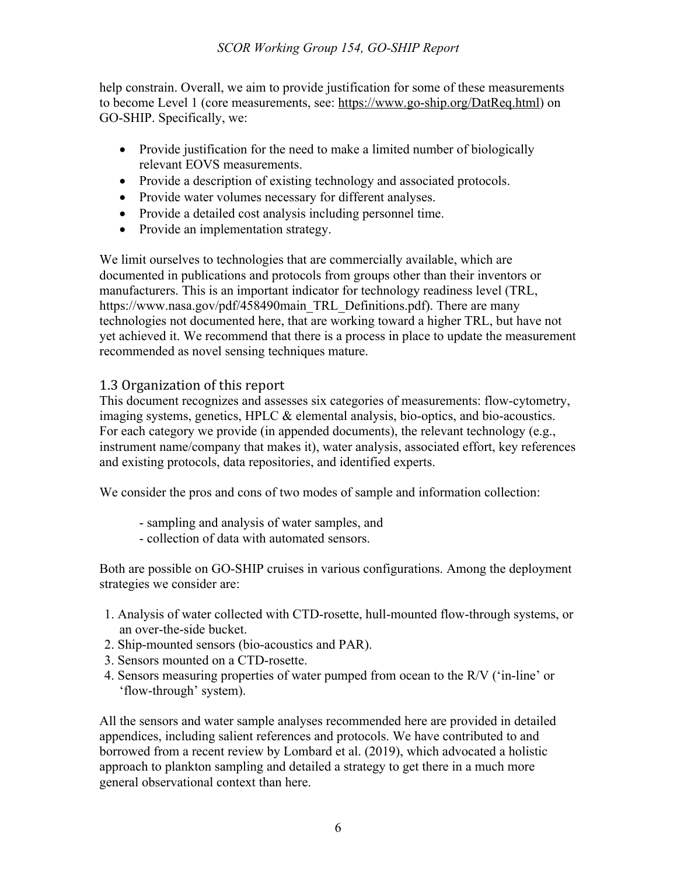help constrain. Overall, we aim to provide justification for some of these measurements to become Level 1 (core measurements, see: https://www.go-ship.org/DatReq.html) on GO-SHIP. Specifically, we:

- Provide justification for the need to make a limited number of biologically relevant EOVS measurements.
- Provide a description of existing technology and associated protocols.
- Provide water volumes necessary for different analyses.
- Provide a detailed cost analysis including personnel time.
- Provide an implementation strategy.

We limit ourselves to technologies that are commercially available, which are documented in publications and protocols from groups other than their inventors or manufacturers. This is an important indicator for technology readiness level (TRL, https://www.nasa.gov/pdf/458490main\_TRL\_Definitions.pdf). There are many technologies not documented here, that are working toward a higher TRL, but have not yet achieved it. We recommend that there is a process in place to update the measurement recommended as novel sensing techniques mature.

# 1.3 Organization of this report

This document recognizes and assesses six categories of measurements: flow-cytometry, imaging systems, genetics, HPLC & elemental analysis, bio-optics, and bio-acoustics. For each category we provide (in appended documents), the relevant technology (e.g., instrument name/company that makes it), water analysis, associated effort, key references and existing protocols, data repositories, and identified experts.

We consider the pros and cons of two modes of sample and information collection:

- sampling and analysis of water samples, and
- collection of data with automated sensors.

Both are possible on GO-SHIP cruises in various configurations. Among the deployment strategies we consider are:

- 1. Analysis of water collected with CTD-rosette, hull-mounted flow-through systems, or an over-the-side bucket.
- 2. Ship-mounted sensors (bio-acoustics and PAR).
- 3. Sensors mounted on a CTD-rosette.
- 4. Sensors measuring properties of water pumped from ocean to the R/V ('in-line' or 'flow-through' system).

All the sensors and water sample analyses recommended here are provided in detailed appendices, including salient references and protocols. We have contributed to and borrowed from a recent review by Lombard et al. (2019), which advocated a holistic approach to plankton sampling and detailed a strategy to get there in a much more general observational context than here.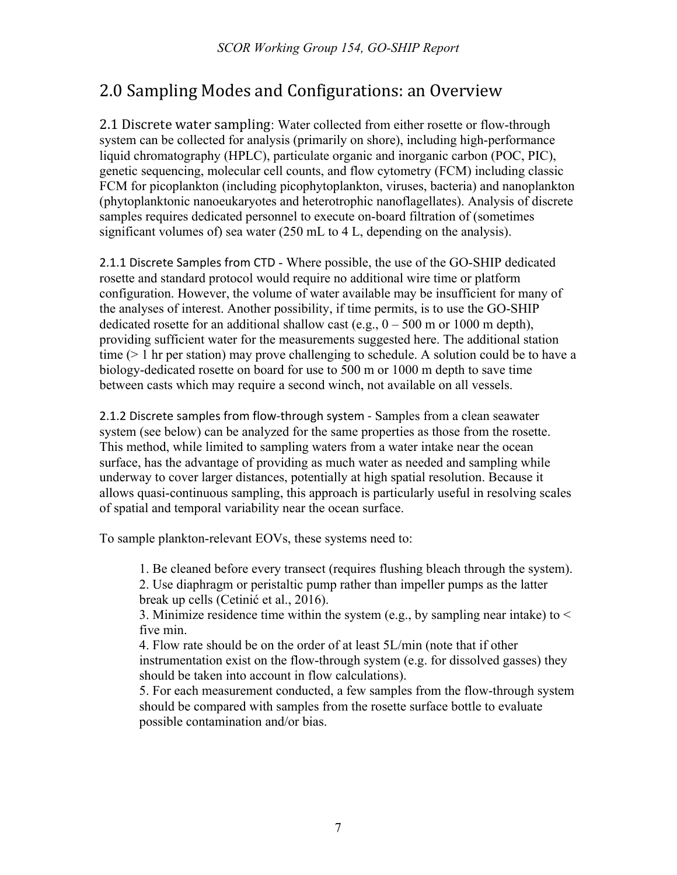# 2.0 Sampling Modes and Configurations: an Overview

2.1 Discrete water sampling: Water collected from either rosette or flow-through system can be collected for analysis (primarily on shore), including high-performance liquid chromatography (HPLC), particulate organic and inorganic carbon (POC, PIC), genetic sequencing, molecular cell counts, and flow cytometry (FCM) including classic FCM for picoplankton (including picophytoplankton, viruses, bacteria) and nanoplankton (phytoplanktonic nanoeukaryotes and heterotrophic nanoflagellates). Analysis of discrete samples requires dedicated personnel to execute on-board filtration of (sometimes significant volumes of) sea water (250 mL to 4 L, depending on the analysis).

2.1.1 Discrete Samples from CTD - Where possible, the use of the GO-SHIP dedicated rosette and standard protocol would require no additional wire time or platform configuration. However, the volume of water available may be insufficient for many of the analyses of interest. Another possibility, if time permits, is to use the GO-SHIP dedicated rosette for an additional shallow cast (e.g.,  $0 - 500$  m or 1000 m depth), providing sufficient water for the measurements suggested here. The additional station time  $(> 1 \text{ hr per station})$  may prove challenging to schedule. A solution could be to have a biology-dedicated rosette on board for use to 500 m or 1000 m depth to save time between casts which may require a second winch, not available on all vessels.

2.1.2 Discrete samples from flow-through system - Samples from a clean seawater system (see below) can be analyzed for the same properties as those from the rosette. This method, while limited to sampling waters from a water intake near the ocean surface, has the advantage of providing as much water as needed and sampling while underway to cover larger distances, potentially at high spatial resolution. Because it allows quasi-continuous sampling, this approach is particularly useful in resolving scales of spatial and temporal variability near the ocean surface.

To sample plankton-relevant EOVs, these systems need to:

1. Be cleaned before every transect (requires flushing bleach through the system). 2. Use diaphragm or peristaltic pump rather than impeller pumps as the latter break up cells (Cetinić et al., 2016).

3. Minimize residence time within the system (e.g., by sampling near intake) to  $\leq$ five min.

4. Flow rate should be on the order of at least 5L/min (note that if other instrumentation exist on the flow-through system (e.g. for dissolved gasses) they should be taken into account in flow calculations).

5. For each measurement conducted, a few samples from the flow-through system should be compared with samples from the rosette surface bottle to evaluate possible contamination and/or bias.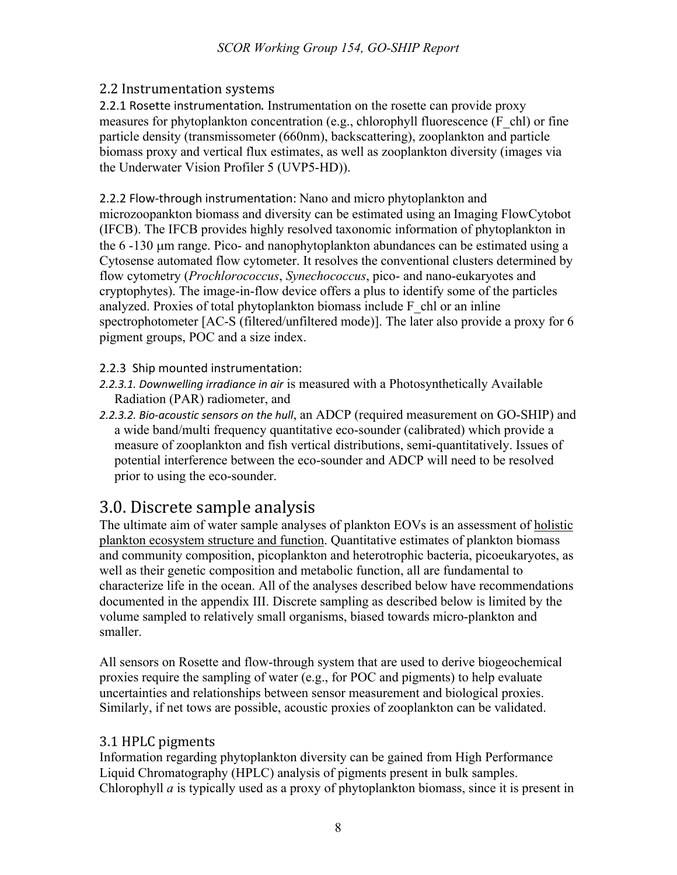# 2.2 Instrumentation systems

2.2.1 Rosette instrumentation. Instrumentation on the rosette can provide proxy measures for phytoplankton concentration (e.g., chlorophyll fluorescence (F\_chl) or fine particle density (transmissometer (660nm), backscattering), zooplankton and particle biomass proxy and vertical flux estimates, as well as zooplankton diversity (images via the Underwater Vision Profiler 5 (UVP5-HD)).

2.2.2 Flow-through instrumentation: Nano and micro phytoplankton and microzoopankton biomass and diversity can be estimated using an Imaging FlowCytobot (IFCB). The IFCB provides highly resolved taxonomic information of phytoplankton in the 6 -130 µm range. Pico- and nanophytoplankton abundances can be estimated using a Cytosense automated flow cytometer. It resolves the conventional clusters determined by flow cytometry (*Prochlorococcus*, *Synechococcus*, pico- and nano-eukaryotes and cryptophytes). The image-in-flow device offers a plus to identify some of the particles analyzed. Proxies of total phytoplankton biomass include  $F$  chl or an inline spectrophotometer [AC-S (filtered/unfiltered mode)]. The later also provide a proxy for 6 pigment groups, POC and a size index.

2.2.3 Ship mounted instrumentation:

- *2.2.3.1. Downwelling irradiance in air* is measured with a Photosynthetically Available Radiation (PAR) radiometer, and
- *2.2.3.2. Bio-acoustic sensors on the hull*, an ADCP (required measurement on GO-SHIP) and a wide band/multi frequency quantitative eco-sounder (calibrated) which provide a measure of zooplankton and fish vertical distributions, semi-quantitatively. Issues of potential interference between the eco-sounder and ADCP will need to be resolved prior to using the eco-sounder.

# 3.0. Discrete sample analysis

The ultimate aim of water sample analyses of plankton EOVs is an assessment of holistic plankton ecosystem structure and function. Quantitative estimates of plankton biomass and community composition, picoplankton and heterotrophic bacteria, picoeukaryotes, as well as their genetic composition and metabolic function, all are fundamental to characterize life in the ocean. All of the analyses described below have recommendations documented in the appendix III. Discrete sampling as described below is limited by the volume sampled to relatively small organisms, biased towards micro-plankton and smaller.

All sensors on Rosette and flow-through system that are used to derive biogeochemical proxies require the sampling of water (e.g., for POC and pigments) to help evaluate uncertainties and relationships between sensor measurement and biological proxies. Similarly, if net tows are possible, acoustic proxies of zooplankton can be validated.

# 3.1 HPLC pigments

Information regarding phytoplankton diversity can be gained from High Performance Liquid Chromatography (HPLC) analysis of pigments present in bulk samples. Chlorophyll *a* is typically used as a proxy of phytoplankton biomass, since it is present in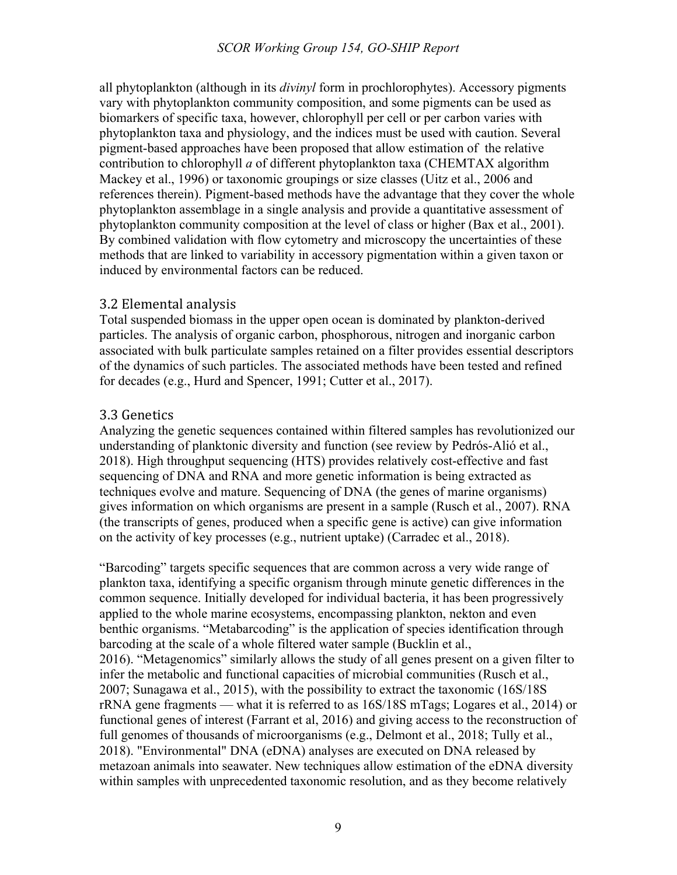all phytoplankton (although in its *divinyl* form in prochlorophytes). Accessory pigments vary with phytoplankton community composition, and some pigments can be used as biomarkers of specific taxa, however, chlorophyll per cell or per carbon varies with phytoplankton taxa and physiology, and the indices must be used with caution. Several pigment-based approaches have been proposed that allow estimation of the relative contribution to chlorophyll *a* of different phytoplankton taxa (CHEMTAX algorithm Mackey et al., 1996) or taxonomic groupings or size classes (Uitz et al., 2006 and references therein). Pigment-based methods have the advantage that they cover the whole phytoplankton assemblage in a single analysis and provide a quantitative assessment of phytoplankton community composition at the level of class or higher (Bax et al., 2001). By combined validation with flow cytometry and microscopy the uncertainties of these methods that are linked to variability in accessory pigmentation within a given taxon or induced by environmental factors can be reduced.

#### 3.2 Elemental analysis

Total suspended biomass in the upper open ocean is dominated by plankton-derived particles. The analysis of organic carbon, phosphorous, nitrogen and inorganic carbon associated with bulk particulate samples retained on a filter provides essential descriptors of the dynamics of such particles. The associated methods have been tested and refined for decades (e.g., Hurd and Spencer, 1991; Cutter et al., 2017).

## 3.3 Genetics

Analyzing the genetic sequences contained within filtered samples has revolutionized our understanding of planktonic diversity and function (see review by Pedrós-Alió et al., 2018). High throughput sequencing (HTS) provides relatively cost-effective and fast sequencing of DNA and RNA and more genetic information is being extracted as techniques evolve and mature. Sequencing of DNA (the genes of marine organisms) gives information on which organisms are present in a sample (Rusch et al., 2007). RNA (the transcripts of genes, produced when a specific gene is active) can give information on the activity of key processes (e.g., nutrient uptake) (Carradec et al., 2018).

"Barcoding" targets specific sequences that are common across a very wide range of plankton taxa, identifying a specific organism through minute genetic differences in the common sequence. Initially developed for individual bacteria, it has been progressively applied to the whole marine ecosystems, encompassing plankton, nekton and even benthic organisms. "Metabarcoding" is the application of species identification through barcoding at the scale of a whole filtered water sample (Bucklin et al., 2016). "Metagenomics" similarly allows the study of all genes present on a given filter to infer the metabolic and functional capacities of microbial communities (Rusch et al., 2007; Sunagawa et al., 2015), with the possibility to extract the taxonomic (16S/18S rRNA gene fragments — what it is referred to as 16S/18S mTags; Logares et al., 2014) or functional genes of interest (Farrant et al, 2016) and giving access to the reconstruction of full genomes of thousands of microorganisms (e.g., Delmont et al., 2018; Tully et al., 2018). "Environmental" DNA (eDNA) analyses are executed on DNA released by metazoan animals into seawater. New techniques allow estimation of the eDNA diversity within samples with unprecedented taxonomic resolution, and as they become relatively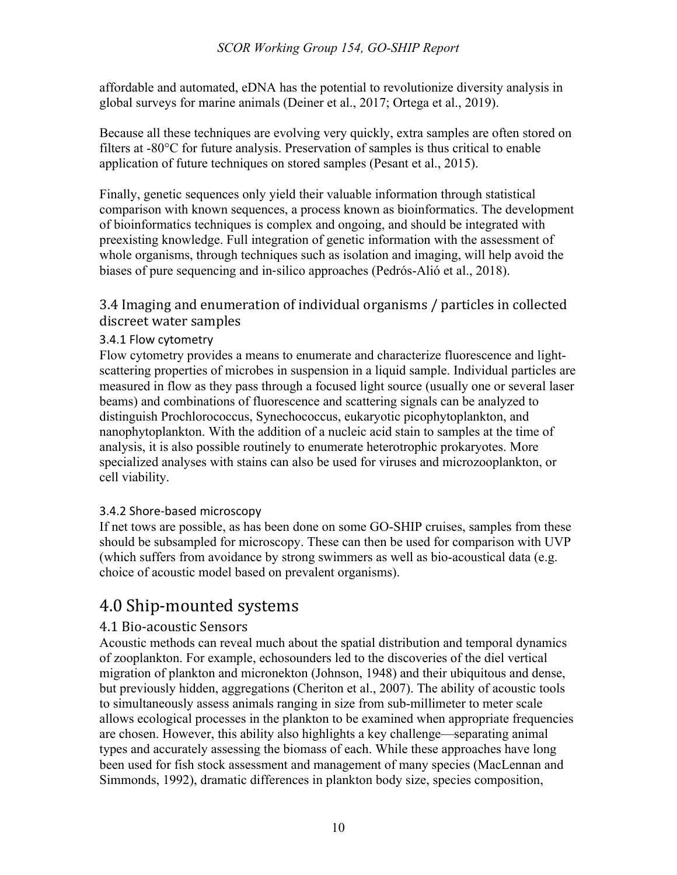affordable and automated, eDNA has the potential to revolutionize diversity analysis in global surveys for marine animals (Deiner et al., 2017; Ortega et al., 2019).

Because all these techniques are evolving very quickly, extra samples are often stored on filters at -80°C for future analysis. Preservation of samples is thus critical to enable application of future techniques on stored samples (Pesant et al., 2015).

Finally, genetic sequences only yield their valuable information through statistical comparison with known sequences, a process known as bioinformatics. The development of bioinformatics techniques is complex and ongoing, and should be integrated with preexisting knowledge. Full integration of genetic information with the assessment of whole organisms, through techniques such as isolation and imaging, will help avoid the biases of pure sequencing and in-silico approaches (Pedrós-Alió et al., 2018).

# 3.4 Imaging and enumeration of individual organisms / particles in collected discreet water samples

## 3.4.1 Flow cytometry

Flow cytometry provides a means to enumerate and characterize fluorescence and lightscattering properties of microbes in suspension in a liquid sample. Individual particles are measured in flow as they pass through a focused light source (usually one or several laser beams) and combinations of fluorescence and scattering signals can be analyzed to distinguish Prochlorococcus, Synechococcus, eukaryotic picophytoplankton, and nanophytoplankton. With the addition of a nucleic acid stain to samples at the time of analysis, it is also possible routinely to enumerate heterotrophic prokaryotes. More specialized analyses with stains can also be used for viruses and microzooplankton, or cell viability.

## 3.4.2 Shore-based microscopy

If net tows are possible, as has been done on some GO-SHIP cruises, samples from these should be subsampled for microscopy. These can then be used for comparison with UVP (which suffers from avoidance by strong swimmers as well as bio-acoustical data (e.g. choice of acoustic model based on prevalent organisms).

# 4.0 Ship-mounted systems

## 4.1 Bio-acoustic Sensors

Acoustic methods can reveal much about the spatial distribution and temporal dynamics of zooplankton. For example, echosounders led to the discoveries of the diel vertical migration of plankton and micronekton (Johnson, 1948) and their ubiquitous and dense, but previously hidden, aggregations (Cheriton et al., 2007). The ability of acoustic tools to simultaneously assess animals ranging in size from sub-millimeter to meter scale allows ecological processes in the plankton to be examined when appropriate frequencies are chosen. However, this ability also highlights a key challenge—separating animal types and accurately assessing the biomass of each. While these approaches have long been used for fish stock assessment and management of many species (MacLennan and Simmonds, 1992), dramatic differences in plankton body size, species composition,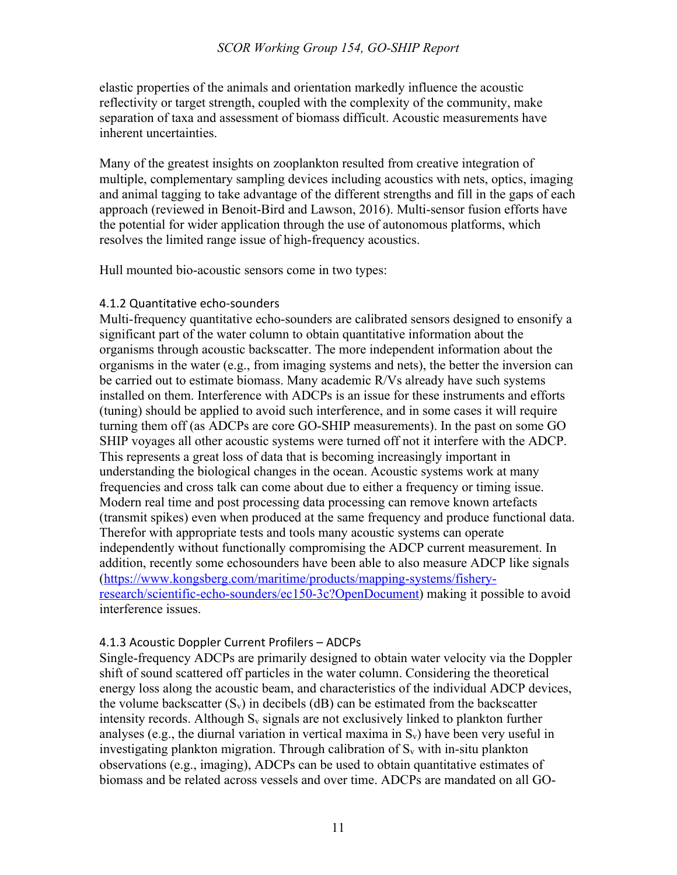elastic properties of the animals and orientation markedly influence the acoustic reflectivity or target strength, coupled with the complexity of the community, make separation of taxa and assessment of biomass difficult. Acoustic measurements have inherent uncertainties.

Many of the greatest insights on zooplankton resulted from creative integration of multiple, complementary sampling devices including acoustics with nets, optics, imaging and animal tagging to take advantage of the different strengths and fill in the gaps of each approach (reviewed in Benoit-Bird and Lawson, 2016). Multi-sensor fusion efforts have the potential for wider application through the use of autonomous platforms, which resolves the limited range issue of high-frequency acoustics.

Hull mounted bio-acoustic sensors come in two types:

#### 4.1.2 Quantitative echo-sounders

Multi-frequency quantitative echo-sounders are calibrated sensors designed to ensonify a significant part of the water column to obtain quantitative information about the organisms through acoustic backscatter. The more independent information about the organisms in the water (e.g., from imaging systems and nets), the better the inversion can be carried out to estimate biomass. Many academic R/Vs already have such systems installed on them. Interference with ADCPs is an issue for these instruments and efforts (tuning) should be applied to avoid such interference, and in some cases it will require turning them off (as ADCPs are core GO-SHIP measurements). In the past on some GO SHIP voyages all other acoustic systems were turned off not it interfere with the ADCP. This represents a great loss of data that is becoming increasingly important in understanding the biological changes in the ocean. Acoustic systems work at many frequencies and cross talk can come about due to either a frequency or timing issue. Modern real time and post processing data processing can remove known artefacts (transmit spikes) even when produced at the same frequency and produce functional data. Therefor with appropriate tests and tools many acoustic systems can operate independently without functionally compromising the ADCP current measurement. In addition, recently some echosounders have been able to also measure ADCP like signals (https://www.kongsberg.com/maritime/products/mapping-systems/fisheryresearch/scientific-echo-sounders/ec150-3c?OpenDocument) making it possible to avoid interference issues.

#### 4.1.3 Acoustic Doppler Current Profilers – ADCPs

Single-frequency ADCPs are primarily designed to obtain water velocity via the Doppler shift of sound scattered off particles in the water column. Considering the theoretical energy loss along the acoustic beam, and characteristics of the individual ADCP devices, the volume backscatter  $(S_v)$  in decibels (dB) can be estimated from the backscatter intensity records. Although  $S_v$  signals are not exclusively linked to plankton further analyses (e.g., the diurnal variation in vertical maxima in  $S_v$ ) have been very useful in investigating plankton migration. Through calibration of  $S_v$  with in-situ plankton observations (e.g., imaging), ADCPs can be used to obtain quantitative estimates of biomass and be related across vessels and over time. ADCPs are mandated on all GO-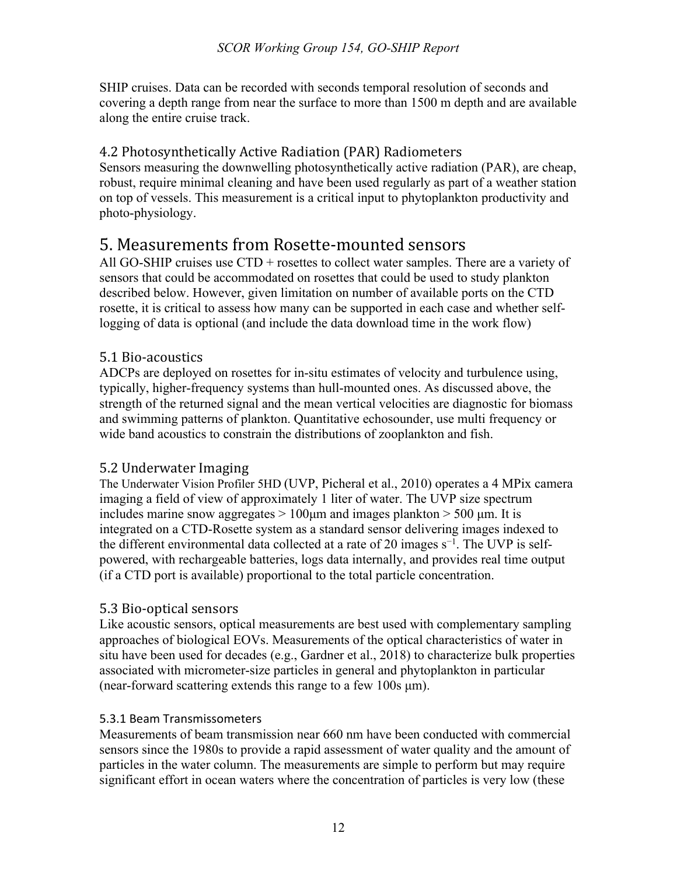SHIP cruises. Data can be recorded with seconds temporal resolution of seconds and covering a depth range from near the surface to more than 1500 m depth and are available along the entire cruise track.

# 4.2 Photosynthetically Active Radiation (PAR) Radiometers

Sensors measuring the downwelling photosynthetically active radiation (PAR), are cheap, robust, require minimal cleaning and have been used regularly as part of a weather station on top of vessels. This measurement is a critical input to phytoplankton productivity and photo-physiology.

# 5. Measurements from Rosette-mounted sensors

All GO-SHIP cruises use  $CTD$  + rosettes to collect water samples. There are a variety of sensors that could be accommodated on rosettes that could be used to study plankton described below. However, given limitation on number of available ports on the CTD rosette, it is critical to assess how many can be supported in each case and whether selflogging of data is optional (and include the data download time in the work flow)

# 5.1 Bio-acoustics

ADCPs are deployed on rosettes for in-situ estimates of velocity and turbulence using, typically, higher-frequency systems than hull-mounted ones. As discussed above, the strength of the returned signal and the mean vertical velocities are diagnostic for biomass and swimming patterns of plankton. Quantitative echosounder, use multi frequency or wide band acoustics to constrain the distributions of zooplankton and fish.

# 5.2 Underwater Imaging

The Underwater Vision Profiler 5HD (UVP, Picheral et al., 2010) operates a 4 MPix camera imaging a field of view of approximately 1 liter of water. The UVP size spectrum includes marine snow aggregates  $> 100 \mu m$  and images plankton  $> 500 \mu m$ . It is integrated on a CTD-Rosette system as a standard sensor delivering images indexed to the different environmental data collected at a rate of 20 images  $s^{-1}$ . The UVP is selfpowered, with rechargeable batteries, logs data internally, and provides real time output (if a CTD port is available) proportional to the total particle concentration.

# 5.3 Bio-optical sensors

Like acoustic sensors, optical measurements are best used with complementary sampling approaches of biological EOVs. Measurements of the optical characteristics of water in situ have been used for decades (e.g., Gardner et al., 2018) to characterize bulk properties associated with micrometer-size particles in general and phytoplankton in particular (near-forward scattering extends this range to a few 100s μm).

## 5.3.1 Beam Transmissometers

Measurements of beam transmission near 660 nm have been conducted with commercial sensors since the 1980s to provide a rapid assessment of water quality and the amount of particles in the water column. The measurements are simple to perform but may require significant effort in ocean waters where the concentration of particles is very low (these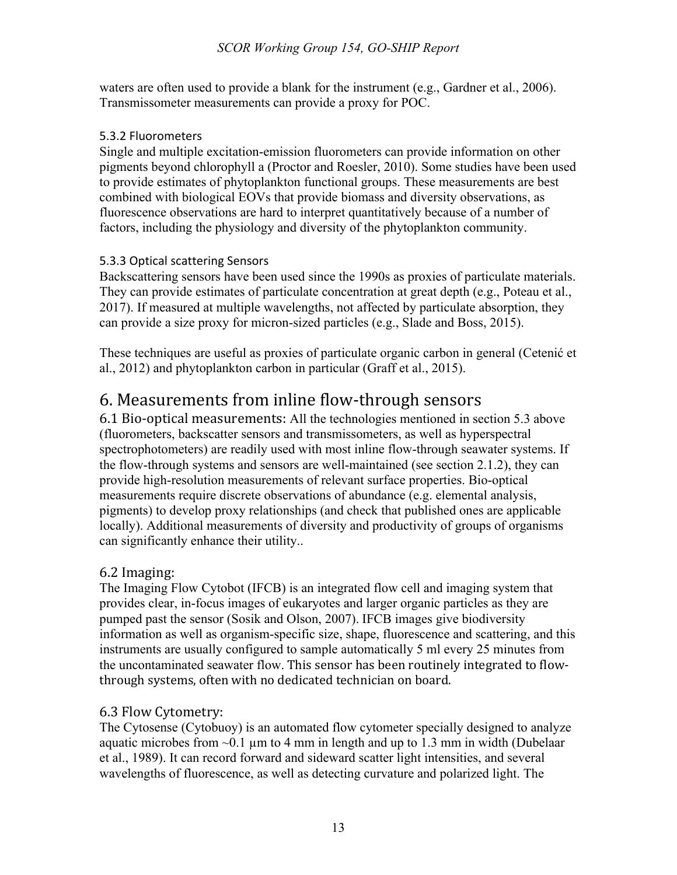waters are often used to provide a blank for the instrument (e.g., Gardner et al., 2006). Transmissometer measurements can provide a proxy for POC.

#### 5.3.2 Fluorometers

Single and multiple excitation-emission fluorometers can provide information on other pigments beyond chlorophyll a (Proctor and Roesler, 2010). Some studies have been used to provide estimates of phytoplankton functional groups. These measurements are best combined with biological EOVs that provide biomass and diversity observations, as fluorescence observations are hard to interpret quantitatively because of a number of factors, including the physiology and diversity of the phytoplankton community.

## 5.3.3 Optical scattering Sensors

Backscattering sensors have been used since the 1990s as proxies of particulate materials. They can provide estimates of particulate concentration at great depth (e.g., Poteau et al., 2017). If measured at multiple wavelengths, not affected by particulate absorption, they can provide a size proxy for micron-sized particles (e.g., Slade and Boss, 2015).

These techniques are useful as proxies of particulate organic carbon in general (Cetenić et al., 2012) and phytoplankton carbon in particular (Graff et al., 2015).

# 6. Measurements from inline flow-through sensors

6.1 Bio-optical measurements: All the technologies mentioned in section 5.3 above (fluorometers, backscatter sensors and transmissometers, as well as hyperspectral spectrophotometers) are readily used with most inline flow-through seawater systems. If the flow-through systems and sensors are well-maintained (see section 2.1.2), they can provide high-resolution measurements of relevant surface properties. Bio-optical measurements require discrete observations of abundance (e.g. elemental analysis, pigments) to develop proxy relationships (and check that published ones are applicable locally). Additional measurements of diversity and productivity of groups of organisms can significantly enhance their utility..

## 6.2 Imaging:

The Imaging Flow Cytobot (IFCB) is an integrated flow cell and imaging system that provides clear, in-focus images of eukaryotes and larger organic particles as they are pumped past the sensor (Sosik and Olson, 2007). IFCB images give biodiversity information as well as organism-specific size, shape, fluorescence and scattering, and this instruments are usually configured to sample automatically 5 ml every 25 minutes from the uncontaminated seawater flow. This sensor has been routinely integrated to flowthrough systems, often with no dedicated technician on board.

## 6.3 Flow Cytometry:

The Cytosense (Cytobuoy) is an automated flow cytometer specially designed to analyze aquatic microbes from  $\sim 0.1$  um to 4 mm in length and up to 1.3 mm in width (Dubelaar et al., 1989). It can record forward and sideward scatter light intensities, and several wavelengths of fluorescence, as well as detecting curvature and polarized light. The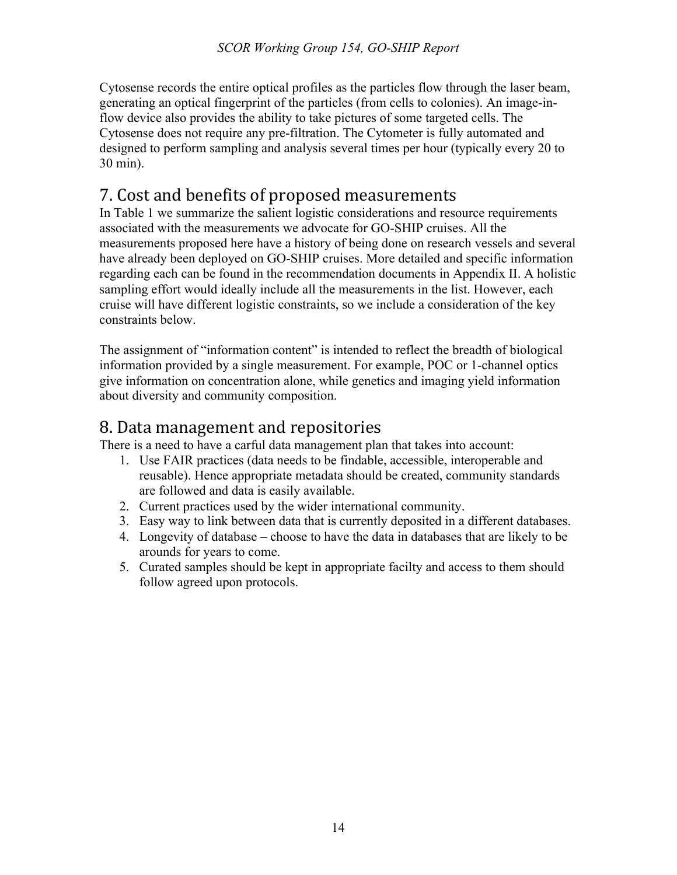Cytosense records the entire optical profiles as the particles flow through the laser beam, generating an optical fingerprint of the particles (from cells to colonies). An image-inflow device also provides the ability to take pictures of some targeted cells. The Cytosense does not require any pre-filtration. The Cytometer is fully automated and designed to perform sampling and analysis several times per hour (typically every 20 to 30 min).

# 7. Cost and benefits of proposed measurements

In Table 1 we summarize the salient logistic considerations and resource requirements associated with the measurements we advocate for GO-SHIP cruises. All the measurements proposed here have a history of being done on research vessels and several have already been deployed on GO-SHIP cruises. More detailed and specific information regarding each can be found in the recommendation documents in Appendix II. A holistic sampling effort would ideally include all the measurements in the list. However, each cruise will have different logistic constraints, so we include a consideration of the key constraints below.

The assignment of "information content" is intended to reflect the breadth of biological information provided by a single measurement. For example, POC or 1-channel optics give information on concentration alone, while genetics and imaging yield information about diversity and community composition.

# 8. Data management and repositories

There is a need to have a carful data management plan that takes into account:

- 1. Use FAIR practices (data needs to be findable, accessible, interoperable and reusable). Hence appropriate metadata should be created, community standards are followed and data is easily available.
- 2. Current practices used by the wider international community.
- 3. Easy way to link between data that is currently deposited in a different databases.
- 4. Longevity of database choose to have the data in databases that are likely to be arounds for years to come.
- 5. Curated samples should be kept in appropriate facilty and access to them should follow agreed upon protocols.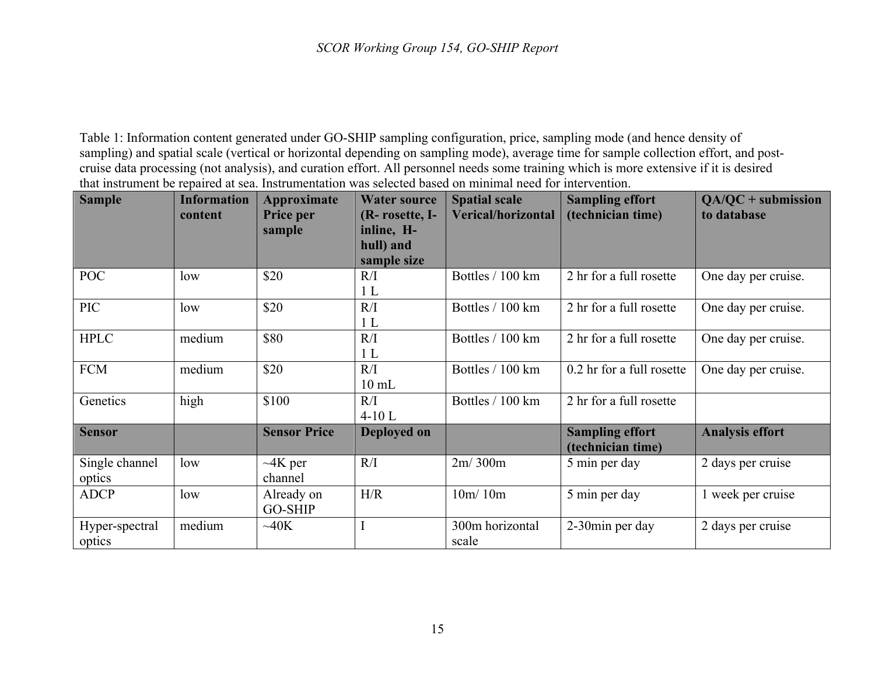Table 1: Information content generated under GO-SHIP sampling configuration, price, sampling mode (and hence density of sampling) and spatial scale (vertical or horizontal depending on sampling mode), average time for sample collection effort, and postcruise data processing (not analysis), and curation effort. All personnel needs some training which is more extensive if it is desired that instrument be repaired at sea. Instrumentation was selected based on minimal need for intervention.

| <b>Sample</b>            | <b>Information</b><br>content | <b>Approximate</b><br>Price per | <b>Water source</b><br>(R-rosette, I-  | <b>Spatial scale</b><br><b>Verical/horizontal</b> | <b>Sampling effort</b><br>(technician time) | $QA/QC + submission$<br>to database |
|--------------------------|-------------------------------|---------------------------------|----------------------------------------|---------------------------------------------------|---------------------------------------------|-------------------------------------|
|                          |                               | sample                          | inline, H-<br>hull) and<br>sample size |                                                   |                                             |                                     |
| <b>POC</b>               | low                           | \$20                            | R/I<br>1 <sub>L</sub>                  | Bottles / 100 km                                  | 2 hr for a full rosette                     | One day per cruise.                 |
| PIC                      | low                           | \$20                            | R/I<br>1 <sub>L</sub>                  | Bottles / 100 km                                  | 2 hr for a full rosette                     | One day per cruise.                 |
| <b>HPLC</b>              | medium                        | \$80                            | R/I<br>1 <sub>L</sub>                  | Bottles / 100 km                                  | 2 hr for a full rosette                     | One day per cruise.                 |
| <b>FCM</b>               | medium                        | \$20                            | R/I<br>$10$ mL                         | Bottles / 100 km                                  | 0.2 hr for a full rosette                   | One day per cruise.                 |
| Genetics                 | high                          | \$100                           | R/I<br>$4-10L$                         | Bottles / 100 km                                  | 2 hr for a full rosette                     |                                     |
| <b>Sensor</b>            |                               | <b>Sensor Price</b>             | Deployed on                            |                                                   | <b>Sampling effort</b><br>(technician time) | <b>Analysis effort</b>              |
| Single channel<br>optics | low                           | $\neg$ 4K per<br>channel        | R/I                                    | 2m/300m                                           | 5 min per day                               | 2 days per cruise                   |
| <b>ADCP</b>              | low                           | Already on<br><b>GO-SHIP</b>    | H/R                                    | 10m/10m                                           | 5 min per day                               | 1 week per cruise                   |
| Hyper-spectral<br>optics | medium                        | $~\sim$ 40K                     | $\mathbf I$                            | 300m horizontal<br>scale                          | 2-30min per day                             | 2 days per cruise                   |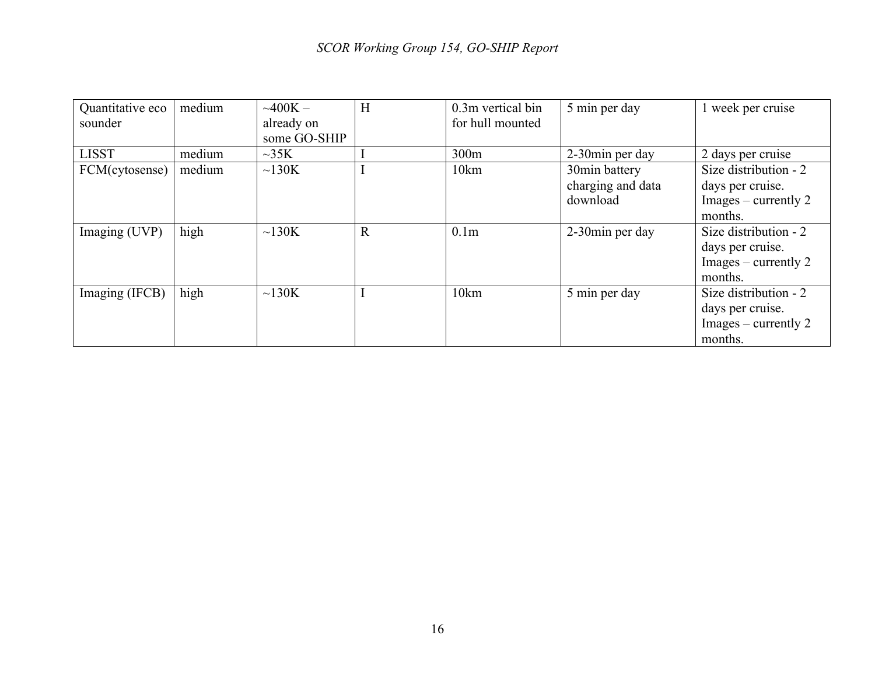| Quantitative eco<br>sounder | medium | $-400K -$<br>already on | H           | 0.3m vertical bin<br>for hull mounted | 5 min per day                      | 1 week per cruise                                                                     |
|-----------------------------|--------|-------------------------|-------------|---------------------------------------|------------------------------------|---------------------------------------------------------------------------------------|
|                             |        | some GO-SHIP            |             |                                       |                                    |                                                                                       |
| <b>LISST</b>                | medium | $\sim35K$               |             | 300m                                  | 2-30 min per day                   | 2 days per cruise                                                                     |
| FCM(cytosense)              | medium | $\sim$ 130K             |             | 10km                                  | 30min battery<br>charging and data | Size distribution - 2<br>days per cruise.                                             |
|                             |        |                         |             |                                       | download                           | $\text{Images}$ – currently 2<br>months.                                              |
| Imaging (UVP)               | high   | $\sim$ 130K             | $\mathbf R$ | 0.1 <sub>m</sub>                      | 2-30min per day                    | Size distribution - 2<br>days per cruise.<br>$\text{Images}$ – currently 2<br>months. |
| Imaging (IFCB)              | high   | $\sim$ 130K             |             | 10km                                  | 5 min per day                      | Size distribution - 2<br>days per cruise.<br>$\text{Images}$ – currently 2<br>months. |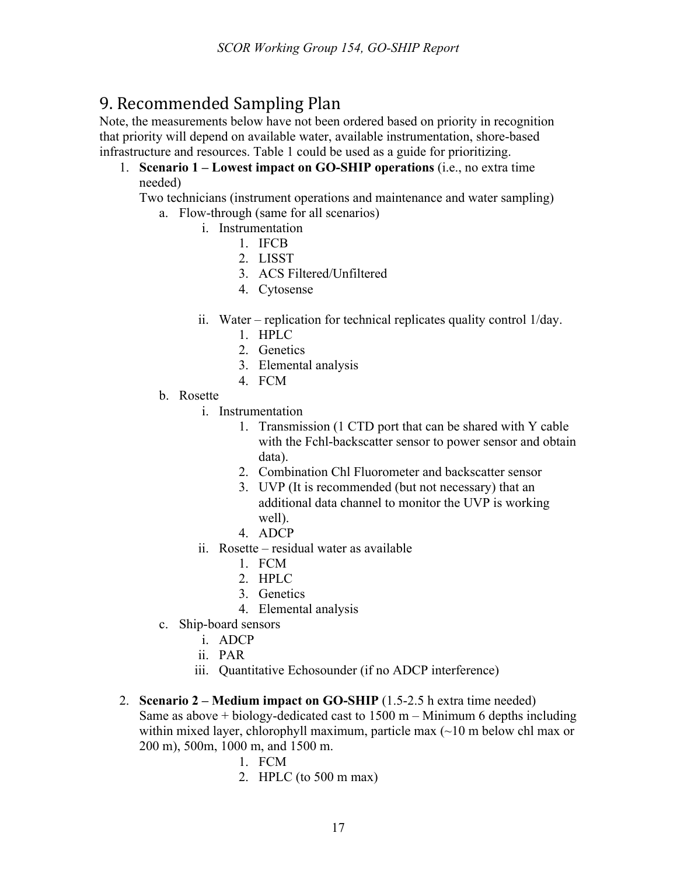# 9. Recommended Sampling Plan

Note, the measurements below have not been ordered based on priority in recognition that priority will depend on available water, available instrumentation, shore-based infrastructure and resources. Table 1 could be used as a guide for prioritizing.

1. **Scenario 1 – Lowest impact on GO-SHIP operations** (i.e., no extra time needed)

Two technicians (instrument operations and maintenance and water sampling) a. Flow-through (same for all scenarios)

- i. Instrumentation
	- 1. IFCB
		- 2. LISST
		- 3. ACS Filtered/Unfiltered
		- 4. Cytosense
- ii. Water replication for technical replicates quality control 1/day.
	- 1. HPLC
	- 2. Genetics
	- 3. Elemental analysis
	- 4. FCM
- b. Rosette
	- i. Instrumentation
		- 1. Transmission (1 CTD port that can be shared with Y cable with the Fchl-backscatter sensor to power sensor and obtain data).
		- 2. Combination Chl Fluorometer and backscatter sensor
		- 3. UVP (It is recommended (but not necessary) that an additional data channel to monitor the UVP is working well).
		- 4. ADCP
	- ii. Rosette residual water as available
		- 1. FCM
		- 2. HPLC
		- 3. Genetics
		- 4. Elemental analysis
- c. Ship-board sensors
	- i. ADCP
	- ii. PAR
	- iii. Quantitative Echosounder (if no ADCP interference)
- 2. **Scenario 2 – Medium impact on GO-SHIP** (1.5-2.5 h extra time needed) Same as above  $+$  biology-dedicated cast to  $1500 \text{ m}$  – Minimum 6 depths including within mixed layer, chlorophyll maximum, particle max  $(\sim 10 \text{ m}$  below chl max or 200 m), 500m, 1000 m, and 1500 m.
	- 1. FCM
	- 2. HPLC (to 500 m max)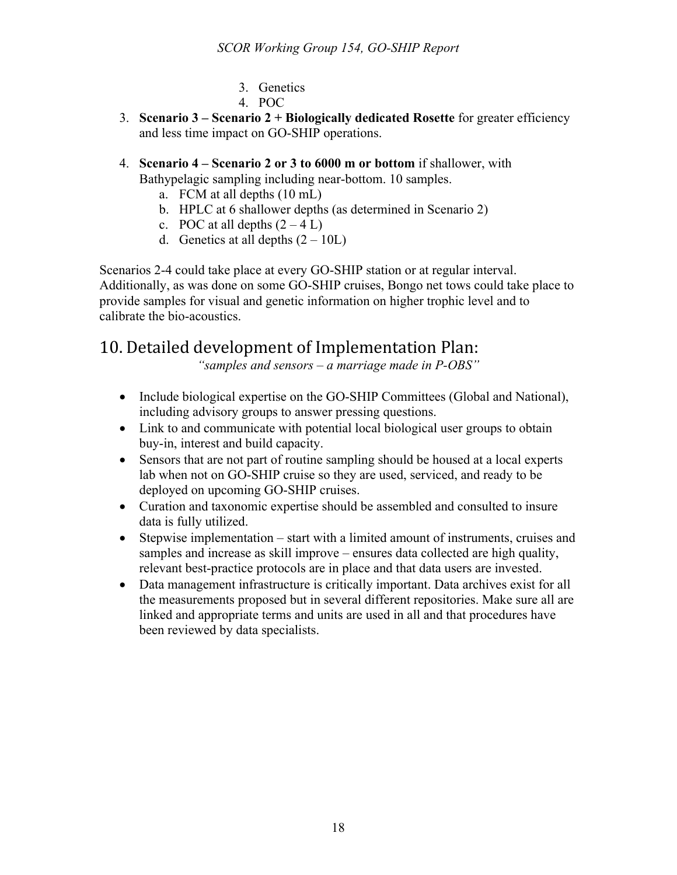- 3. Genetics
- 4. POC
- 3. **Scenario 3 – Scenario 2 + Biologically dedicated Rosette** for greater efficiency and less time impact on GO-SHIP operations.
- 4. **Scenario 4 – Scenario 2 or 3 to 6000 m or bottom** if shallower, with Bathypelagic sampling including near-bottom. 10 samples.
	- a. FCM at all depths (10 mL)
	- b. HPLC at 6 shallower depths (as determined in Scenario 2)
	- c. POC at all depths  $(2 4 L)$
	- d. Genetics at all depths  $(2 10L)$

Scenarios 2-4 could take place at every GO-SHIP station or at regular interval. Additionally, as was done on some GO-SHIP cruises, Bongo net tows could take place to provide samples for visual and genetic information on higher trophic level and to calibrate the bio-acoustics.

# 10. Detailed development of Implementation Plan:

*"samples and sensors – a marriage made in P-OBS"*

- Include biological expertise on the GO-SHIP Committees (Global and National), including advisory groups to answer pressing questions.
- Link to and communicate with potential local biological user groups to obtain buy-in, interest and build capacity.
- Sensors that are not part of routine sampling should be housed at a local experts lab when not on GO-SHIP cruise so they are used, serviced, and ready to be deployed on upcoming GO-SHIP cruises.
- Curation and taxonomic expertise should be assembled and consulted to insure data is fully utilized.
- Stepwise implementation start with a limited amount of instruments, cruises and samples and increase as skill improve – ensures data collected are high quality, relevant best-practice protocols are in place and that data users are invested.
- Data management infrastructure is critically important. Data archives exist for all the measurements proposed but in several different repositories. Make sure all are linked and appropriate terms and units are used in all and that procedures have been reviewed by data specialists.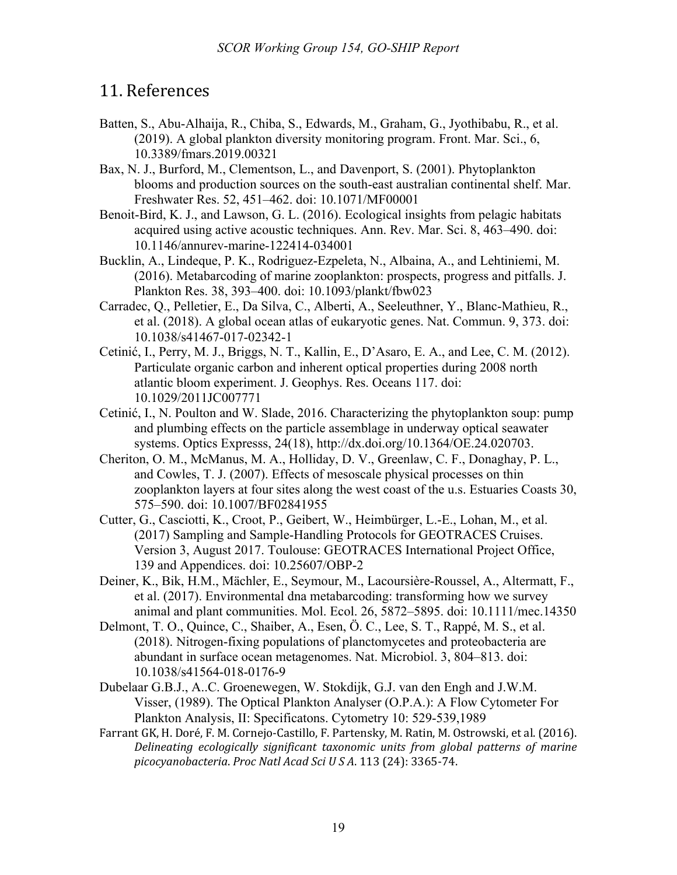# 11. References

- Batten, S., Abu-Alhaija, R., Chiba, S., Edwards, M., Graham, G., Jyothibabu, R., et al. (2019). A global plankton diversity monitoring program. Front. Mar. Sci., 6, 10.3389/fmars.2019.00321
- Bax, N. J., Burford, M., Clementson, L., and Davenport, S. (2001). Phytoplankton blooms and production sources on the south-east australian continental shelf. Mar. Freshwater Res. 52, 451–462. doi: 10.1071/MF00001
- Benoit-Bird, K. J., and Lawson, G. L. (2016). Ecological insights from pelagic habitats acquired using active acoustic techniques. Ann. Rev. Mar. Sci. 8, 463–490. doi: 10.1146/annurev-marine-122414-034001
- Bucklin, A., Lindeque, P. K., Rodriguez-Ezpeleta, N., Albaina, A., and Lehtiniemi, M. (2016). Metabarcoding of marine zooplankton: prospects, progress and pitfalls. J. Plankton Res. 38, 393–400. doi: 10.1093/plankt/fbw023
- Carradec, Q., Pelletier, E., Da Silva, C., Alberti, A., Seeleuthner, Y., Blanc-Mathieu, R., et al. (2018). A global ocean atlas of eukaryotic genes. Nat. Commun. 9, 373. doi: 10.1038/s41467-017-02342-1
- Cetinić, I., Perry, M. J., Briggs, N. T., Kallin, E., D'Asaro, E. A., and Lee, C. M. (2012). Particulate organic carbon and inherent optical properties during 2008 north atlantic bloom experiment. J. Geophys. Res. Oceans 117. doi: 10.1029/2011JC007771
- Cetinić, I., N. Poulton and W. Slade, 2016. Characterizing the phytoplankton soup: pump and plumbing effects on the particle assemblage in underway optical seawater systems. Optics Expresss, 24(18), http://dx.doi.org/10.1364/OE.24.020703.
- Cheriton, O. M., McManus, M. A., Holliday, D. V., Greenlaw, C. F., Donaghay, P. L., and Cowles, T. J. (2007). Effects of mesoscale physical processes on thin zooplankton layers at four sites along the west coast of the u.s. Estuaries Coasts 30, 575–590. doi: 10.1007/BF02841955
- Cutter, G., Casciotti, K., Croot, P., Geibert, W., Heimbürger, L.-E., Lohan, M., et al. (2017) Sampling and Sample-Handling Protocols for GEOTRACES Cruises. Version 3, August 2017. Toulouse: GEOTRACES International Project Office, 139 and Appendices. doi: 10.25607/OBP-2
- Deiner, K., Bik, H.M., Mächler, E., Seymour, M., Lacoursière-Roussel, A., Altermatt, F., et al. (2017). Environmental dna metabarcoding: transforming how we survey animal and plant communities. Mol. Ecol. 26, 5872–5895. doi: 10.1111/mec.14350
- Delmont, T. O., Quince, C., Shaiber, A., Esen, Ö. C., Lee, S. T., Rappé, M. S., et al. (2018). Nitrogen-fixing populations of planctomycetes and proteobacteria are abundant in surface ocean metagenomes. Nat. Microbiol. 3, 804–813. doi: 10.1038/s41564-018-0176-9
- Dubelaar G.B.J., A..C. Groenewegen, W. Stokdijk, G.J. van den Engh and J.W.M. Visser, (1989). The Optical Plankton Analyser (O.P.A.): A Flow Cytometer For Plankton Analysis, II: Specificatons. Cytometry 10: 529-539,1989
- Farrant GK, H. Doré, F. M. Cornejo-Castillo, F. Partensky, M. Ratin, M. Ostrowski, et al. (2016). Delineating ecologically significant taxonomic units from global patterns of marine *picocyanobacteria*. *Proc Natl Acad Sci U S A*. 113 (24): 3365-74.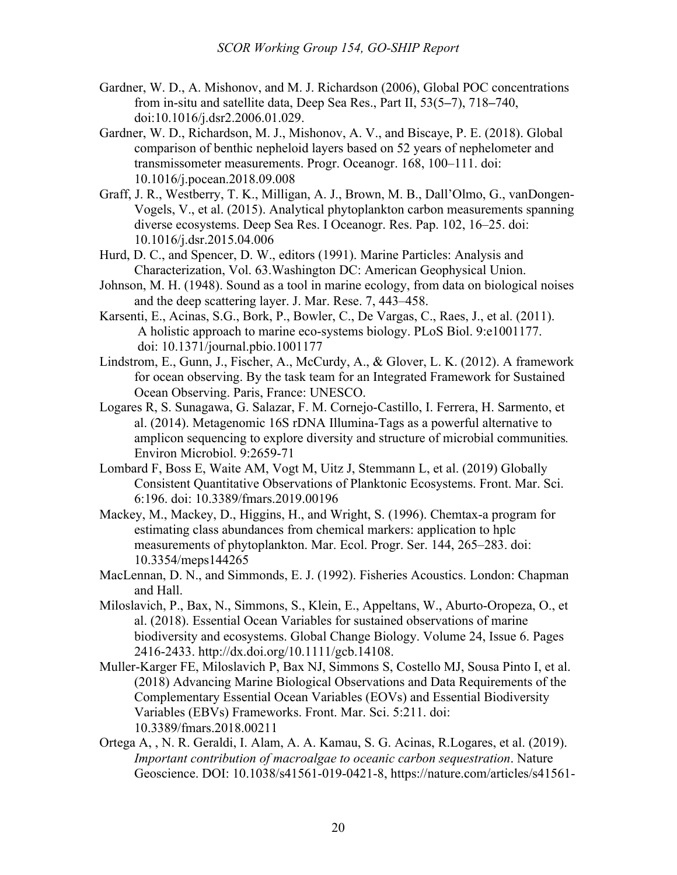- Gardner, W. D., A. Mishonov, and M. J. Richardson (2006), Global POC concentrations from in-situ and satellite data, Deep Sea Res., Part II, 53(5**–**7), 718**–**740, doi:10.1016/j.dsr2.2006.01.029.
- Gardner, W. D., Richardson, M. J., Mishonov, A. V., and Biscaye, P. E. (2018). Global comparison of benthic nepheloid layers based on 52 years of nephelometer and transmissometer measurements. Progr. Oceanogr. 168, 100–111. doi: 10.1016/j.pocean.2018.09.008
- Graff, J. R., Westberry, T. K., Milligan, A. J., Brown, M. B., Dall'Olmo, G., vanDongen-Vogels, V., et al. (2015). Analytical phytoplankton carbon measurements spanning diverse ecosystems. Deep Sea Res. I Oceanogr. Res. Pap. 102, 16–25. doi: 10.1016/j.dsr.2015.04.006
- Hurd, D. C., and Spencer, D. W., editors (1991). Marine Particles: Analysis and Characterization, Vol. 63.Washington DC: American Geophysical Union.
- Johnson, M. H. (1948). Sound as a tool in marine ecology, from data on biological noises and the deep scattering layer. J. Mar. Rese. 7, 443–458.
- Karsenti, E., Acinas, S.G., Bork, P., Bowler, C., De Vargas, C., Raes, J., et al. (2011). A holistic approach to marine eco-systems biology. PLoS Biol. 9:e1001177. doi: 10.1371/journal.pbio.1001177
- Lindstrom, E., Gunn, J., Fischer, A., McCurdy, A., & Glover, L. K. (2012). A framework for ocean observing. By the task team for an Integrated Framework for Sustained Ocean Observing. Paris, France: UNESCO.
- Logares R, S. Sunagawa, G. Salazar, F. M. Cornejo-Castillo, I. Ferrera, H. Sarmento, et al. (2014). Metagenomic 16S rDNA Illumina-Tags as a powerful alternative to amplicon sequencing to explore diversity and structure of microbial communities*.* Environ Microbiol. 9:2659-71
- Lombard F, Boss E, Waite AM, Vogt M, Uitz J, Stemmann L, et al. (2019) Globally Consistent Quantitative Observations of Planktonic Ecosystems. Front. Mar. Sci. 6:196. doi: 10.3389/fmars.2019.00196
- Mackey, M., Mackey, D., Higgins, H., and Wright, S. (1996). Chemtax-a program for estimating class abundances from chemical markers: application to hplc measurements of phytoplankton. Mar. Ecol. Progr. Ser. 144, 265–283. doi: 10.3354/meps144265
- MacLennan, D. N., and Simmonds, E. J. (1992). Fisheries Acoustics. London: Chapman and Hall.
- Miloslavich, P., Bax, N., Simmons, S., Klein, E., Appeltans, W., Aburto-Oropeza, O., et al. (2018). Essential Ocean Variables for sustained observations of marine biodiversity and ecosystems. Global Change Biology. Volume 24, Issue 6. Pages 2416-2433. http://dx.doi.org/10.1111/gcb.14108.
- Muller-Karger FE, Miloslavich P, Bax NJ, Simmons S, Costello MJ, Sousa Pinto I, et al. (2018) Advancing Marine Biological Observations and Data Requirements of the Complementary Essential Ocean Variables (EOVs) and Essential Biodiversity Variables (EBVs) Frameworks. Front. Mar. Sci. 5:211. doi: 10.3389/fmars.2018.00211
- Ortega A, , N. R. Geraldi, I. Alam, A. A. Kamau, S. G. Acinas, R.Logares, et al. (2019). *Important contribution of macroalgae to oceanic carbon sequestration*. Nature Geoscience. DOI: 10.1038/s41561-019-0421-8, https://nature.com/articles/s41561-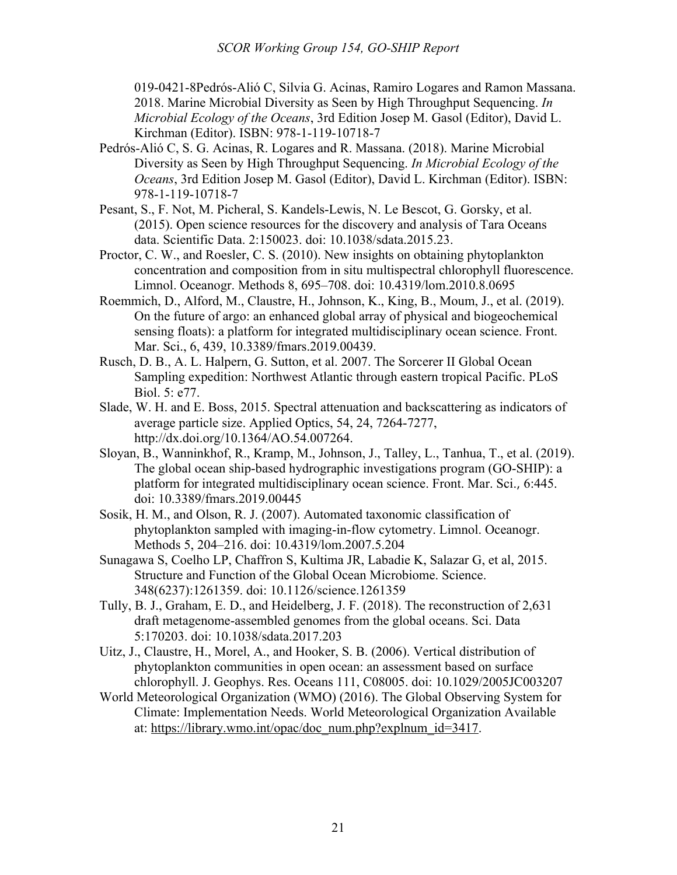019-0421-8Pedrós-Alió C, Silvia G. Acinas, Ramiro Logares and Ramon Massana. 2018. Marine Microbial Diversity as Seen by High Throughput Sequencing. *In Microbial Ecology of the Oceans*, 3rd Edition Josep M. Gasol (Editor), David L. Kirchman (Editor). ISBN: 978-1-119-10718-7

- Pedrós-Alió C, S. G. Acinas, R. Logares and R. Massana. (2018). Marine Microbial Diversity as Seen by High Throughput Sequencing. *In Microbial Ecology of the Oceans*, 3rd Edition Josep M. Gasol (Editor), David L. Kirchman (Editor). ISBN: 978-1-119-10718-7
- Pesant, S., F. Not, M. Picheral, S. Kandels-Lewis, N. Le Bescot, G. Gorsky, et al. (2015). Open science resources for the discovery and analysis of Tara Oceans data. Scientific Data. 2:150023. doi: 10.1038/sdata.2015.23.
- Proctor, C. W., and Roesler, C. S. (2010). New insights on obtaining phytoplankton concentration and composition from in situ multispectral chlorophyll fluorescence. Limnol. Oceanogr. Methods 8, 695–708. doi: 10.4319/lom.2010.8.0695
- Roemmich, D., Alford, M., Claustre, H., Johnson, K., King, B., Moum, J., et al. (2019). On the future of argo: an enhanced global array of physical and biogeochemical sensing floats): a platform for integrated multidisciplinary ocean science. Front. Mar. Sci., 6, 439, 10.3389/fmars.2019.00439.
- Rusch, D. B., A. L. Halpern, G. Sutton, et al. 2007. The Sorcerer II Global Ocean Sampling expedition: Northwest Atlantic through eastern tropical Pacific. PLoS Biol. 5: e77.
- Slade, W. H. and E. Boss, 2015. Spectral attenuation and backscattering as indicators of average particle size. Applied Optics, 54, 24, 7264-7277, http://dx.doi.org/10.1364/AO.54.007264.
- Sloyan, B., Wanninkhof, R., Kramp, M., Johnson, J., Talley, L., Tanhua, T., et al. (2019). The global ocean ship-based hydrographic investigations program (GO-SHIP): a platform for integrated multidisciplinary ocean science. Front. Mar. Sci., 6:445. doi: 10.3389/fmars.2019.00445
- Sosik, H. M., and Olson, R. J. (2007). Automated taxonomic classification of phytoplankton sampled with imaging-in-flow cytometry. Limnol. Oceanogr. Methods 5, 204–216. doi: 10.4319/lom.2007.5.204
- Sunagawa S, Coelho LP, Chaffron S, Kultima JR, Labadie K, Salazar G, et al, 2015. Structure and Function of the Global Ocean Microbiome. Science. 348(6237):1261359. doi: 10.1126/science.1261359
- Tully, B. J., Graham, E. D., and Heidelberg, J. F. (2018). The reconstruction of 2,631 draft metagenome-assembled genomes from the global oceans. Sci. Data 5:170203. doi: 10.1038/sdata.2017.203
- Uitz, J., Claustre, H., Morel, A., and Hooker, S. B. (2006). Vertical distribution of phytoplankton communities in open ocean: an assessment based on surface chlorophyll. J. Geophys. Res. Oceans 111, C08005. doi: 10.1029/2005JC003207
- World Meteorological Organization (WMO) (2016). The Global Observing System for Climate: Implementation Needs. World Meteorological Organization Available at: https://library.wmo.int/opac/doc\_num.php?explnum\_id=3417.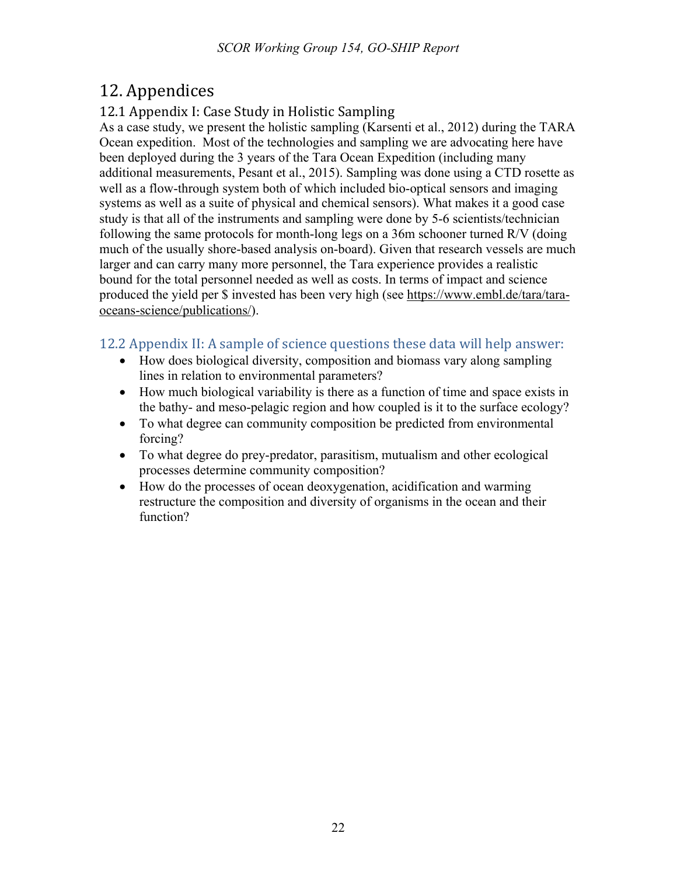# 12. Appendices

# 12.1 Appendix I: Case Study in Holistic Sampling

As a case study, we present the holistic sampling (Karsenti et al., 2012) during the TARA Ocean expedition. Most of the technologies and sampling we are advocating here have been deployed during the 3 years of the Tara Ocean Expedition (including many additional measurements, Pesant et al., 2015). Sampling was done using a CTD rosette as well as a flow-through system both of which included bio-optical sensors and imaging systems as well as a suite of physical and chemical sensors). What makes it a good case study is that all of the instruments and sampling were done by 5-6 scientists/technician following the same protocols for month-long legs on a 36m schooner turned R/V (doing much of the usually shore-based analysis on-board). Given that research vessels are much larger and can carry many more personnel, the Tara experience provides a realistic bound for the total personnel needed as well as costs. In terms of impact and science produced the yield per \$ invested has been very high (see https://www.embl.de/tara/taraoceans-science/publications/).

# 12.2 Appendix II: A sample of science questions these data will help answer:

- How does biological diversity, composition and biomass vary along sampling lines in relation to environmental parameters?
- How much biological variability is there as a function of time and space exists in the bathy- and meso-pelagic region and how coupled is it to the surface ecology?
- To what degree can community composition be predicted from environmental forcing?
- To what degree do prey-predator, parasitism, mutualism and other ecological processes determine community composition?
- How do the processes of ocean deoxygenation, acidification and warming restructure the composition and diversity of organisms in the ocean and their function?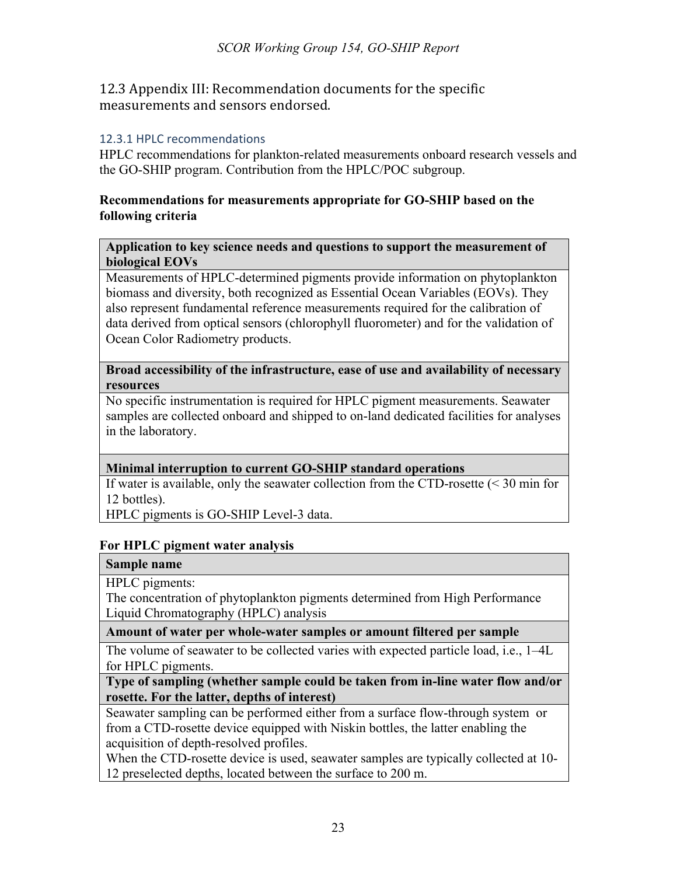12.3 Appendix III: Recommendation documents for the specific measurements and sensors endorsed.

## 12.3.1 HPLC recommendations

HPLC recommendations for plankton-related measurements onboard research vessels and the GO-SHIP program. Contribution from the HPLC/POC subgroup.

## **Recommendations for measurements appropriate for GO-SHIP based on the following criteria**

#### **Application to key science needs and questions to support the measurement of biological EOVs**

Measurements of HPLC-determined pigments provide information on phytoplankton biomass and diversity, both recognized as Essential Ocean Variables (EOVs). They also represent fundamental reference measurements required for the calibration of data derived from optical sensors (chlorophyll fluorometer) and for the validation of Ocean Color Radiometry products.

#### **Broad accessibility of the infrastructure, ease of use and availability of necessary resources**

No specific instrumentation is required for HPLC pigment measurements. Seawater samples are collected onboard and shipped to on-land dedicated facilities for analyses in the laboratory.

# **Minimal interruption to current GO-SHIP standard operations**

If water is available, only the seawater collection from the CTD-rosette (< 30 min for 12 bottles).

HPLC pigments is GO-SHIP Level-3 data.

## **For HPLC pigment water analysis**

## **Sample name**

HPLC pigments:

The concentration of phytoplankton pigments determined from High Performance Liquid Chromatography (HPLC) analysis

**Amount of water per whole-water samples or amount filtered per sample**

The volume of seawater to be collected varies with expected particle load, i.e., 1–4L for HPLC pigments.

**Type of sampling (whether sample could be taken from in-line water flow and/or rosette. For the latter, depths of interest)**

Seawater sampling can be performed either from a surface flow-through system or from a CTD-rosette device equipped with Niskin bottles, the latter enabling the acquisition of depth-resolved profiles.

When the CTD-rosette device is used, seawater samples are typically collected at 10- 12 preselected depths, located between the surface to 200 m.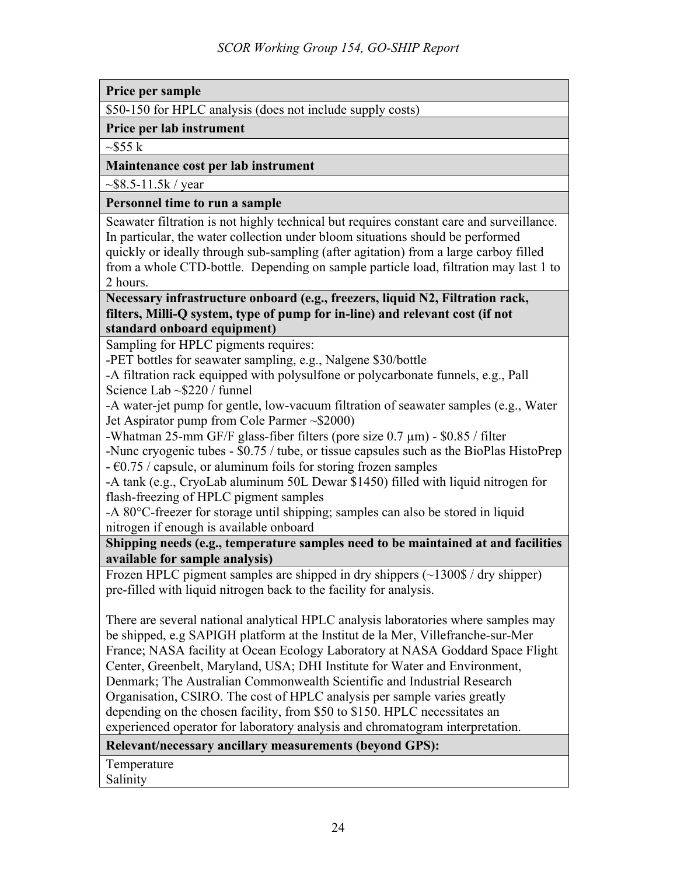**Price per sample**

\$50-150 for HPLC analysis (does not include supply costs)

**Price per lab instrument** 

 $\sim$ \$55 k

#### **Maintenance cost per lab instrument**

 $\sim$ \$8.5-11.5k / year

#### **Personnel time to run a sample**

Seawater filtration is not highly technical but requires constant care and surveillance. In particular, the water collection under bloom situations should be performed quickly or ideally through sub-sampling (after agitation) from a large carboy filled from a whole CTD-bottle. Depending on sample particle load, filtration may last 1 to 2 hours.

**Necessary infrastructure onboard (e.g., freezers, liquid N2, Filtration rack, filters, Milli-Q system, type of pump for in-line) and relevant cost (if not standard onboard equipment)**

Sampling for HPLC pigments requires:

-PET bottles for seawater sampling, e.g., Nalgene \$30/bottle

-A filtration rack equipped with polysulfone or polycarbonate funnels, e.g., Pall Science Lab ~\$220 / funnel

-A water-jet pump for gentle, low-vacuum filtration of seawater samples (e.g., Water Jet Aspirator pump from Cole Parmer ~\$2000)

-Whatman 25-mm GF/F glass-fiber filters (pore size 0.7  $\mu$ m) - \$0.85 / filter

-Nunc cryogenic tubes - \$0.75 / tube, or tissue capsules such as the BioPlas HistoPrep  $-60.75$  / capsule, or aluminum foils for storing frozen samples

-A tank (e.g., CryoLab aluminum 50L Dewar \$1450) filled with liquid nitrogen for flash-freezing of HPLC pigment samples

-A 80°C-freezer for storage until shipping; samples can also be stored in liquid nitrogen if enough is available onboard

**Shipping needs (e.g., temperature samples need to be maintained at and facilities available for sample analysis)**

Frozen HPLC pigment samples are shipped in dry shippers (~1300\$ / dry shipper) pre-filled with liquid nitrogen back to the facility for analysis.

There are several national analytical HPLC analysis laboratories where samples may be shipped, e.g SAPIGH platform at the Institut de la Mer, Villefranche-sur-Mer France; NASA facility at Ocean Ecology Laboratory at NASA Goddard Space Flight Center, Greenbelt, Maryland, USA; DHI Institute for Water and Environment, Denmark; The Australian Commonwealth Scientific and Industrial Research Organisation, CSIRO. The cost of HPLC analysis per sample varies greatly depending on the chosen facility, from \$50 to \$150. HPLC necessitates an experienced operator for laboratory analysis and chromatogram interpretation.

## **Relevant/necessary ancillary measurements (beyond GPS):**

Temperature Salinity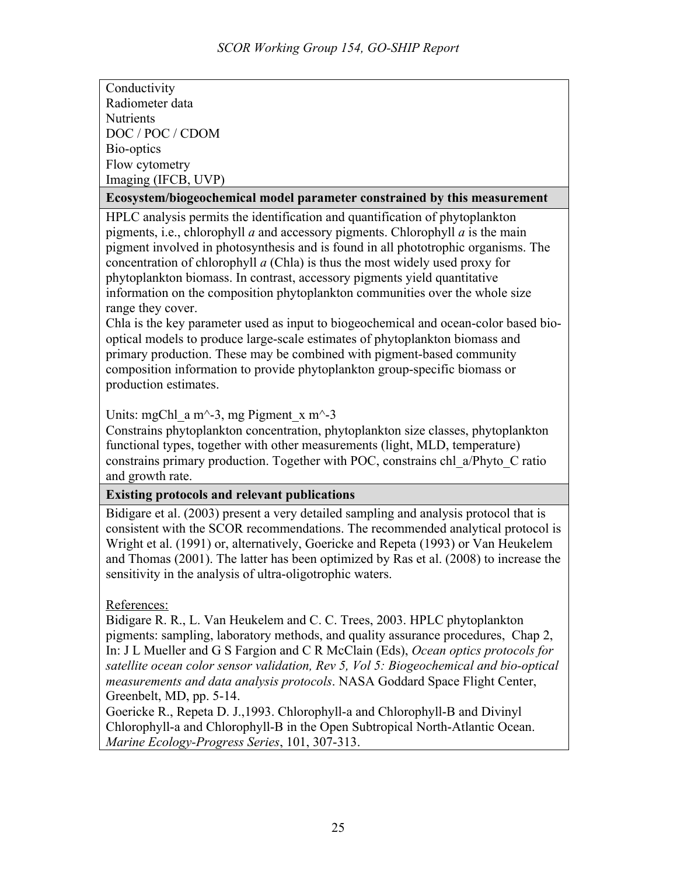Conductivity Radiometer data **Nutrients** DOC / POC / CDOM Bio-optics Flow cytometry Imaging (IFCB, UVP)

#### **Ecosystem/biogeochemical model parameter constrained by this measurement**

HPLC analysis permits the identification and quantification of phytoplankton pigments, i.e., chlorophyll *a* and accessory pigments. Chlorophyll *a* is the main pigment involved in photosynthesis and is found in all phototrophic organisms. The concentration of chlorophyll *a* (Chla) is thus the most widely used proxy for phytoplankton biomass. In contrast, accessory pigments yield quantitative information on the composition phytoplankton communities over the whole size range they cover.

Chla is the key parameter used as input to biogeochemical and ocean-color based biooptical models to produce large-scale estimates of phytoplankton biomass and primary production. These may be combined with pigment-based community composition information to provide phytoplankton group-specific biomass or production estimates.

Units: mgChl\_a m^-3, mg Pigment\_x m^-3

Constrains phytoplankton concentration, phytoplankton size classes, phytoplankton functional types, together with other measurements (light, MLD, temperature) constrains primary production. Together with POC, constrains chl\_a/Phyto\_C ratio and growth rate.

## **Existing protocols and relevant publications**

Bidigare et al. (2003) present a very detailed sampling and analysis protocol that is consistent with the SCOR recommendations. The recommended analytical protocol is Wright et al. (1991) or, alternatively, Goericke and Repeta (1993) or Van Heukelem and Thomas (2001). The latter has been optimized by Ras et al. (2008) to increase the sensitivity in the analysis of ultra-oligotrophic waters.

## References:

Bidigare R. R., L. Van Heukelem and C. C. Trees, 2003. HPLC phytoplankton pigments: sampling, laboratory methods, and quality assurance procedures, Chap 2, In: J L Mueller and G S Fargion and C R McClain (Eds), *Ocean optics protocols for satellite ocean color sensor validation, Rev 5, Vol 5: Biogeochemical and bio-optical measurements and data analysis protocols*. NASA Goddard Space Flight Center, Greenbelt, MD, pp. 5-14.

Goericke R., Repeta D. J.,1993. Chlorophyll-a and Chlorophyll-B and Divinyl Chlorophyll-a and Chlorophyll-B in the Open Subtropical North-Atlantic Ocean. *Marine Ecology-Progress Series*, 101, 307-313.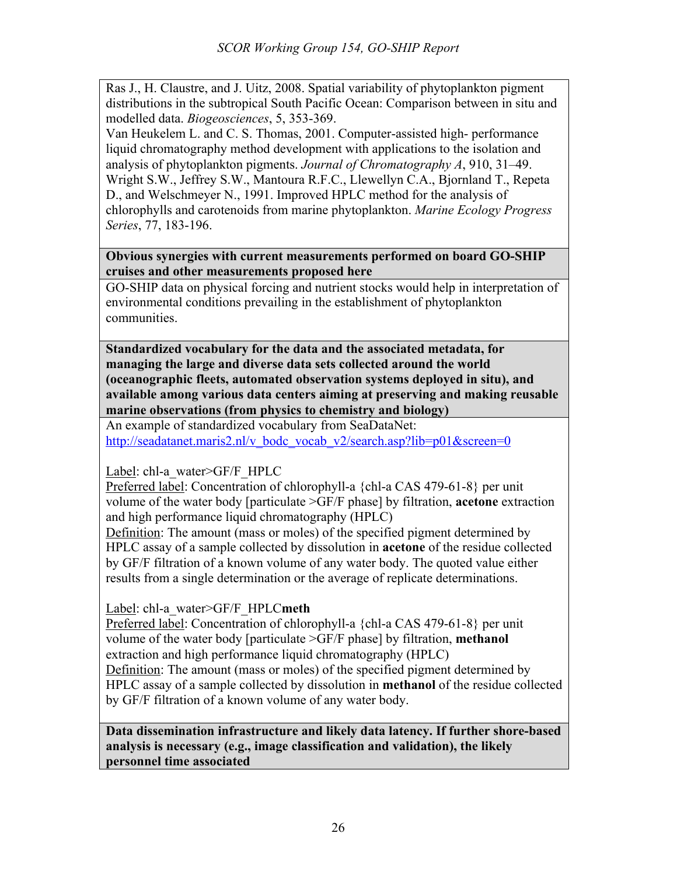Ras J., H. Claustre, and J. Uitz, 2008. Spatial variability of phytoplankton pigment distributions in the subtropical South Pacific Ocean: Comparison between in situ and modelled data. *Biogeosciences*, 5, 353-369.

Van Heukelem L. and C. S. Thomas, 2001. Computer-assisted high- performance liquid chromatography method development with applications to the isolation and analysis of phytoplankton pigments. *Journal of Chromatography A*, 910, 31–49. Wright S.W., Jeffrey S.W., Mantoura R.F.C., Llewellyn C.A., Bjornland T., Repeta D., and Welschmeyer N., 1991. Improved HPLC method for the analysis of chlorophylls and carotenoids from marine phytoplankton. *Marine Ecology Progress Series*, 77, 183-196.

**Obvious synergies with current measurements performed on board GO-SHIP cruises and other measurements proposed here**

GO-SHIP data on physical forcing and nutrient stocks would help in interpretation of environmental conditions prevailing in the establishment of phytoplankton communities.

**Standardized vocabulary for the data and the associated metadata, for managing the large and diverse data sets collected around the world (oceanographic fleets, automated observation systems deployed in situ), and available among various data centers aiming at preserving and making reusable marine observations (from physics to chemistry and biology)**

An example of standardized vocabulary from SeaDataNet: http://seadatanet.maris2.nl/v\_bodc\_vocab\_v2/search.asp?lib=p01&screen=0

Label: chl-a\_water>GF/F\_HPLC

Preferred label: Concentration of chlorophyll-a {chl-a CAS 479-61-8} per unit volume of the water body [particulate >GF/F phase] by filtration, **acetone** extraction and high performance liquid chromatography (HPLC)

Definition: The amount (mass or moles) of the specified pigment determined by HPLC assay of a sample collected by dissolution in **acetone** of the residue collected by GF/F filtration of a known volume of any water body. The quoted value either results from a single determination or the average of replicate determinations.

Label: chl-a\_water>GF/F\_HPLC**meth**

Preferred label: Concentration of chlorophyll-a {chl-a CAS 479-61-8} per unit volume of the water body [particulate >GF/F phase] by filtration, **methanol** extraction and high performance liquid chromatography (HPLC) Definition: The amount (mass or moles) of the specified pigment determined by HPLC assay of a sample collected by dissolution in **methanol** of the residue collected by GF/F filtration of a known volume of any water body.

**Data dissemination infrastructure and likely data latency. If further shore-based analysis is necessary (e.g., image classification and validation), the likely personnel time associated**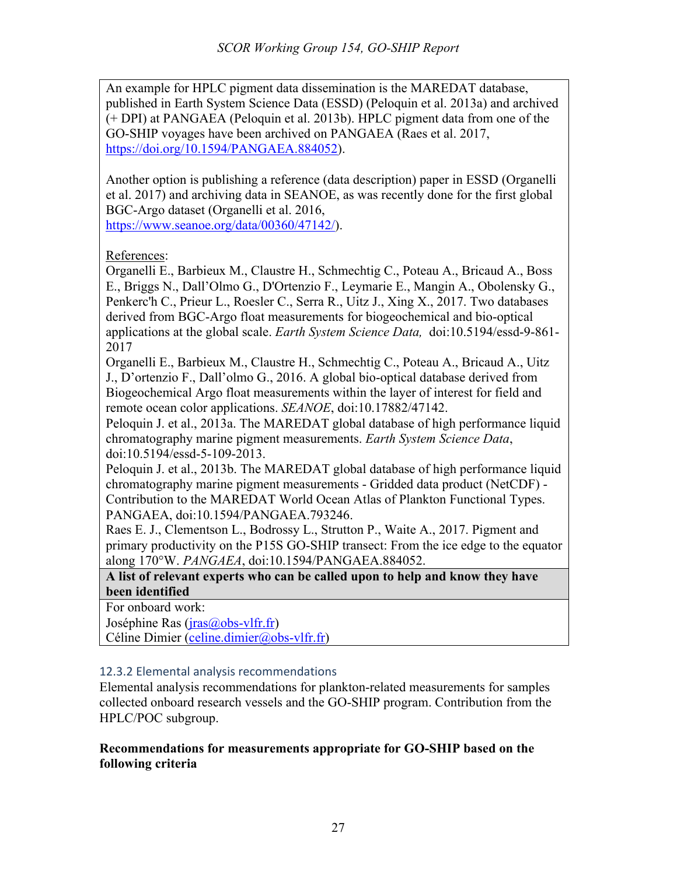An example for HPLC pigment data dissemination is the MAREDAT database, published in Earth System Science Data (ESSD) (Peloquin et al. 2013a) and archived (+ DPI) at PANGAEA (Peloquin et al. 2013b). HPLC pigment data from one of the GO-SHIP voyages have been archived on PANGAEA (Raes et al. 2017, https://doi.org/10.1594/PANGAEA.884052).

Another option is publishing a reference (data description) paper in ESSD (Organelli et al. 2017) and archiving data in SEANOE, as was recently done for the first global BGC-Argo dataset (Organelli et al. 2016, https://www.seanoe.org/data/00360/47142/).

References:

Organelli E., Barbieux M., Claustre H., Schmechtig C., Poteau A., Bricaud A., Boss E., Briggs N., Dall'Olmo G., D'Ortenzio F., Leymarie E., Mangin A., Obolensky G., Penkerc'h C., Prieur L., Roesler C., Serra R., Uitz J., Xing X., 2017. Two databases derived from BGC-Argo float measurements for biogeochemical and bio-optical applications at the global scale. *Earth System Science Data,* doi:10.5194/essd-9-861- 2017

Organelli E., Barbieux M., Claustre H., Schmechtig C., Poteau A., Bricaud A., Uitz J., D'ortenzio F., Dall'olmo G., 2016. A global bio-optical database derived from Biogeochemical Argo float measurements within the layer of interest for field and remote ocean color applications. *SEANOE*, doi:10.17882/47142.

Peloquin J. et al., 2013a. The MAREDAT global database of high performance liquid chromatography marine pigment measurements. *Earth System Science Data*, doi:10.5194/essd-5-109-2013.

Peloquin J. et al., 2013b. The MAREDAT global database of high performance liquid chromatography marine pigment measurements - Gridded data product (NetCDF) - Contribution to the MAREDAT World Ocean Atlas of Plankton Functional Types. PANGAEA, doi:10.1594/PANGAEA.793246.

Raes E. J., Clementson L., Bodrossy L., Strutton P., Waite A., 2017. Pigment and primary productivity on the P15S GO-SHIP transect: From the ice edge to the equator along 170°W. *PANGAEA*, doi:10.1594/PANGAEA.884052.

**A list of relevant experts who can be called upon to help and know they have been identified**

For onboard work:

Joséphine Ras (jras@obs-vlfr.fr)

Céline Dimier (celine.dimier@obs-vlfr.fr)

## 12.3.2 Elemental analysis recommendations

Elemental analysis recommendations for plankton-related measurements for samples collected onboard research vessels and the GO-SHIP program. Contribution from the HPLC/POC subgroup.

## **Recommendations for measurements appropriate for GO-SHIP based on the following criteria**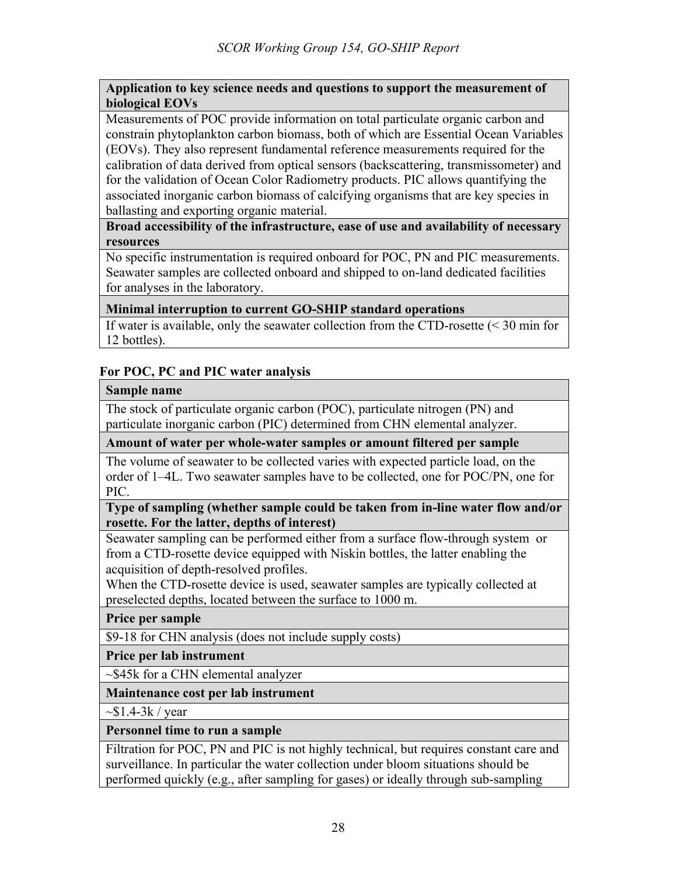#### **Application to key science needs and questions to support the measurement of biological EOVs**

Measurements of POC provide information on total particulate organic carbon and constrain phytoplankton carbon biomass, both of which are Essential Ocean Variables (EOVs). They also represent fundamental reference measurements required for the calibration of data derived from optical sensors (backscattering, transmissometer) and for the validation of Ocean Color Radiometry products. PIC allows quantifying the associated inorganic carbon biomass of calcifying organisms that are key species in ballasting and exporting organic material.

**Broad accessibility of the infrastructure, ease of use and availability of necessary resources**

No specific instrumentation is required onboard for POC, PN and PIC measurements. Seawater samples are collected onboard and shipped to on-land dedicated facilities for analyses in the laboratory.

## **Minimal interruption to current GO-SHIP standard operations**

If water is available, only the seawater collection from the CTD-rosette (< 30 min for 12 bottles).

# **For POC, PC and PIC water analysis**

#### **Sample name**

The stock of particulate organic carbon (POC), particulate nitrogen (PN) and particulate inorganic carbon (PIC) determined from CHN elemental analyzer.

## **Amount of water per whole-water samples or amount filtered per sample**

The volume of seawater to be collected varies with expected particle load, on the order of 1–4L. Two seawater samples have to be collected, one for POC/PN, one for PIC.

#### **Type of sampling (whether sample could be taken from in-line water flow and/or rosette. For the latter, depths of interest)**

Seawater sampling can be performed either from a surface flow-through system or from a CTD-rosette device equipped with Niskin bottles, the latter enabling the acquisition of depth-resolved profiles.

When the CTD-rosette device is used, seawater samples are typically collected at preselected depths, located between the surface to 1000 m.

**Price per sample**

\$9-18 for CHN analysis (does not include supply costs)

## **Price per lab instrument**

~\$45k for a CHN elemental analyzer

## **Maintenance cost per lab instrument**

 $\sim$ \$1.4-3k / year

## **Personnel time to run a sample**

Filtration for POC, PN and PIC is not highly technical, but requires constant care and surveillance. In particular the water collection under bloom situations should be performed quickly (e.g., after sampling for gases) or ideally through sub-sampling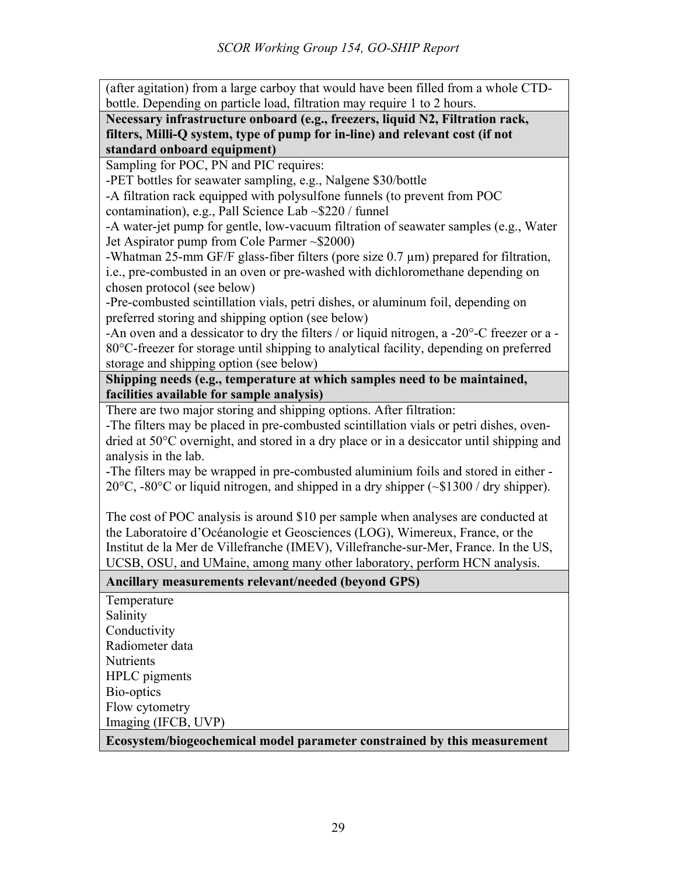(after agitation) from a large carboy that would have been filled from a whole CTDbottle. Depending on particle load, filtration may require 1 to 2 hours.

**Necessary infrastructure onboard (e.g., freezers, liquid N2, Filtration rack, filters, Milli-Q system, type of pump for in-line) and relevant cost (if not standard onboard equipment)**

Sampling for POC, PN and PIC requires:

-PET bottles for seawater sampling, e.g., Nalgene \$30/bottle

-A filtration rack equipped with polysulfone funnels (to prevent from POC

contamination), e.g., Pall Science Lab ~\$220 / funnel

-A water-jet pump for gentle, low-vacuum filtration of seawater samples (e.g., Water Jet Aspirator pump from Cole Parmer ~\$2000)

-Whatman 25-mm GF/F glass-fiber filters (pore size 0.7 µm) prepared for filtration, i.e., pre-combusted in an oven or pre-washed with dichloromethane depending on chosen protocol (see below)

-Pre-combusted scintillation vials, petri dishes, or aluminum foil, depending on preferred storing and shipping option (see below)

-An oven and a dessicator to dry the filters / or liquid nitrogen, a -20°-C freezer or a - 80°C-freezer for storage until shipping to analytical facility, depending on preferred storage and shipping option (see below)

**Shipping needs (e.g., temperature at which samples need to be maintained, facilities available for sample analysis)**

There are two major storing and shipping options. After filtration:

-The filters may be placed in pre-combusted scintillation vials or petri dishes, ovendried at 50°C overnight, and stored in a dry place or in a desiccator until shipping and analysis in the lab.

-The filters may be wrapped in pre-combusted aluminium foils and stored in either - 20°C, -80°C or liquid nitrogen, and shipped in a dry shipper (~\$1300 / dry shipper).

The cost of POC analysis is around \$10 per sample when analyses are conducted at the Laboratoire d'Océanologie et Geosciences (LOG), Wimereux, France, or the Institut de la Mer de Villefranche (IMEV), Villefranche-sur-Mer, France. In the US, UCSB, OSU, and UMaine, among many other laboratory, perform HCN analysis.

**Ancillary measurements relevant/needed (beyond GPS)**

Temperature Salinity Conductivity Radiometer data **Nutrients** HPLC pigments Bio-optics Flow cytometry Imaging (IFCB, UVP) **Ecosystem/biogeochemical model parameter constrained by this measurement**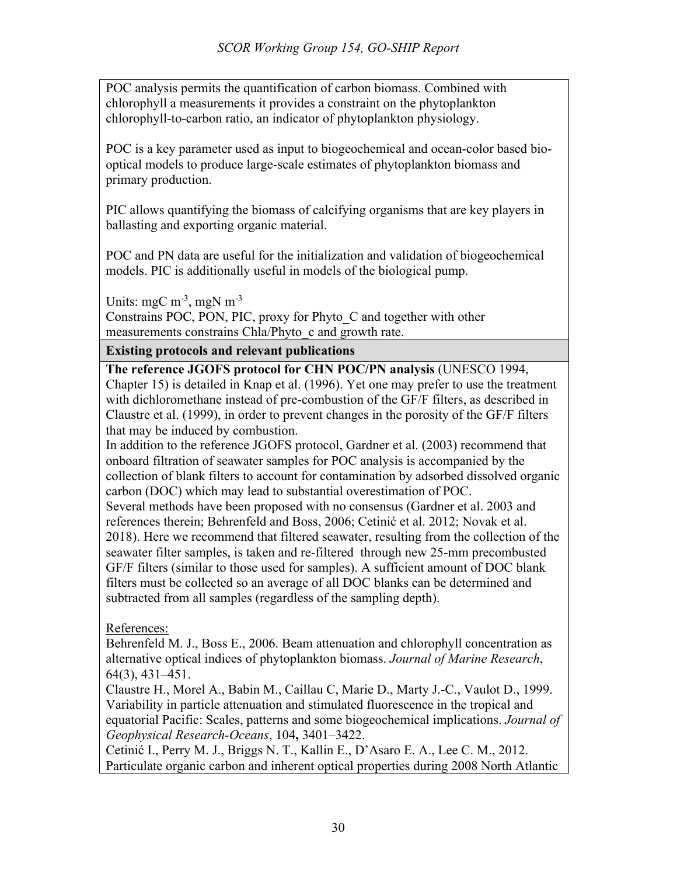POC analysis permits the quantification of carbon biomass. Combined with chlorophyll a measurements it provides a constraint on the phytoplankton chlorophyll-to-carbon ratio, an indicator of phytoplankton physiology.

POC is a key parameter used as input to biogeochemical and ocean-color based biooptical models to produce large-scale estimates of phytoplankton biomass and primary production.

PIC allows quantifying the biomass of calcifying organisms that are key players in ballasting and exporting organic material.

POC and PN data are useful for the initialization and validation of biogeochemical models. PIC is additionally useful in models of the biological pump.

Units: mgC  $m^{-3}$ , mgN  $m^{-3}$ 

Constrains POC, PON, PIC, proxy for Phyto\_C and together with other measurements constrains Chla/Phyto c and growth rate.

**Existing protocols and relevant publications**

**The reference JGOFS protocol for CHN POC/PN analysis** (UNESCO 1994, Chapter 15) is detailed in Knap et al. (1996). Yet one may prefer to use the treatment with dichloromethane instead of pre-combustion of the GF/F filters, as described in Claustre et al. (1999), in order to prevent changes in the porosity of the GF/F filters that may be induced by combustion.

In addition to the reference JGOFS protocol, Gardner et al. (2003) recommend that onboard filtration of seawater samples for POC analysis is accompanied by the collection of blank filters to account for contamination by adsorbed dissolved organic carbon (DOC) which may lead to substantial overestimation of POC.

Several methods have been proposed with no consensus (Gardner et al. 2003 and references therein; Behrenfeld and Boss, 2006; Cetinić et al. 2012; Novak et al. 2018). Here we recommend that filtered seawater, resulting from the collection of the seawater filter samples, is taken and re-filtered through new 25-mm precombusted GF/F filters (similar to those used for samples). A sufficient amount of DOC blank filters must be collected so an average of all DOC blanks can be determined and subtracted from all samples (regardless of the sampling depth).

References:

Behrenfeld M. J., Boss E., 2006. Beam attenuation and chlorophyll concentration as alternative optical indices of phytoplankton biomass. *Journal of Marine Research*, 64(3), 431–451.

Claustre H., Morel A., Babin M., Caillau C, Marie D., Marty J.-C., Vaulot D., 1999. Variability in particle attenuation and stimulated fluorescence in the tropical and equatorial Pacific: Scales, patterns and some biogeochemical implications. *Journal of Geophysical Research-Oceans*, 104**,** 3401–3422.

Cetinić I., Perry M. J., Briggs N. T., Kallin E., D'Asaro E. A., Lee C. M., 2012. Particulate organic carbon and inherent optical properties during 2008 North Atlantic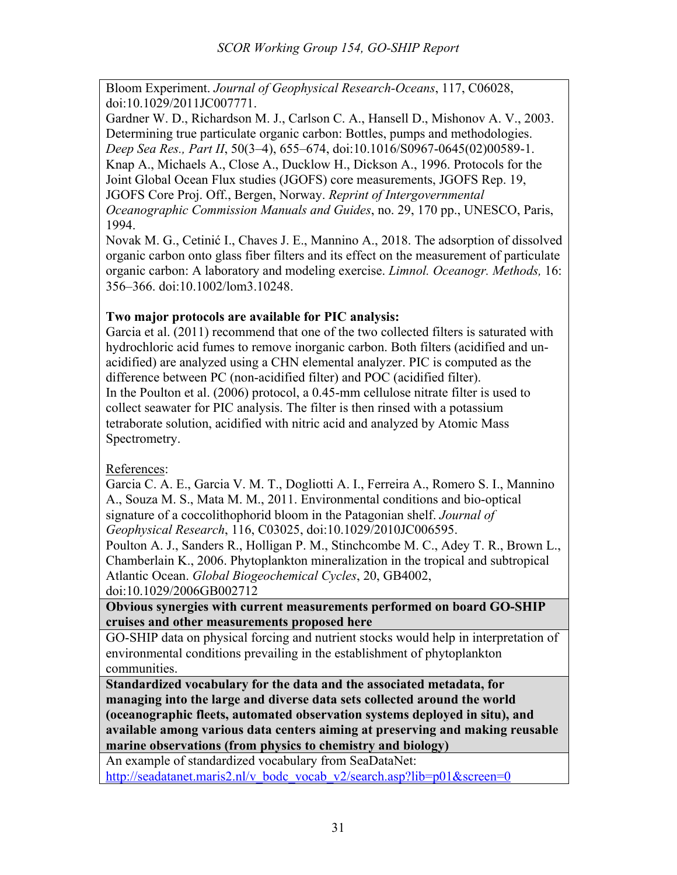Bloom Experiment. *Journal of Geophysical Research-Oceans*, 117, C06028, doi:10.1029/2011JC007771.

Gardner W. D., Richardson M. J., Carlson C. A., Hansell D., Mishonov A. V., 2003. Determining true particulate organic carbon: Bottles, pumps and methodologies. *Deep Sea Res., Part II*, 50(3–4), 655–674, doi:10.1016/S0967-0645(02)00589-1. Knap A., Michaels A., Close A., Ducklow H., Dickson A., 1996. Protocols for the Joint Global Ocean Flux studies (JGOFS) core measurements, JGOFS Rep. 19, JGOFS Core Proj. Off., Bergen, Norway. *Reprint of Intergovernmental Oceanographic Commission Manuals and Guides*, no. 29, 170 pp., UNESCO, Paris, 1994.

Novak M. G., Cetinić I., Chaves J. E., Mannino A., 2018. The adsorption of dissolved organic carbon onto glass fiber filters and its effect on the measurement of particulate organic carbon: A laboratory and modeling exercise. *Limnol. Oceanogr. Methods,* 16: 356–366. doi:10.1002/lom3.10248.

# **Two major protocols are available for PIC analysis:**

Garcia et al. (2011) recommend that one of the two collected filters is saturated with hydrochloric acid fumes to remove inorganic carbon. Both filters (acidified and unacidified) are analyzed using a CHN elemental analyzer. PIC is computed as the difference between PC (non-acidified filter) and POC (acidified filter). In the Poulton et al. (2006) protocol, a 0.45-mm cellulose nitrate filter is used to collect seawater for PIC analysis. The filter is then rinsed with a potassium tetraborate solution, acidified with nitric acid and analyzed by Atomic Mass Spectrometry.

References:

Garcia C. A. E., Garcia V. M. T., Dogliotti A. I., Ferreira A., Romero S. I., Mannino A., Souza M. S., Mata M. M., 2011. Environmental conditions and bio‐optical signature of a coccolithophorid bloom in the Patagonian shelf. *Journal of Geophysical Research*, 116, C03025, doi:10.1029/2010JC006595.

Poulton A. J., Sanders R., Holligan P. M., Stinchcombe M. C., Adey T. R., Brown L., Chamberlain K., 2006. Phytoplankton mineralization in the tropical and subtropical Atlantic Ocean. *Global Biogeochemical Cycles*, 20, GB4002, doi:10.1029/2006GB002712

**Obvious synergies with current measurements performed on board GO-SHIP cruises and other measurements proposed here**

GO-SHIP data on physical forcing and nutrient stocks would help in interpretation of environmental conditions prevailing in the establishment of phytoplankton communities.

**Standardized vocabulary for the data and the associated metadata, for managing into the large and diverse data sets collected around the world (oceanographic fleets, automated observation systems deployed in situ), and available among various data centers aiming at preserving and making reusable marine observations (from physics to chemistry and biology)**

An example of standardized vocabulary from SeaDataNet: http://seadatanet.maris2.nl/v\_bodc\_vocab\_v2/search.asp?lib=p01&screen=0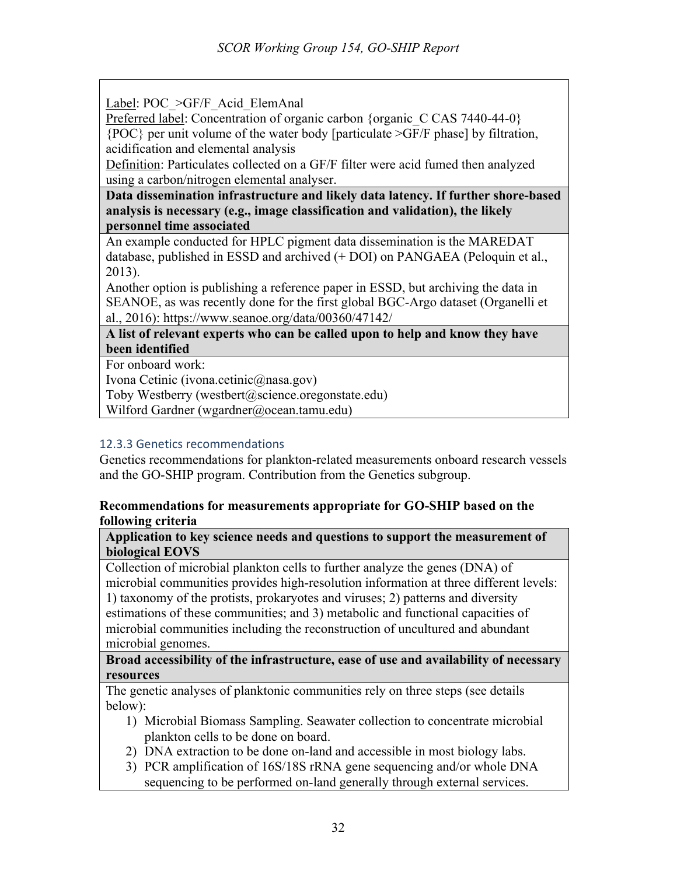Label: POC > GF/F Acid ElemAnal

Preferred label: Concentration of organic carbon {organic C CAS 7440-44-0} {POC} per unit volume of the water body [particulate >GF/F phase] by filtration, acidification and elemental analysis

Definition: Particulates collected on a GF/F filter were acid fumed then analyzed using a carbon/nitrogen elemental analyser.

**Data dissemination infrastructure and likely data latency. If further shore-based analysis is necessary (e.g., image classification and validation), the likely personnel time associated**

An example conducted for HPLC pigment data dissemination is the MAREDAT database, published in ESSD and archived (+ DOI) on PANGAEA (Peloquin et al., 2013).

Another option is publishing a reference paper in ESSD, but archiving the data in SEANOE, as was recently done for the first global BGC-Argo dataset (Organelli et al., 2016): https://www.seanoe.org/data/00360/47142/

**A list of relevant experts who can be called upon to help and know they have been identified**

For onboard work:

Ivona Cetinic (ivona.cetinic@nasa.gov)

Toby Westberry (westbert@science.oregonstate.edu)

Wilford Gardner (wgardner@ocean.tamu.edu)

# 12.3.3 Genetics recommendations

Genetics recommendations for plankton-related measurements onboard research vessels and the GO-SHIP program. Contribution from the Genetics subgroup.

# **Recommendations for measurements appropriate for GO-SHIP based on the following criteria**

**Application to key science needs and questions to support the measurement of biological EOVS**

Collection of microbial plankton cells to further analyze the genes (DNA) of microbial communities provides high-resolution information at three different levels: 1) taxonomy of the protists, prokaryotes and viruses; 2) patterns and diversity estimations of these communities; and 3) metabolic and functional capacities of microbial communities including the reconstruction of uncultured and abundant microbial genomes.

**Broad accessibility of the infrastructure, ease of use and availability of necessary resources**

The genetic analyses of planktonic communities rely on three steps (see details below):

- 1) Microbial Biomass Sampling. Seawater collection to concentrate microbial plankton cells to be done on board.
- 2) DNA extraction to be done on-land and accessible in most biology labs.
- 3) PCR amplification of 16S/18S rRNA gene sequencing and/or whole DNA sequencing to be performed on-land generally through external services.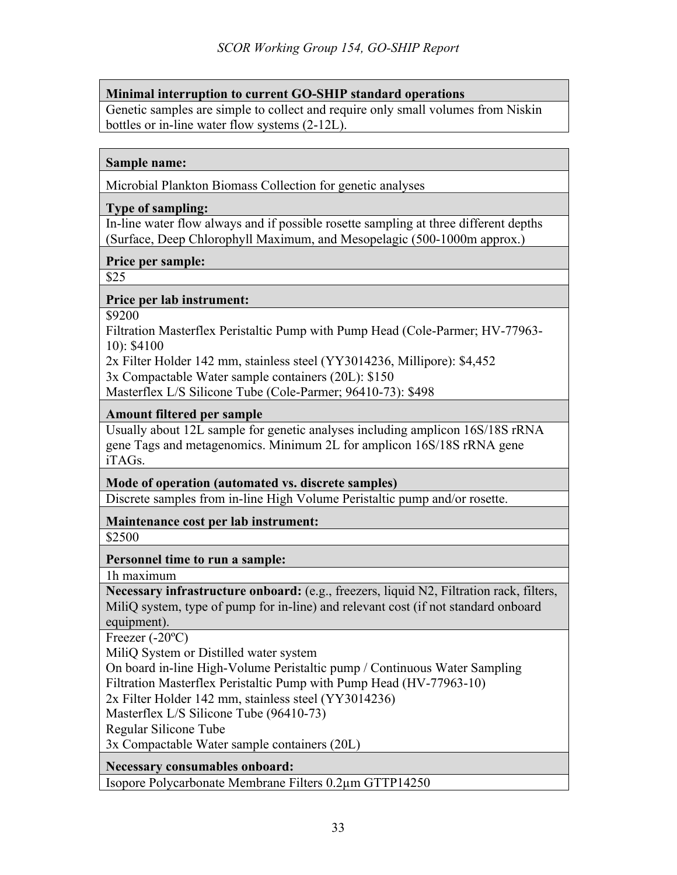# **Minimal interruption to current GO-SHIP standard operations**

Genetic samples are simple to collect and require only small volumes from Niskin bottles or in-line water flow systems (2-12L).

#### **Sample name:**

Microbial Plankton Biomass Collection for genetic analyses

#### **Type of sampling:**

In-line water flow always and if possible rosette sampling at three different depths (Surface, Deep Chlorophyll Maximum, and Mesopelagic (500-1000m approx.)

#### **Price per sample:**

\$25

#### **Price per lab instrument:**

\$9200

Filtration Masterflex Peristaltic Pump with Pump Head (Cole-Parmer; HV-77963- 10): \$4100

2x Filter Holder 142 mm, stainless steel (YY3014236, Millipore): \$4,452

3x Compactable Water sample containers (20L): \$150

Masterflex L/S Silicone Tube (Cole-Parmer; 96410-73): \$498

## **Amount filtered per sample**

Usually about 12L sample for genetic analyses including amplicon 16S/18S rRNA gene Tags and metagenomics. Minimum 2L for amplicon 16S/18S rRNA gene iTAGs.

**Mode of operation (automated vs. discrete samples)**

Discrete samples from in-line High Volume Peristaltic pump and/or rosette.

#### **Maintenance cost per lab instrument:** \$2500

## **Personnel time to run a sample:**

1h maximum

**Necessary infrastructure onboard:** (e.g., freezers, liquid N2, Filtration rack, filters, MiliQ system, type of pump for in-line) and relevant cost (if not standard onboard equipment).

Freezer (-20ºC)

MiliQ System or Distilled water system

On board in-line High-Volume Peristaltic pump / Continuous Water Sampling Filtration Masterflex Peristaltic Pump with Pump Head (HV-77963-10)

2x Filter Holder 142 mm, stainless steel (YY3014236)

Masterflex L/S Silicone Tube (96410-73)

Regular Silicone Tube

3x Compactable Water sample containers (20L)

**Necessary consumables onboard:** 

Isopore Polycarbonate Membrane Filters 0.2µm GTTP14250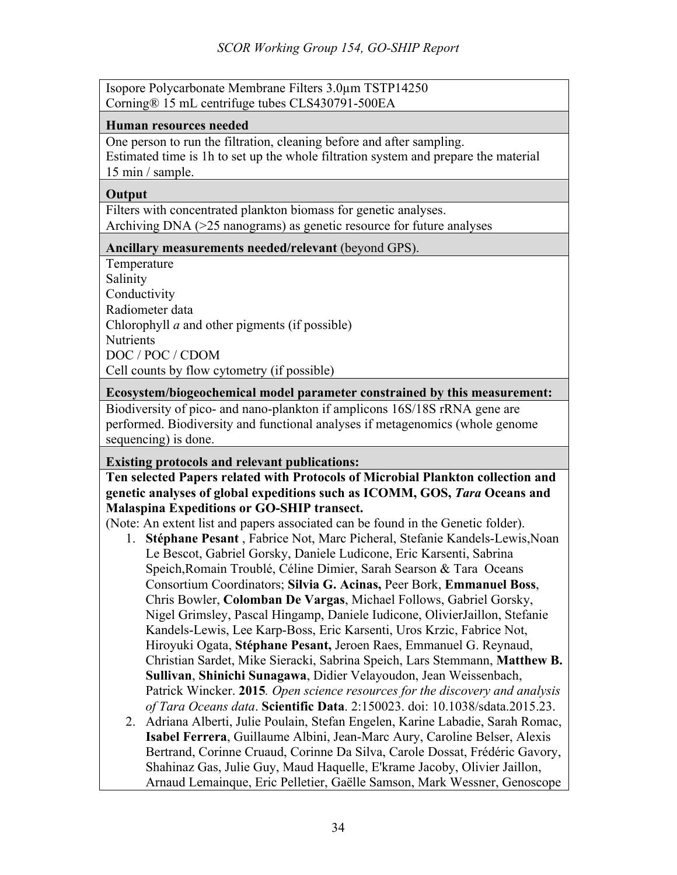Isopore Polycarbonate Membrane Filters 3.0µm TSTP14250 Corning® 15 mL centrifuge tubes CLS430791-500EA

#### **Human resources needed**

One person to run the filtration, cleaning before and after sampling. Estimated time is 1h to set up the whole filtration system and prepare the material 15 min / sample.

#### **Output**

Filters with concentrated plankton biomass for genetic analyses. Archiving DNA (>25 nanograms) as genetic resource for future analyses

#### **Ancillary measurements needed/relevant** (beyond GPS).

Temperature Salinity Conductivity Radiometer data Chlorophyll *a* and other pigments (if possible) Nutrients DOC / POC / CDOM Cell counts by flow cytometry (if possible)

#### **Ecosystem/biogeochemical model parameter constrained by this measurement:**

Biodiversity of pico- and nano-plankton if amplicons 16S/18S rRNA gene are performed. Biodiversity and functional analyses if metagenomics (whole genome sequencing) is done.

## **Existing protocols and relevant publications:**

# **Ten selected Papers related with Protocols of Microbial Plankton collection and genetic analyses of global expeditions such as ICOMM, GOS,** *Tara* **Oceans and Malaspina Expeditions or GO-SHIP transect.**

(Note: An extent list and papers associated can be found in the Genetic folder).

- 1. **Stéphane Pesant** , Fabrice Not, Marc Picheral, Stefanie Kandels-Lewis,Noan Le Bescot, Gabriel Gorsky, Daniele Ludicone, Eric Karsenti, Sabrina Speich,Romain Troublé, Céline Dimier, Sarah Searson & Tara Oceans Consortium Coordinators; **Silvia G. Acinas,** Peer Bork, **Emmanuel Boss**, Chris Bowler, **Colomban De Vargas**, Michael Follows, Gabriel Gorsky, Nigel Grimsley, Pascal Hingamp, Daniele Iudicone, OlivierJaillon, Stefanie Kandels-Lewis, Lee Karp-Boss, Eric Karsenti, Uros Krzic, Fabrice Not, Hiroyuki Ogata, **Stéphane Pesant,** Jeroen Raes, Emmanuel G. Reynaud, Christian Sardet, Mike Sieracki, Sabrina Speich, Lars Stemmann, **Matthew B. Sullivan**, **Shinichi Sunagawa**, Didier Velayoudon, Jean Weissenbach, Patrick Wincker. **2015***. Open science resources for the discovery and analysis of Tara Oceans data*. **Scientific Data**. 2:150023. doi: 10.1038/sdata.2015.23.
- 2. Adriana Alberti, Julie Poulain, Stefan Engelen, Karine Labadie, Sarah Romac, **Isabel Ferrera**, Guillaume Albini, Jean-Marc Aury, Caroline Belser, Alexis Bertrand, Corinne Cruaud, Corinne Da Silva, Carole Dossat, Frédéric Gavory, Shahinaz Gas, Julie Guy, Maud Haquelle, E'krame Jacoby, Olivier Jaillon, Arnaud Lemainque, Eric Pelletier, Gaëlle Samson, Mark Wessner, Genoscope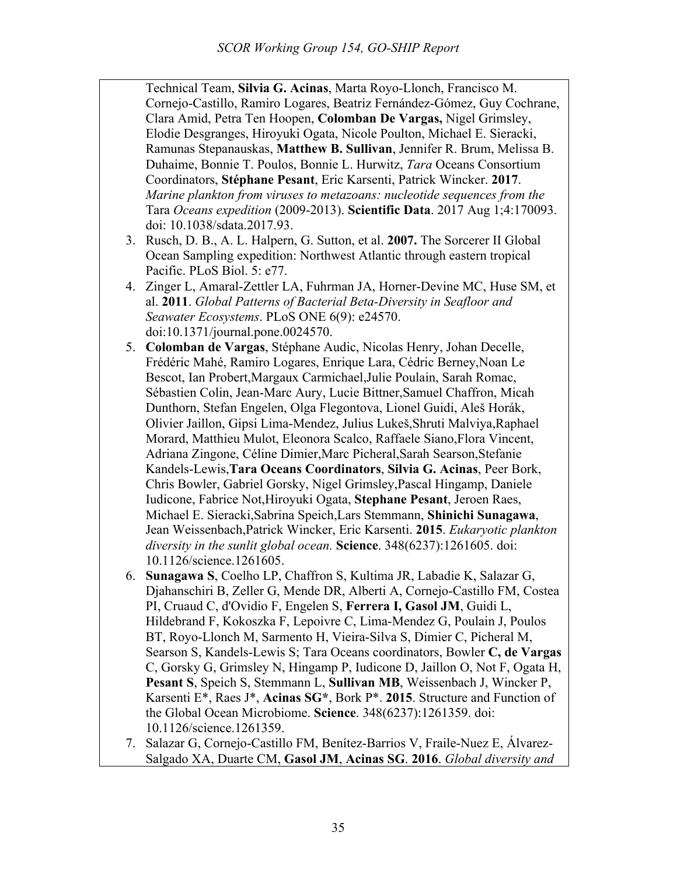Technical Team, **Silvia G. Acinas**, Marta Royo-Llonch, Francisco M. Cornejo-Castillo, Ramiro Logares, Beatriz Fernández-Gómez, Guy Cochrane, Clara Amid, Petra Ten Hoopen, **Colomban De Vargas,** Nigel Grimsley, Elodie Desgranges, Hiroyuki Ogata, Nicole Poulton, Michael E. Sieracki, Ramunas Stepanauskas, **Matthew B. Sullivan**, Jennifer R. Brum, Melissa B. Duhaime, Bonnie T. Poulos, Bonnie L. Hurwitz, *Tara* Oceans Consortium Coordinators, **Stéphane Pesant**, Eric Karsenti, Patrick Wincker. **2017**. *Marine plankton from viruses to metazoans: nucleotide sequences from the*  Tara *Oceans expedition* (2009-2013). **Scientific Data**. 2017 Aug 1;4:170093. doi: 10.1038/sdata.2017.93.

- 3. Rusch, D. B., A. L. Halpern, G. Sutton, et al. **2007.** The Sorcerer II Global Ocean Sampling expedition: Northwest Atlantic through eastern tropical Pacific. PLoS Biol. 5: e77.
- 4. Zinger L, Amaral-Zettler LA, Fuhrman JA, Horner-Devine MC, Huse SM, et al. **2011**. *Global Patterns of Bacterial Beta-Diversity in Seafloor and Seawater Ecosystems*. PLoS ONE 6(9): e24570. doi:10.1371/journal.pone.0024570.
- 5. **Colomban de Vargas**, Stéphane Audic, Nicolas Henry, Johan Decelle, Frédéric Mahé, Ramiro Logares, Enrique Lara, Cédric Berney,Noan Le Bescot, Ian Probert,Margaux Carmichael,Julie Poulain, Sarah Romac, Sébastien Colin, Jean-Marc Aury, Lucie Bittner,Samuel Chaffron, Micah Dunthorn, Stefan Engelen, Olga Flegontova, Lionel Guidi, Aleš Horák, Olivier Jaillon, Gipsi Lima-Mendez, Julius Lukeš,Shruti Malviya,Raphael Morard, Matthieu Mulot, Eleonora Scalco, Raffaele Siano,Flora Vincent, Adriana Zingone, Céline Dimier,Marc Picheral,Sarah Searson,Stefanie Kandels-Lewis,**Tara Oceans Coordinators**, **Silvia G. Acinas**, Peer Bork, Chris Bowler, Gabriel Gorsky, Nigel Grimsley,Pascal Hingamp, Daniele Iudicone, Fabrice Not,Hiroyuki Ogata, **Stephane Pesant**, Jeroen Raes, Michael E. Sieracki,Sabrina Speich,Lars Stemmann, **Shinichi Sunagawa**, Jean Weissenbach,Patrick Wincker, Eric Karsenti. **2015**. *Eukaryotic plankton diversity in the sunlit global ocean.* **Science**. 348(6237):1261605. doi: 10.1126/science.1261605.
- 6. **Sunagawa S**, Coelho LP, Chaffron S, Kultima JR, Labadie K, Salazar G, Djahanschiri B, Zeller G, Mende DR, Alberti A, Cornejo-Castillo FM, Costea PI, Cruaud C, d'Ovidio F, Engelen S, **Ferrera I, Gasol JM**, Guidi L, Hildebrand F, Kokoszka F, Lepoivre C, Lima-Mendez G, Poulain J, Poulos BT, Royo-Llonch M, Sarmento H, Vieira-Silva S, Dimier C, Picheral M, Searson S, Kandels-Lewis S; Tara Oceans coordinators, Bowler **C, de Vargas** C, Gorsky G, Grimsley N, Hingamp P, Iudicone D, Jaillon O, Not F, Ogata H, **Pesant S**, Speich S, Stemmann L, **Sullivan MB**, Weissenbach J, Wincker P, Karsenti E\*, Raes J\*, **Acinas SG\***, Bork P\*. **2015**. Structure and Function of the Global Ocean Microbiome. **Science**. 348(6237):1261359. doi: 10.1126/science.1261359.
- 7. Salazar G, Cornejo-Castillo FM, Benítez-Barrios V, Fraile-Nuez E, Álvarez-Salgado XA, Duarte CM, **Gasol JM**, **Acinas SG**. **2016**. *Global diversity and*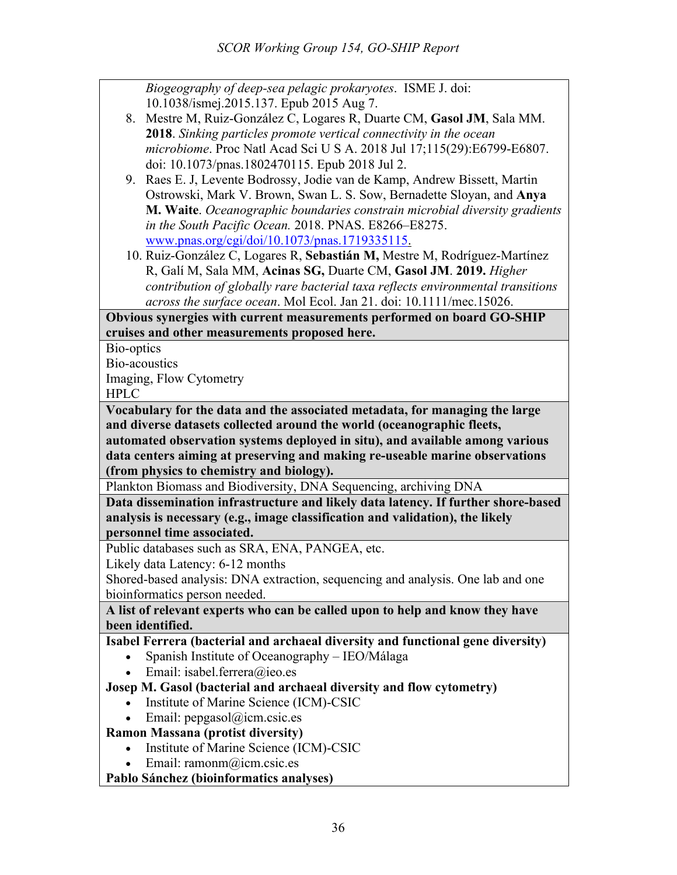*Biogeography of deep-sea pelagic prokaryotes*. ISME J. doi: 10.1038/ismej.2015.137. Epub 2015 Aug 7. 8. Mestre M, Ruiz-González C, Logares R, Duarte CM, **Gasol JM**, Sala MM. **2018**. *Sinking particles promote vertical connectivity in the ocean microbiome*. Proc Natl Acad Sci U S A. 2018 Jul 17;115(29):E6799-E6807. doi: 10.1073/pnas.1802470115. Epub 2018 Jul 2. 9. Raes E. J, Levente Bodrossy, Jodie van de Kamp, Andrew Bissett, Martin Ostrowski, Mark V. Brown, Swan L. S. Sow, Bernadette Sloyan, and **Anya M. Waite**. *Oceanographic boundaries constrain microbial diversity gradients in the South Pacific Ocean.* 2018. PNAS. E8266–E8275. www.pnas.org/cgi/doi/10.1073/pnas.1719335115. 10. Ruiz-González C, Logares R, **Sebastián M,** Mestre M, Rodríguez-Martínez R, Galí M, Sala MM, **Acinas SG,** Duarte CM, **Gasol JM**. **2019.** *Higher contribution of globally rare bacterial taxa reflects environmental transitions across the surface ocean*. Mol Ecol. Jan 21. doi: 10.1111/mec.15026. **Obvious synergies with current measurements performed on board GO-SHIP cruises and other measurements proposed here.** Bio-optics Bio-acoustics Imaging, Flow Cytometry HPLC **Vocabulary for the data and the associated metadata, for managing the large and diverse datasets collected around the world (oceanographic fleets, automated observation systems deployed in situ), and available among various data centers aiming at preserving and making re-useable marine observations (from physics to chemistry and biology).** Plankton Biomass and Biodiversity, DNA Sequencing, archiving DNA **Data dissemination infrastructure and likely data latency. If further shore-based analysis is necessary (e.g., image classification and validation), the likely personnel time associated.** Public databases such as SRA, ENA, PANGEA, etc. Likely data Latency: 6-12 months Shored-based analysis: DNA extraction, sequencing and analysis. One lab and one bioinformatics person needed. **A list of relevant experts who can be called upon to help and know they have been identified. Isabel Ferrera (bacterial and archaeal diversity and functional gene diversity)** • Spanish Institute of Oceanography – IEO/Málaga • Email: isabel.ferrera@ieo.es **Josep M. Gasol (bacterial and archaeal diversity and flow cytometry)** • Institute of Marine Science (ICM)-CSIC • Email:  $pepgasol(\widehat{a})$ icm.csic.es **Ramon Massana (protist diversity)** • Institute of Marine Science (ICM)-CSIC • Email: ramonm@icm.csic.es **Pablo Sánchez (bioinformatics analyses)**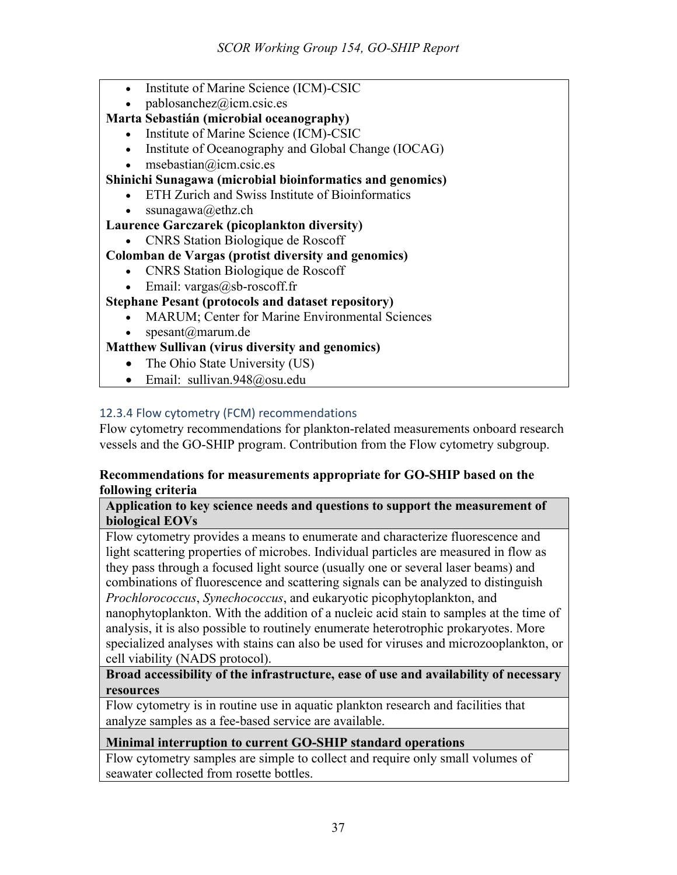- Institute of Marine Science (ICM)-CSIC
- pablosanchez@icm.csic.es

# **Marta Sebastián (microbial oceanography)**

- Institute of Marine Science (ICM)-CSIC
- Institute of Oceanography and Global Change (IOCAG)
- $\bullet$  msebastian@icm.csic.es

# **Shinichi Sunagawa (microbial bioinformatics and genomics)**

- ETH Zurich and Swiss Institute of Bioinformatics
- ssunagawa@ethz.ch

# **Laurence Garczarek (picoplankton diversity)**

• CNRS Station Biologique de Roscoff

# **Colomban de Vargas (protist diversity and genomics)**

- CNRS Station Biologique de Roscoff
- Email:  $vargas@sb$ -roscoff.fr

# **Stephane Pesant (protocols and dataset repository)**

- MARUM; Center for Marine Environmental Sciences
- spesant@marum.de

# **Matthew Sullivan (virus diversity and genomics)**

- The Ohio State University (US)
- Email: sullivan.948@osu.edu

# 12.3.4 Flow cytometry (FCM) recommendations

Flow cytometry recommendations for plankton-related measurements onboard research vessels and the GO-SHIP program. Contribution from the Flow cytometry subgroup.

#### **Recommendations for measurements appropriate for GO-SHIP based on the following criteria**

#### **Application to key science needs and questions to support the measurement of biological EOVs**

Flow cytometry provides a means to enumerate and characterize fluorescence and light scattering properties of microbes. Individual particles are measured in flow as they pass through a focused light source (usually one or several laser beams) and combinations of fluorescence and scattering signals can be analyzed to distinguish

*Prochlorococcus*, *Synechococcus*, and eukaryotic picophytoplankton, and nanophytoplankton. With the addition of a nucleic acid stain to samples at the time of analysis, it is also possible to routinely enumerate heterotrophic prokaryotes. More specialized analyses with stains can also be used for viruses and microzooplankton, or cell viability (NADS protocol).

## **Broad accessibility of the infrastructure, ease of use and availability of necessary resources**

Flow cytometry is in routine use in aquatic plankton research and facilities that analyze samples as a fee-based service are available.

# **Minimal interruption to current GO-SHIP standard operations**

Flow cytometry samples are simple to collect and require only small volumes of seawater collected from rosette bottles.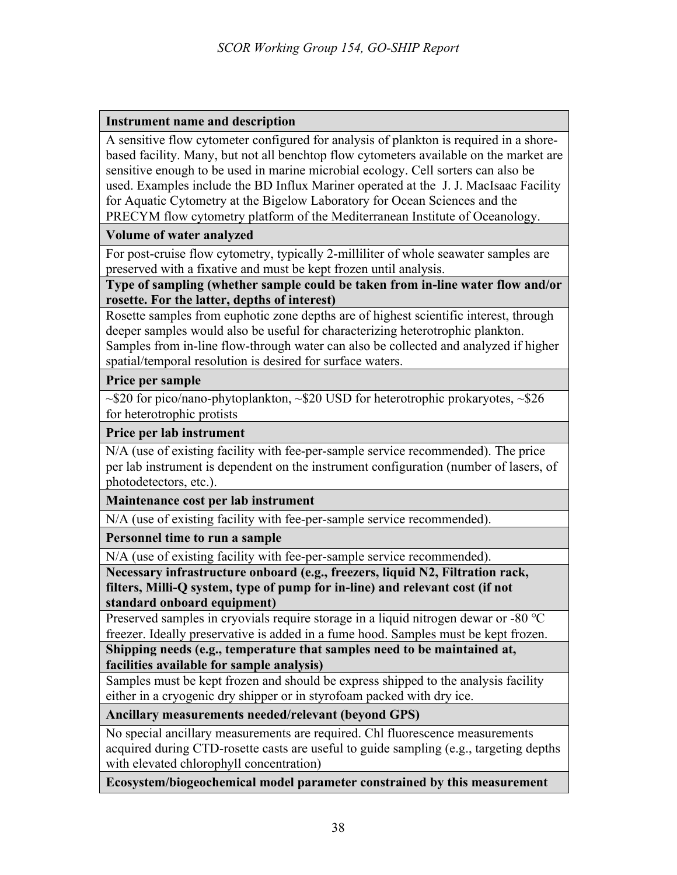## **Instrument name and description**

A sensitive flow cytometer configured for analysis of plankton is required in a shorebased facility. Many, but not all benchtop flow cytometers available on the market are sensitive enough to be used in marine microbial ecology. Cell sorters can also be used. Examples include the BD Influx Mariner operated at the J. J. MacIsaac Facility for Aquatic Cytometry at the Bigelow Laboratory for Ocean Sciences and the PRECYM flow cytometry platform of the Mediterranean Institute of Oceanology.

## **Volume of water analyzed**

For post-cruise flow cytometry, typically 2-milliliter of whole seawater samples are preserved with a fixative and must be kept frozen until analysis.

**Type of sampling (whether sample could be taken from in-line water flow and/or rosette. For the latter, depths of interest)**

Rosette samples from euphotic zone depths are of highest scientific interest, through deeper samples would also be useful for characterizing heterotrophic plankton. Samples from in-line flow-through water can also be collected and analyzed if higher spatial/temporal resolution is desired for surface waters.

## **Price per sample**

 $\sim$ \$20 for pico/nano-phytoplankton,  $\sim$ \$20 USD for heterotrophic prokaryotes,  $\sim$ \$26 for heterotrophic protists

#### **Price per lab instrument**

N/A (use of existing facility with fee-per-sample service recommended). The price per lab instrument is dependent on the instrument configuration (number of lasers, of photodetectors, etc.).

**Maintenance cost per lab instrument**

N/A (use of existing facility with fee-per-sample service recommended).

**Personnel time to run a sample**

N/A (use of existing facility with fee-per-sample service recommended).

**Necessary infrastructure onboard (e.g., freezers, liquid N2, Filtration rack, filters, Milli-Q system, type of pump for in-line) and relevant cost (if not standard onboard equipment)**

Preserved samples in cryovials require storage in a liquid nitrogen dewar or -80 ℃ freezer. Ideally preservative is added in a fume hood. Samples must be kept frozen.

**Shipping needs (e.g., temperature that samples need to be maintained at, facilities available for sample analysis)**

Samples must be kept frozen and should be express shipped to the analysis facility either in a cryogenic dry shipper or in styrofoam packed with dry ice.

**Ancillary measurements needed/relevant (beyond GPS)**

No special ancillary measurements are required. Chl fluorescence measurements acquired during CTD-rosette casts are useful to guide sampling (e.g., targeting depths with elevated chlorophyll concentration)

**Ecosystem/biogeochemical model parameter constrained by this measurement**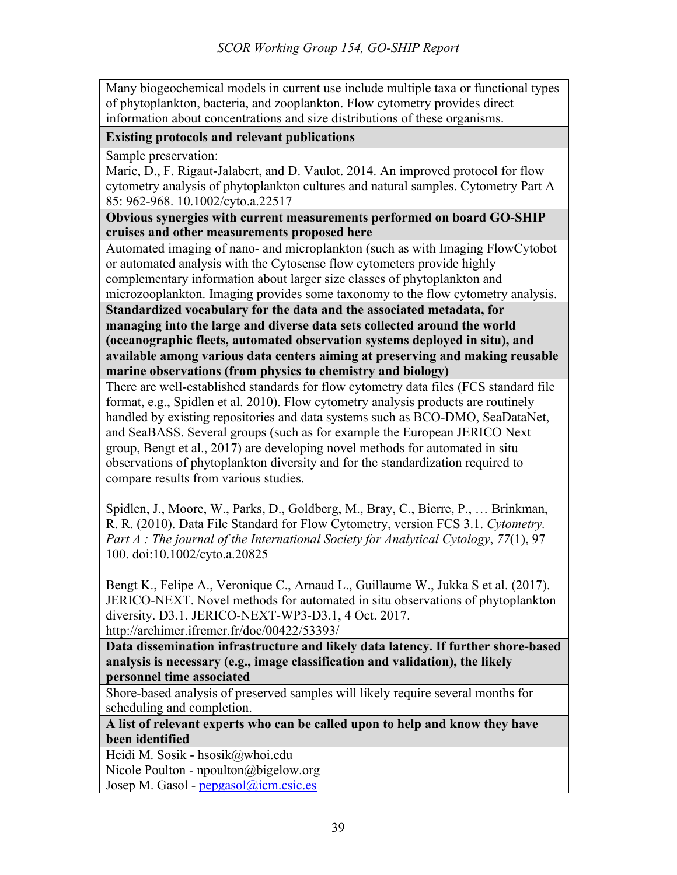Many biogeochemical models in current use include multiple taxa or functional types of phytoplankton, bacteria, and zooplankton. Flow cytometry provides direct information about concentrations and size distributions of these organisms.

#### **Existing protocols and relevant publications**

Sample preservation:

Marie, D., F. Rigaut-Jalabert, and D. Vaulot. 2014. An improved protocol for flow cytometry analysis of phytoplankton cultures and natural samples. Cytometry Part A 85: 962-968. 10.1002/cyto.a.22517

**Obvious synergies with current measurements performed on board GO-SHIP cruises and other measurements proposed here**

Automated imaging of nano- and microplankton (such as with Imaging FlowCytobot or automated analysis with the Cytosense flow cytometers provide highly complementary information about larger size classes of phytoplankton and microzooplankton. Imaging provides some taxonomy to the flow cytometry analysis.

**Standardized vocabulary for the data and the associated metadata, for managing into the large and diverse data sets collected around the world (oceanographic fleets, automated observation systems deployed in situ), and available among various data centers aiming at preserving and making reusable marine observations (from physics to chemistry and biology)**

There are well-established standards for flow cytometry data files (FCS standard file format, e.g., Spidlen et al. 2010). Flow cytometry analysis products are routinely handled by existing repositories and data systems such as BCO-DMO, SeaDataNet, and SeaBASS. Several groups (such as for example the European JERICO Next group, Bengt et al., 2017) are developing novel methods for automated in situ observations of phytoplankton diversity and for the standardization required to compare results from various studies.

Spidlen, J., Moore, W., Parks, D., Goldberg, M., Bray, C., Bierre, P., … Brinkman, R. R. (2010). Data File Standard for Flow Cytometry, version FCS 3.1. *Cytometry. Part A : The journal of the International Society for Analytical Cytology*, *77*(1), 97– 100. doi:10.1002/cyto.a.20825

Bengt K., Felipe A., Veronique C., Arnaud L., Guillaume W., Jukka S et al. (2017). JERICO-NEXT. Novel methods for automated in situ observations of phytoplankton diversity. D3.1. JERICO-NEXT-WP3-D3.1, 4 Oct. 2017. http://archimer.ifremer.fr/doc/00422/53393/

**Data dissemination infrastructure and likely data latency. If further shore-based analysis is necessary (e.g., image classification and validation), the likely personnel time associated**

Shore-based analysis of preserved samples will likely require several months for scheduling and completion.

**A list of relevant experts who can be called upon to help and know they have been identified**

Heidi M. Sosik - hsosik@whoi.edu Nicole Poulton - npoulton@bigelow.org Josep M. Gasol -  $pepgasol@icm.csic.es$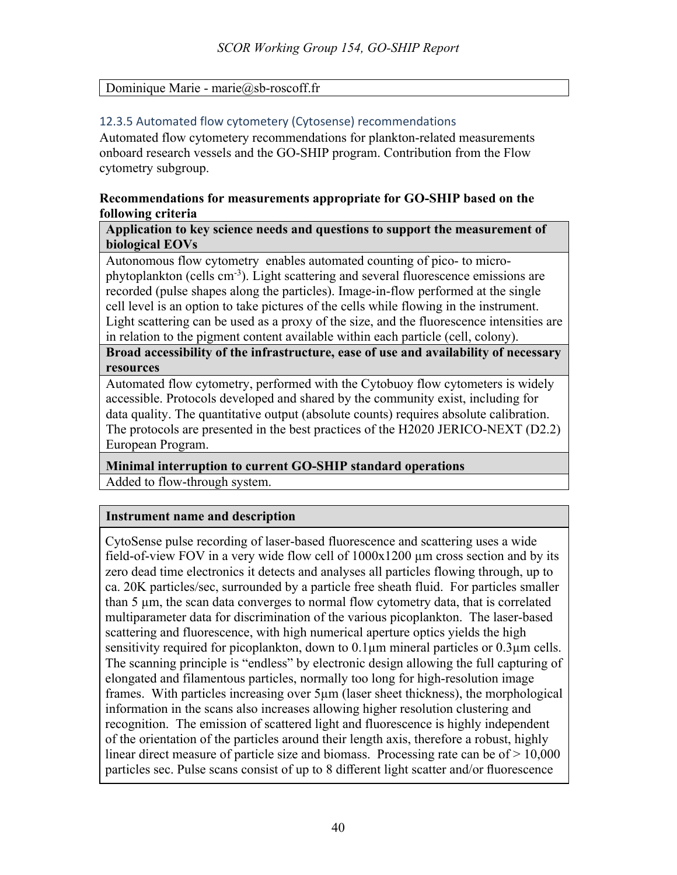## Dominique Marie - marie@sb-roscoff.fr

# 12.3.5 Automated flow cytometery (Cytosense) recommendations

Automated flow cytometery recommendations for plankton-related measurements onboard research vessels and the GO-SHIP program. Contribution from the Flow cytometry subgroup.

#### **Recommendations for measurements appropriate for GO-SHIP based on the following criteria**

#### **Application to key science needs and questions to support the measurement of biological EOVs**

Autonomous flow cytometry enables automated counting of pico- to microphytoplankton (cells cm<sup>-3</sup>). Light scattering and several fluorescence emissions are recorded (pulse shapes along the particles). Image-in-flow performed at the single cell level is an option to take pictures of the cells while flowing in the instrument. Light scattering can be used as a proxy of the size, and the fluorescence intensities are in relation to the pigment content available within each particle (cell, colony).

**Broad accessibility of the infrastructure, ease of use and availability of necessary resources**

Automated flow cytometry, performed with the Cytobuoy flow cytometers is widely accessible. Protocols developed and shared by the community exist, including for data quality. The quantitative output (absolute counts) requires absolute calibration. The protocols are presented in the best practices of the H2020 JERICO-NEXT (D2.2) European Program.

**Minimal interruption to current GO-SHIP standard operations** Added to flow-through system.

## **Instrument name and description**

CytoSense pulse recording of laser-based fluorescence and scattering uses a wide field-of-view FOV in a very wide flow cell of  $1000x1200 \mu m$  cross section and by its zero dead time electronics it detects and analyses all particles flowing through, up to ca. 20K particles/sec, surrounded by a particle free sheath fluid. For particles smaller than 5 µm, the scan data converges to normal flow cytometry data, that is correlated multiparameter data for discrimination of the various picoplankton. The laser-based scattering and fluorescence, with high numerical aperture optics yields the high sensitivity required for picoplankton, down to 0.1µm mineral particles or 0.3µm cells. The scanning principle is "endless" by electronic design allowing the full capturing of elongated and filamentous particles, normally too long for high-resolution image frames. With particles increasing over 5µm (laser sheet thickness), the morphological information in the scans also increases allowing higher resolution clustering and recognition. The emission of scattered light and fluorescence is highly independent of the orientation of the particles around their length axis, therefore a robust, highly linear direct measure of particle size and biomass. Processing rate can be of  $\geq 10,000$ particles sec. Pulse scans consist of up to 8 different light scatter and/or fluorescence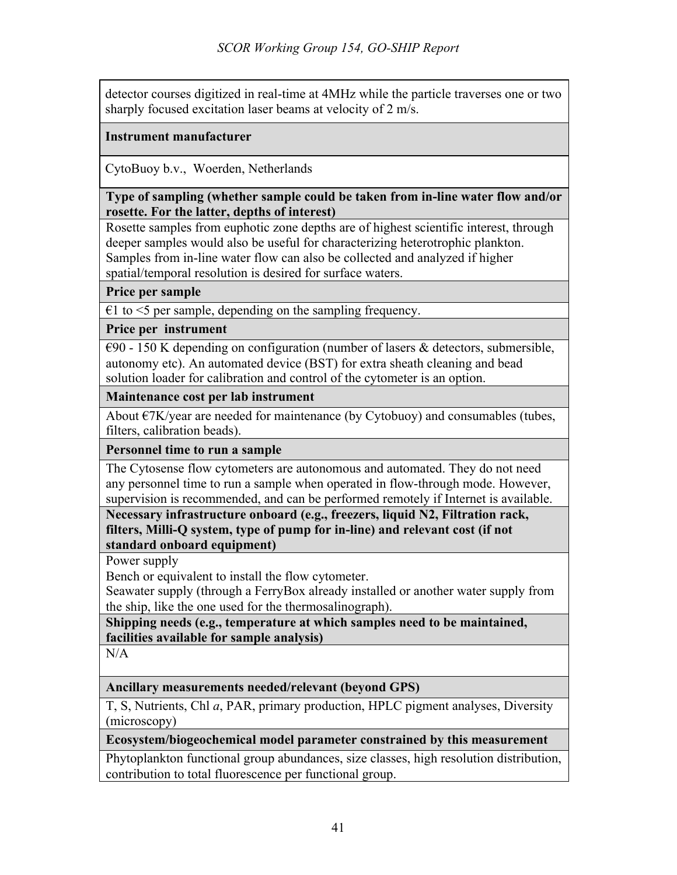detector courses digitized in real-time at 4MHz while the particle traverses one or two sharply focused excitation laser beams at velocity of 2 m/s.

## **Instrument manufacturer**

CytoBuoy b.v., Woerden, Netherlands

#### **Type of sampling (whether sample could be taken from in-line water flow and/or rosette. For the latter, depths of interest)**

Rosette samples from euphotic zone depths are of highest scientific interest, through deeper samples would also be useful for characterizing heterotrophic plankton. Samples from in-line water flow can also be collected and analyzed if higher spatial/temporal resolution is desired for surface waters.

# **Price per sample**

 $\epsilon$ 1 to <5 per sample, depending on the sampling frequency.

## **Price per instrument**

 $\epsilon$ 90 - 150 K depending on configuration (number of lasers & detectors, submersible, autonomy etc). An automated device (BST) for extra sheath cleaning and bead solution loader for calibration and control of the cytometer is an option.

## **Maintenance cost per lab instrument**

About  $\epsilon$ 7K/year are needed for maintenance (by Cytobuoy) and consumables (tubes, filters, calibration beads).

## **Personnel time to run a sample**

The Cytosense flow cytometers are autonomous and automated. They do not need any personnel time to run a sample when operated in flow-through mode. However, supervision is recommended, and can be performed remotely if Internet is available.

**Necessary infrastructure onboard (e.g., freezers, liquid N2, Filtration rack, filters, Milli-Q system, type of pump for in-line) and relevant cost (if not standard onboard equipment)**

Power supply

Bench or equivalent to install the flow cytometer.

Seawater supply (through a FerryBox already installed or another water supply from the ship, like the one used for the thermosalinograph).

**Shipping needs (e.g., temperature at which samples need to be maintained, facilities available for sample analysis)**

 $N/A$ 

## **Ancillary measurements needed/relevant (beyond GPS)**

T, S, Nutrients, Chl *a*, PAR, primary production, HPLC pigment analyses, Diversity (microscopy)

## **Ecosystem/biogeochemical model parameter constrained by this measurement**

Phytoplankton functional group abundances, size classes, high resolution distribution, contribution to total fluorescence per functional group.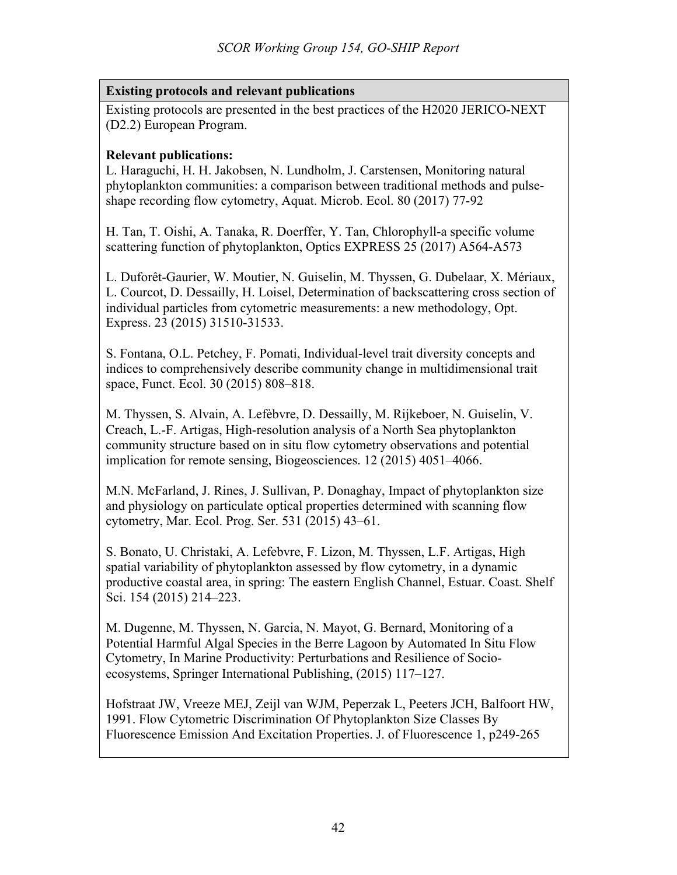# **Existing protocols and relevant publications**

Existing protocols are presented in the best practices of the H2020 JERICO-NEXT (D2.2) European Program.

## **Relevant publications:**

L. Haraguchi, H. H. Jakobsen, N. Lundholm, J. Carstensen, Monitoring natural phytoplankton communities: a comparison between traditional methods and pulseshape recording flow cytometry, Aquat. Microb. Ecol. 80 (2017) 77-92

H. Tan, T. Oishi, A. Tanaka, R. Doerffer, Y. Tan, Chlorophyll-a specific volume scattering function of phytoplankton, Optics EXPRESS 25 (2017) A564-A573

L. Duforêt-Gaurier, W. Moutier, N. Guiselin, M. Thyssen, G. Dubelaar, X. Mériaux, L. Courcot, D. Dessailly, H. Loisel, Determination of backscattering cross section of individual particles from cytometric measurements: a new methodology, Opt. Express. 23 (2015) 31510-31533.

S. Fontana, O.L. Petchey, F. Pomati, Individual-level trait diversity concepts and indices to comprehensively describe community change in multidimensional trait space, Funct. Ecol. 30 (2015) 808–818.

M. Thyssen, S. Alvain, A. Lefèbvre, D. Dessailly, M. Rijkeboer, N. Guiselin, V. Creach, L.-F. Artigas, High-resolution analysis of a North Sea phytoplankton community structure based on in situ flow cytometry observations and potential implication for remote sensing, Biogeosciences. 12 (2015) 4051–4066.

M.N. McFarland, J. Rines, J. Sullivan, P. Donaghay, Impact of phytoplankton size and physiology on particulate optical properties determined with scanning flow cytometry, Mar. Ecol. Prog. Ser. 531 (2015) 43–61.

S. Bonato, U. Christaki, A. Lefebvre, F. Lizon, M. Thyssen, L.F. Artigas, High spatial variability of phytoplankton assessed by flow cytometry, in a dynamic productive coastal area, in spring: The eastern English Channel, Estuar. Coast. Shelf Sci. 154 (2015) 214–223.

M. Dugenne, M. Thyssen, N. Garcia, N. Mayot, G. Bernard, Monitoring of a Potential Harmful Algal Species in the Berre Lagoon by Automated In Situ Flow Cytometry, In Marine Productivity: Perturbations and Resilience of Socioecosystems, Springer International Publishing, (2015) 117–127.

Hofstraat JW, Vreeze MEJ, Zeijl van WJM, Peperzak L, Peeters JCH, Balfoort HW, 1991. Flow Cytometric Discrimination Of Phytoplankton Size Classes By Fluorescence Emission And Excitation Properties. J. of Fluorescence 1, p249-265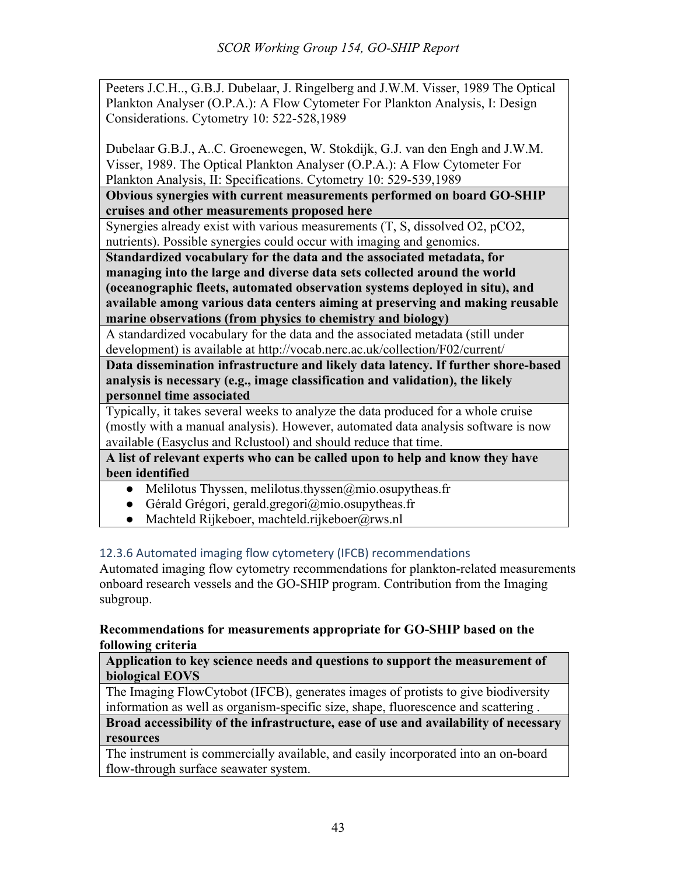Peeters J.C.H.., G.B.J. Dubelaar, J. Ringelberg and J.W.M. Visser, 1989 The Optical Plankton Analyser (O.P.A.): A Flow Cytometer For Plankton Analysis, I: Design Considerations. Cytometry 10: 522-528,1989

Dubelaar G.B.J., A..C. Groenewegen, W. Stokdijk, G.J. van den Engh and J.W.M. Visser, 1989. The Optical Plankton Analyser (O.P.A.): A Flow Cytometer For Plankton Analysis, II: Specifications. Cytometry 10: 529-539,1989

**Obvious synergies with current measurements performed on board GO-SHIP cruises and other measurements proposed here**

Synergies already exist with various measurements (T, S, dissolved O2, pCO2, nutrients). Possible synergies could occur with imaging and genomics.

**Standardized vocabulary for the data and the associated metadata, for managing into the large and diverse data sets collected around the world (oceanographic fleets, automated observation systems deployed in situ), and available among various data centers aiming at preserving and making reusable marine observations (from physics to chemistry and biology)**

A standardized vocabulary for the data and the associated metadata (still under development) is available at http://vocab.nerc.ac.uk/collection/F02/current/

**Data dissemination infrastructure and likely data latency. If further shore-based analysis is necessary (e.g., image classification and validation), the likely personnel time associated**

Typically, it takes several weeks to analyze the data produced for a whole cruise (mostly with a manual analysis). However, automated data analysis software is now available (Easyclus and Rclustool) and should reduce that time.

**A list of relevant experts who can be called upon to help and know they have been identified**

- Melilotus Thyssen, melilotus.thyssen $@$ mio.osupytheas.fr
- Gérald Grégori, gerald.gregori@mio.osupytheas.fr
- Machteld Rijkeboer, machteld.rijkeboer@rws.nl

# 12.3.6 Automated imaging flow cytometery (IFCB) recommendations

Automated imaging flow cytometry recommendations for plankton-related measurements onboard research vessels and the GO-SHIP program. Contribution from the Imaging subgroup.

## **Recommendations for measurements appropriate for GO-SHIP based on the following criteria**

**Application to key science needs and questions to support the measurement of biological EOVS**

The Imaging FlowCytobot (IFCB), generates images of protists to give biodiversity information as well as organism-specific size, shape, fluorescence and scattering .

**Broad accessibility of the infrastructure, ease of use and availability of necessary resources**

The instrument is commercially available, and easily incorporated into an on-board flow-through surface seawater system.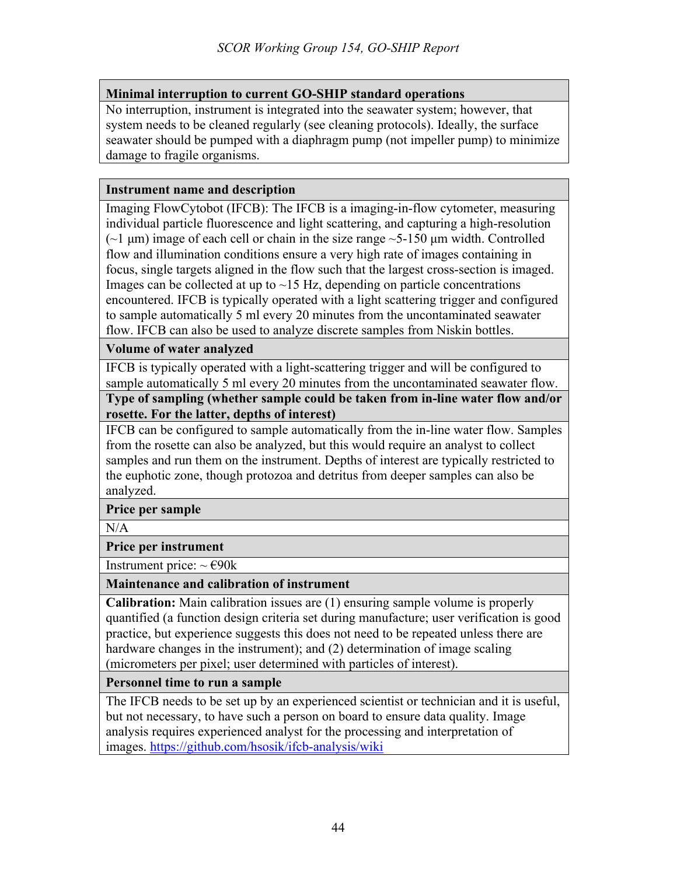# **Minimal interruption to current GO-SHIP standard operations**

No interruption, instrument is integrated into the seawater system; however, that system needs to be cleaned regularly (see cleaning protocols). Ideally, the surface seawater should be pumped with a diaphragm pump (not impeller pump) to minimize damage to fragile organisms.

#### **Instrument name and description**

Imaging FlowCytobot (IFCB): The IFCB is a imaging-in-flow cytometer, measuring individual particle fluorescence and light scattering, and capturing a high-resolution  $(-1 \mu m)$  image of each cell or chain in the size range  $-5-150 \mu m$  width. Controlled flow and illumination conditions ensure a very high rate of images containing in focus, single targets aligned in the flow such that the largest cross-section is imaged. Images can be collected at up to  $\sim$ 15 Hz, depending on particle concentrations encountered. IFCB is typically operated with a light scattering trigger and configured to sample automatically 5 ml every 20 minutes from the uncontaminated seawater flow. IFCB can also be used to analyze discrete samples from Niskin bottles.

## **Volume of water analyzed**

IFCB is typically operated with a light-scattering trigger and will be configured to sample automatically 5 ml every 20 minutes from the uncontaminated seawater flow. **Type of sampling (whether sample could be taken from in-line water flow and/or** 

#### **rosette. For the latter, depths of interest)**

IFCB can be configured to sample automatically from the in-line water flow. Samples from the rosette can also be analyzed, but this would require an analyst to collect samples and run them on the instrument. Depths of interest are typically restricted to the euphotic zone, though protozoa and detritus from deeper samples can also be analyzed.

## **Price per sample**

N/A

**Price per instrument** 

Instrument price:  $\sim \text{\textsterling}90k$ 

**Maintenance and calibration of instrument**

**Calibration:** Main calibration issues are (1) ensuring sample volume is properly quantified (a function design criteria set during manufacture; user verification is good practice, but experience suggests this does not need to be repeated unless there are hardware changes in the instrument); and (2) determination of image scaling (micrometers per pixel; user determined with particles of interest).

## **Personnel time to run a sample**

The IFCB needs to be set up by an experienced scientist or technician and it is useful, but not necessary, to have such a person on board to ensure data quality. Image analysis requires experienced analyst for the processing and interpretation of images. https://github.com/hsosik/ifcb-analysis/wiki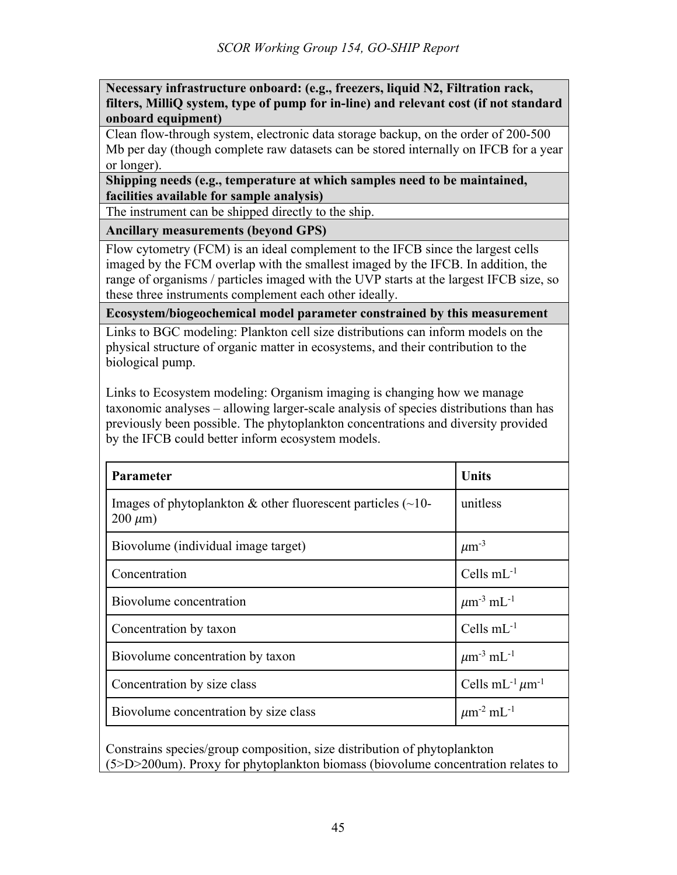**Necessary infrastructure onboard: (e.g., freezers, liquid N2, Filtration rack, filters, MilliQ system, type of pump for in-line) and relevant cost (if not standard onboard equipment)**

Clean flow-through system, electronic data storage backup, on the order of 200-500 Mb per day (though complete raw datasets can be stored internally on IFCB for a year or longer).

**Shipping needs (e.g., temperature at which samples need to be maintained, facilities available for sample analysis)**

The instrument can be shipped directly to the ship.

**Ancillary measurements (beyond GPS)**

Flow cytometry (FCM) is an ideal complement to the IFCB since the largest cells imaged by the FCM overlap with the smallest imaged by the IFCB. In addition, the range of organisms / particles imaged with the UVP starts at the largest IFCB size, so these three instruments complement each other ideally.

**Ecosystem/biogeochemical model parameter constrained by this measurement**

Links to BGC modeling: Plankton cell size distributions can inform models on the physical structure of organic matter in ecosystems, and their contribution to the biological pump.

Links to Ecosystem modeling: Organism imaging is changing how we manage taxonomic analyses – allowing larger-scale analysis of species distributions than has previously been possible. The phytoplankton concentrations and diversity provided by the IFCB could better inform ecosystem models.

| Parameter                                                                           | <b>Units</b>                                 |
|-------------------------------------------------------------------------------------|----------------------------------------------|
| Images of phytoplankton & other fluorescent particles $(\sim 10$ -<br>$200 \mu m$ ) | unitless                                     |
| Biovolume (individual image target)                                                 | $\mu$ m <sup>-3</sup>                        |
| Concentration                                                                       | Cells $mL^{-1}$                              |
| Biovolume concentration                                                             | $\mu$ m <sup>-3</sup> mL <sup>-1</sup>       |
| Concentration by taxon                                                              | Cells $mL^{-1}$                              |
| Biovolume concentration by taxon                                                    | $\mu$ m <sup>-3</sup> mL <sup>-1</sup>       |
| Concentration by size class                                                         | Cells mL <sup>-1</sup> $\mu$ m <sup>-1</sup> |
| Biovolume concentration by size class                                               | $\mu$ m <sup>-2</sup> mL <sup>-1</sup>       |

Constrains species/group composition, size distribution of phytoplankton (5>D>200um). Proxy for phytoplankton biomass (biovolume concentration relates to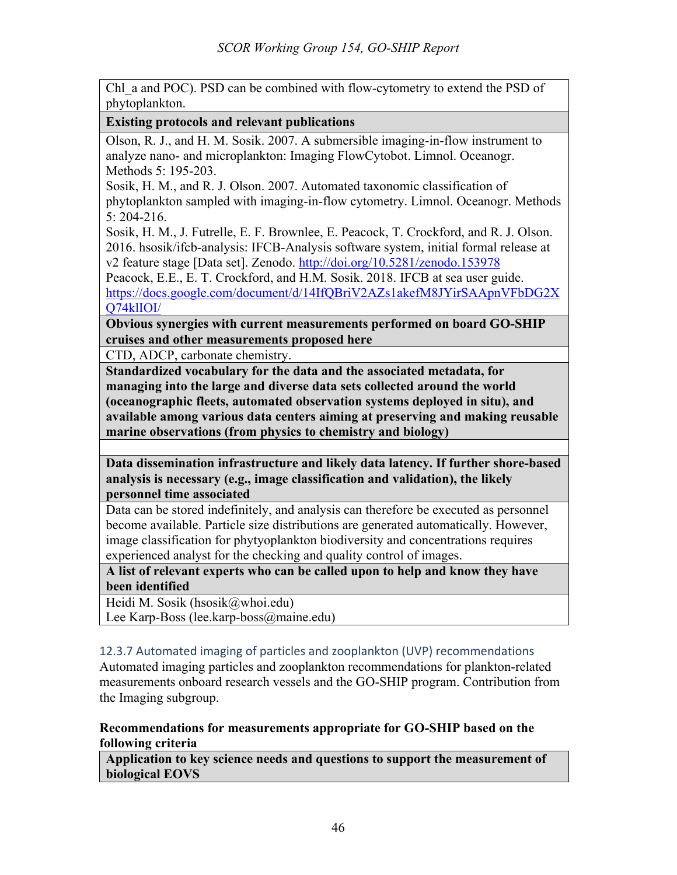Chl a and POC). PSD can be combined with flow-cytometry to extend the PSD of phytoplankton.

## **Existing protocols and relevant publications**

Olson, R. J., and H. M. Sosik. 2007. A submersible imaging-in-flow instrument to analyze nano- and microplankton: Imaging FlowCytobot. Limnol. Oceanogr. Methods 5: 195-203.

Sosik, H. M., and R. J. Olson. 2007. Automated taxonomic classification of phytoplankton sampled with imaging-in-flow cytometry. Limnol. Oceanogr. Methods 5: 204-216.

Sosik, H. M., J. Futrelle, E. F. Brownlee, E. Peacock, T. Crockford, and R. J. Olson. 2016. hsosik/ifcb-analysis: IFCB-Analysis software system, initial formal release at v2 feature stage [Data set]. Zenodo. http://doi.org/10.5281/zenodo.153978

Peacock, E.E., E. T. Crockford, and H.M. Sosik. 2018. IFCB at sea user guide. https://docs.google.com/document/d/14IfQBriV2AZs1akefM8JYirSAApnVFbDG2X Q74klIOI/

**Obvious synergies with current measurements performed on board GO-SHIP cruises and other measurements proposed here**

CTD, ADCP, carbonate chemistry.

**Standardized vocabulary for the data and the associated metadata, for managing into the large and diverse data sets collected around the world (oceanographic fleets, automated observation systems deployed in situ), and available among various data centers aiming at preserving and making reusable marine observations (from physics to chemistry and biology)**

**Data dissemination infrastructure and likely data latency. If further shore-based analysis is necessary (e.g., image classification and validation), the likely personnel time associated**

Data can be stored indefinitely, and analysis can therefore be executed as personnel become available. Particle size distributions are generated automatically. However, image classification for phytyoplankton biodiversity and concentrations requires experienced analyst for the checking and quality control of images.

**A list of relevant experts who can be called upon to help and know they have been identified**

Heidi M. Sosik (hsosik@whoi.edu)

Lee Karp-Boss (lee.karp-boss@maine.edu)

# 12.3.7 Automated imaging of particles and zooplankton (UVP) recommendations

Automated imaging particles and zooplankton recommendations for plankton-related measurements onboard research vessels and the GO-SHIP program. Contribution from the Imaging subgroup.

## **Recommendations for measurements appropriate for GO-SHIP based on the following criteria**

**Application to key science needs and questions to support the measurement of biological EOVS**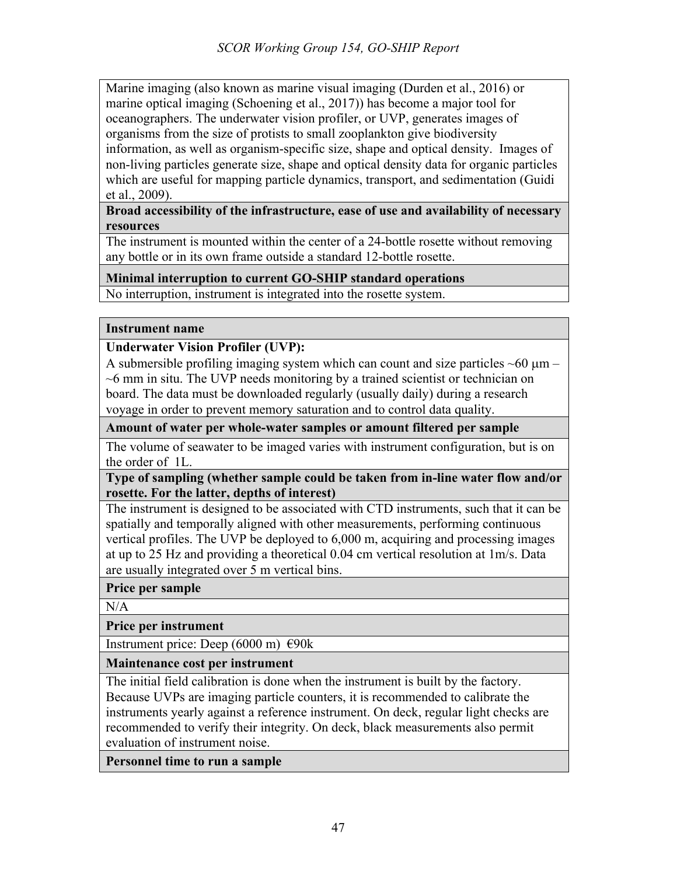Marine imaging (also known as marine visual imaging (Durden et al., 2016) or marine optical imaging (Schoening et al., 2017)) has become a major tool for oceanographers. The underwater vision profiler, or UVP, generates images of organisms from the size of protists to small zooplankton give biodiversity information, as well as organism-specific size, shape and optical density. Images of non-living particles generate size, shape and optical density data for organic particles which are useful for mapping particle dynamics, transport, and sedimentation (Guidi et al., 2009).

**Broad accessibility of the infrastructure, ease of use and availability of necessary resources**

The instrument is mounted within the center of a 24-bottle rosette without removing any bottle or in its own frame outside a standard 12-bottle rosette.

## **Minimal interruption to current GO-SHIP standard operations**

No interruption, instrument is integrated into the rosette system.

#### **Instrument name**

## **Underwater Vision Profiler (UVP):**

A submersible profiling imaging system which can count and size particles  $\sim 60 \mu m \sim$ 6 mm in situ. The UVP needs monitoring by a trained scientist or technician on board. The data must be downloaded regularly (usually daily) during a research voyage in order to prevent memory saturation and to control data quality.

**Amount of water per whole-water samples or amount filtered per sample**

The volume of seawater to be imaged varies with instrument configuration, but is on the order of 1L.

**Type of sampling (whether sample could be taken from in-line water flow and/or rosette. For the latter, depths of interest)**

The instrument is designed to be associated with CTD instruments, such that it can be spatially and temporally aligned with other measurements, performing continuous vertical profiles. The UVP be deployed to 6,000 m, acquiring and processing images at up to 25 Hz and providing a theoretical 0.04 cm vertical resolution at 1m/s. Data are usually integrated over 5 m vertical bins.

**Price per sample**

N/A

**Price per instrument** 

Instrument price: Deep (6000 m)  $\epsilon$ 90k

**Maintenance cost per instrument**

The initial field calibration is done when the instrument is built by the factory. Because UVPs are imaging particle counters, it is recommended to calibrate the instruments yearly against a reference instrument. On deck, regular light checks are recommended to verify their integrity. On deck, black measurements also permit evaluation of instrument noise.

**Personnel time to run a sample**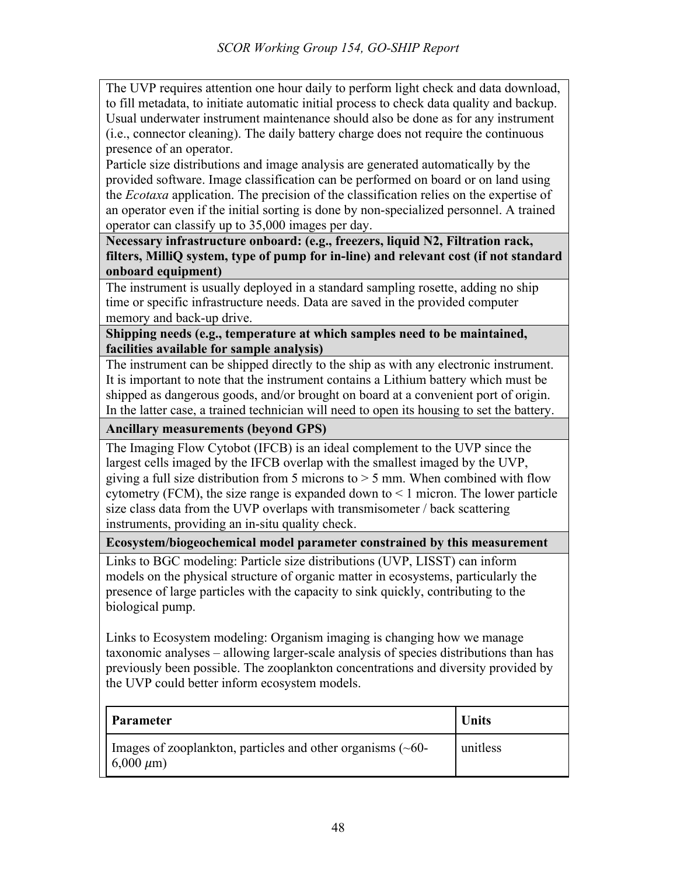The UVP requires attention one hour daily to perform light check and data download, to fill metadata, to initiate automatic initial process to check data quality and backup. Usual underwater instrument maintenance should also be done as for any instrument (i.e., connector cleaning). The daily battery charge does not require the continuous presence of an operator.

Particle size distributions and image analysis are generated automatically by the provided software. Image classification can be performed on board or on land using the *Ecotaxa* application. The precision of the classification relies on the expertise of an operator even if the initial sorting is done by non-specialized personnel. A trained operator can classify up to 35,000 images per day.

**Necessary infrastructure onboard: (e.g., freezers, liquid N2, Filtration rack, filters, MilliQ system, type of pump for in-line) and relevant cost (if not standard onboard equipment)**

The instrument is usually deployed in a standard sampling rosette, adding no ship time or specific infrastructure needs. Data are saved in the provided computer memory and back-up drive.

**Shipping needs (e.g., temperature at which samples need to be maintained, facilities available for sample analysis)**

The instrument can be shipped directly to the ship as with any electronic instrument. It is important to note that the instrument contains a Lithium battery which must be shipped as dangerous goods, and/or brought on board at a convenient port of origin. In the latter case, a trained technician will need to open its housing to set the battery.

**Ancillary measurements (beyond GPS)**

The Imaging Flow Cytobot (IFCB) is an ideal complement to the UVP since the largest cells imaged by the IFCB overlap with the smallest imaged by the UVP, giving a full size distribution from 5 microns to  $> 5$  mm. When combined with flow cytometry (FCM), the size range is expanded down to  $\leq 1$  micron. The lower particle size class data from the UVP overlaps with transmisometer / back scattering instruments, providing an in-situ quality check.

**Ecosystem/biogeochemical model parameter constrained by this measurement**

Links to BGC modeling: Particle size distributions (UVP, LISST) can inform models on the physical structure of organic matter in ecosystems, particularly the presence of large particles with the capacity to sink quickly, contributing to the biological pump.

Links to Ecosystem modeling: Organism imaging is changing how we manage taxonomic analyses – allowing larger-scale analysis of species distributions than has previously been possible. The zooplankton concentrations and diversity provided by the UVP could better inform ecosystem models.

| <b>Parameter</b>                                                                    | <b>Units</b> |
|-------------------------------------------------------------------------------------|--------------|
| I mages of zooplankton, particles and other organisms $(\sim 60$ -<br>$6,000 \mu m$ | unitless     |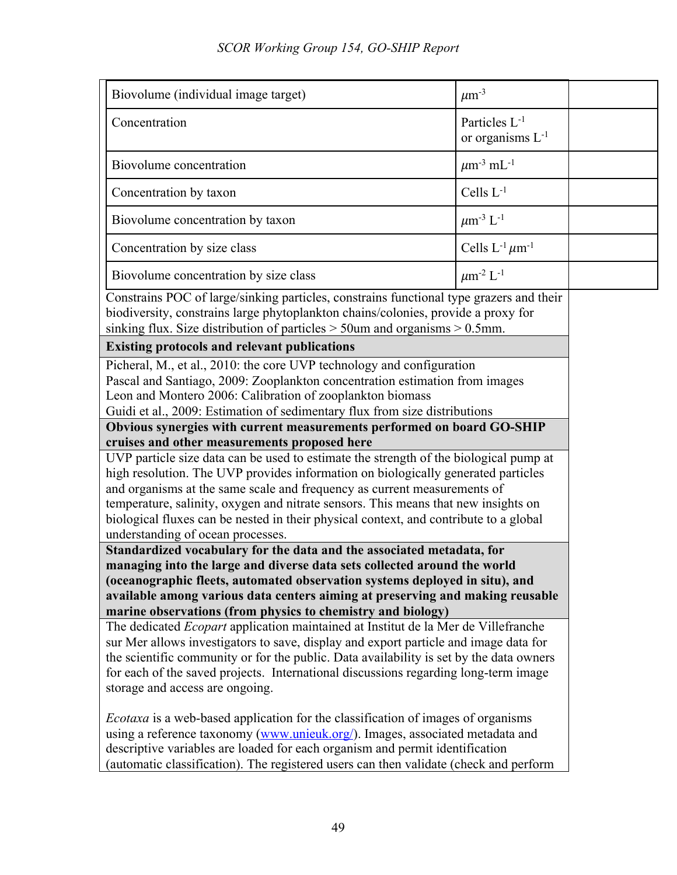| Biovolume (individual image target)                                                                                                                                                                                                                                                                                                                                                                                                                                        | $\mu$ m <sup>-3</sup>                              |  |
|----------------------------------------------------------------------------------------------------------------------------------------------------------------------------------------------------------------------------------------------------------------------------------------------------------------------------------------------------------------------------------------------------------------------------------------------------------------------------|----------------------------------------------------|--|
| Concentration                                                                                                                                                                                                                                                                                                                                                                                                                                                              | Particles L <sup>-1</sup><br>or organisms $L^{-1}$ |  |
| Biovolume concentration                                                                                                                                                                                                                                                                                                                                                                                                                                                    | $\mu$ m <sup>-3</sup> mL <sup>-1</sup>             |  |
| Concentration by taxon                                                                                                                                                                                                                                                                                                                                                                                                                                                     | Cells $L^{-1}$                                     |  |
| Biovolume concentration by taxon                                                                                                                                                                                                                                                                                                                                                                                                                                           | $\mu$ m <sup>-3</sup> L <sup>-1</sup>              |  |
| Concentration by size class                                                                                                                                                                                                                                                                                                                                                                                                                                                | Cells $L^{-1} \mu m^{-1}$                          |  |
| Biovolume concentration by size class                                                                                                                                                                                                                                                                                                                                                                                                                                      | $\mu$ m <sup>-2</sup> L <sup>-1</sup>              |  |
| Constrains POC of large/sinking particles, constrains functional type grazers and their<br>biodiversity, constrains large phytoplankton chains/colonies, provide a proxy for<br>sinking flux. Size distribution of particles $>$ 50 km and organisms $>$ 0.5 mm.                                                                                                                                                                                                           |                                                    |  |
| <b>Existing protocols and relevant publications</b>                                                                                                                                                                                                                                                                                                                                                                                                                        |                                                    |  |
| Picheral, M., et al., 2010: the core UVP technology and configuration<br>Pascal and Santiago, 2009: Zooplankton concentration estimation from images<br>Leon and Montero 2006: Calibration of zooplankton biomass<br>Guidi et al., 2009: Estimation of sedimentary flux from size distributions                                                                                                                                                                            |                                                    |  |
| Obvious synergies with current measurements performed on board GO-SHIP                                                                                                                                                                                                                                                                                                                                                                                                     |                                                    |  |
| cruises and other measurements proposed here                                                                                                                                                                                                                                                                                                                                                                                                                               |                                                    |  |
| UVP particle size data can be used to estimate the strength of the biological pump at<br>high resolution. The UVP provides information on biologically generated particles<br>and organisms at the same scale and frequency as current measurements of<br>temperature, salinity, oxygen and nitrate sensors. This means that new insights on<br>biological fluxes can be nested in their physical context, and contribute to a global<br>understanding of ocean processes. |                                                    |  |
| Standardized vocabulary for the data and the associated metadata, for                                                                                                                                                                                                                                                                                                                                                                                                      |                                                    |  |
| managing into the large and diverse data sets collected around the world                                                                                                                                                                                                                                                                                                                                                                                                   |                                                    |  |
| (oceanographic fleets, automated observation systems deployed in situ), and                                                                                                                                                                                                                                                                                                                                                                                                |                                                    |  |
| available among various data centers aiming at preserving and making reusable                                                                                                                                                                                                                                                                                                                                                                                              |                                                    |  |
| marine observations (from physics to chemistry and biology)<br>The dedicated Ecopart application maintained at Institut de la Mer de Villefranche                                                                                                                                                                                                                                                                                                                          |                                                    |  |
| sur Mer allows investigators to save, display and export particle and image data for                                                                                                                                                                                                                                                                                                                                                                                       |                                                    |  |
| the scientific community or for the public. Data availability is set by the data owners                                                                                                                                                                                                                                                                                                                                                                                    |                                                    |  |
| for each of the saved projects. International discussions regarding long-term image                                                                                                                                                                                                                                                                                                                                                                                        |                                                    |  |
| storage and access are ongoing.                                                                                                                                                                                                                                                                                                                                                                                                                                            |                                                    |  |
| <i>Ecotaxa</i> is a web-based application for the classification of images of organisms<br>using a reference taxonomy (www.unieuk.org/). Images, associated metadata and<br>descriptive variables are loaded for each organism and permit identification<br>automatic classification). The registered users can then validate (check and perform                                                                                                                           |                                                    |  |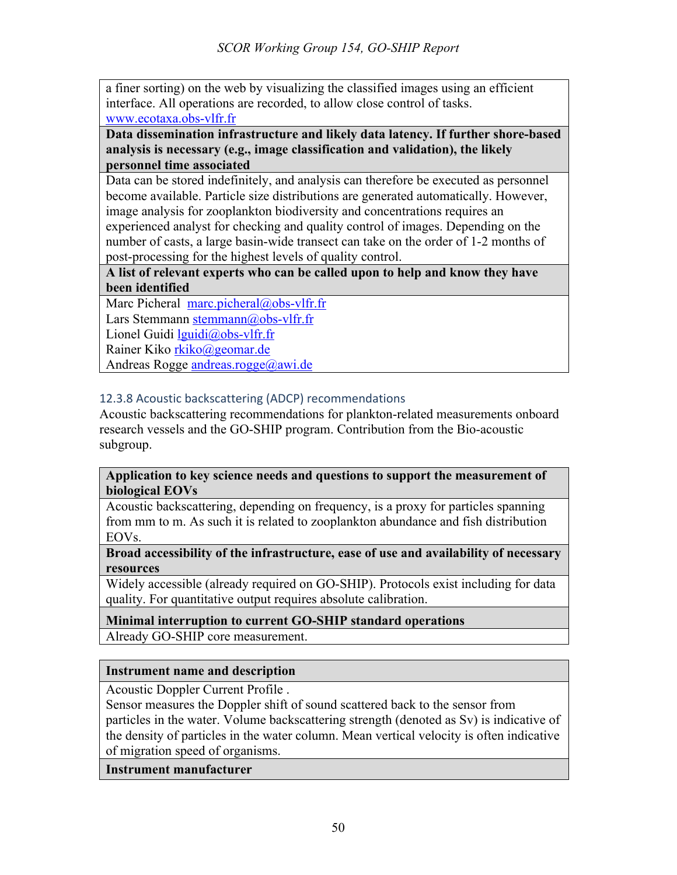a finer sorting) on the web by visualizing the classified images using an efficient interface. All operations are recorded, to allow close control of tasks. www.ecotaxa.obs-vlfr.fr

**Data dissemination infrastructure and likely data latency. If further shore-based analysis is necessary (e.g., image classification and validation), the likely personnel time associated**

Data can be stored indefinitely, and analysis can therefore be executed as personnel become available. Particle size distributions are generated automatically. However, image analysis for zooplankton biodiversity and concentrations requires an experienced analyst for checking and quality control of images. Depending on the number of casts, a large basin-wide transect can take on the order of 1-2 months of post-processing for the highest levels of quality control.

**A list of relevant experts who can be called upon to help and know they have been identified**

Marc Picheral marc.picheral@obs-vlfr.fr Lars Stemmann stemmann@obs-vlfr.fr Lionel Guidi lguidi@obs-vlfr.fr Rainer Kiko rkiko@geomar.de

Andreas Rogge andreas.rogge@awi.de

# 12.3.8 Acoustic backscattering (ADCP) recommendations

Acoustic backscattering recommendations for plankton-related measurements onboard research vessels and the GO-SHIP program. Contribution from the Bio-acoustic subgroup.

#### **Application to key science needs and questions to support the measurement of biological EOVs**

Acoustic backscattering, depending on frequency, is a proxy for particles spanning from mm to m. As such it is related to zooplankton abundance and fish distribution EOVs.

#### **Broad accessibility of the infrastructure, ease of use and availability of necessary resources**

Widely accessible (already required on GO-SHIP). Protocols exist including for data quality. For quantitative output requires absolute calibration.

## **Minimal interruption to current GO-SHIP standard operations**

Already GO-SHIP core measurement.

## **Instrument name and description**

Acoustic Doppler Current Profile .

Sensor measures the Doppler shift of sound scattered back to the sensor from particles in the water. Volume backscattering strength (denoted as Sv) is indicative of the density of particles in the water column. Mean vertical velocity is often indicative of migration speed of organisms.

## **Instrument manufacturer**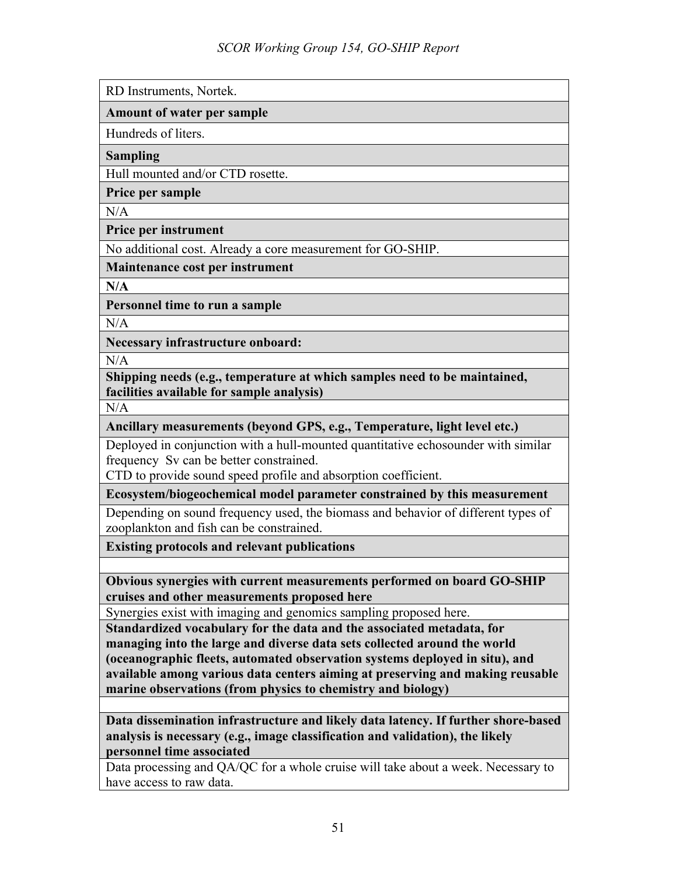RD Instruments, Nortek.

#### **Amount of water per sample**

Hundreds of liters.

**Sampling**

Hull mounted and/or CTD rosette.

**Price per sample**

 $N/A$ 

**Price per instrument** 

No additional cost. Already a core measurement for GO-SHIP.

**Maintenance cost per instrument**

**N/A**

**Personnel time to run a sample**

N/A

**Necessary infrastructure onboard:** 

N/A

**Shipping needs (e.g., temperature at which samples need to be maintained, facilities available for sample analysis)**

N/A

**Ancillary measurements (beyond GPS, e.g., Temperature, light level etc.)**

Deployed in conjunction with a hull-mounted quantitative echosounder with similar frequency Sv can be better constrained.

CTD to provide sound speed profile and absorption coefficient.

**Ecosystem/biogeochemical model parameter constrained by this measurement**

Depending on sound frequency used, the biomass and behavior of different types of zooplankton and fish can be constrained.

**Existing protocols and relevant publications**

**Obvious synergies with current measurements performed on board GO-SHIP cruises and other measurements proposed here**

Synergies exist with imaging and genomics sampling proposed here.

**Standardized vocabulary for the data and the associated metadata, for managing into the large and diverse data sets collected around the world (oceanographic fleets, automated observation systems deployed in situ), and available among various data centers aiming at preserving and making reusable marine observations (from physics to chemistry and biology)**

**Data dissemination infrastructure and likely data latency. If further shore-based analysis is necessary (e.g., image classification and validation), the likely personnel time associated**

Data processing and QA/QC for a whole cruise will take about a week. Necessary to have access to raw data.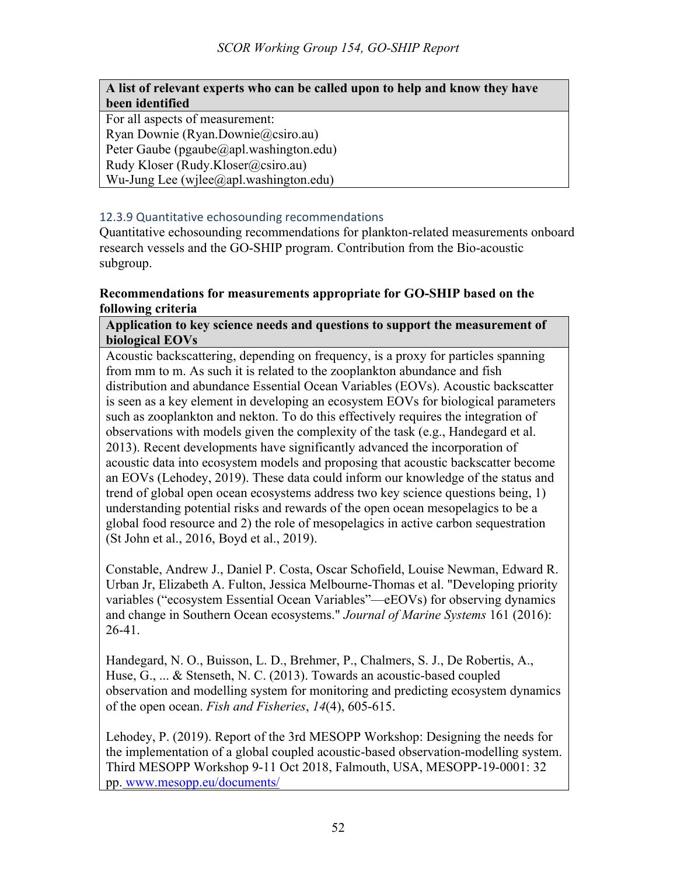## **A list of relevant experts who can be called upon to help and know they have been identified**

For all aspects of measurement: Ryan Downie (Ryan.Downie@csiro.au) Peter Gaube (pgaube@apl.washington.edu) Rudy Kloser (Rudy.Kloser@csiro.au) Wu-Jung Lee (wjlee@apl.washington.edu)

# 12.3.9 Quantitative echosounding recommendations

Quantitative echosounding recommendations for plankton-related measurements onboard research vessels and the GO-SHIP program. Contribution from the Bio-acoustic subgroup.

## **Recommendations for measurements appropriate for GO-SHIP based on the following criteria**

#### **Application to key science needs and questions to support the measurement of biological EOVs**

Acoustic backscattering, depending on frequency, is a proxy for particles spanning from mm to m. As such it is related to the zooplankton abundance and fish distribution and abundance Essential Ocean Variables (EOVs). Acoustic backscatter is seen as a key element in developing an ecosystem EOVs for biological parameters such as zooplankton and nekton. To do this effectively requires the integration of observations with models given the complexity of the task (e.g., Handegard et al. 2013). Recent developments have significantly advanced the incorporation of acoustic data into ecosystem models and proposing that acoustic backscatter become an EOVs (Lehodey, 2019). These data could inform our knowledge of the status and trend of global open ocean ecosystems address two key science questions being, 1) understanding potential risks and rewards of the open ocean mesopelagics to be a global food resource and 2) the role of mesopelagics in active carbon sequestration (St John et al., 2016, Boyd et al., 2019).

Constable, Andrew J., Daniel P. Costa, Oscar Schofield, Louise Newman, Edward R. Urban Jr, Elizabeth A. Fulton, Jessica Melbourne-Thomas et al. "Developing priority variables ("ecosystem Essential Ocean Variables"—eEOVs) for observing dynamics and change in Southern Ocean ecosystems." *Journal of Marine Systems* 161 (2016): 26-41.

Handegard, N. O., Buisson, L. D., Brehmer, P., Chalmers, S. J., De Robertis, A., Huse, G., ... & Stenseth, N. C. (2013). Towards an acoustic-based coupled observation and modelling system for monitoring and predicting ecosystem dynamics of the open ocean. *Fish and Fisheries*, *14*(4), 605-615.

Lehodey, P. (2019). Report of the 3rd MESOPP Workshop: Designing the needs for the implementation of a global coupled acoustic-based observation-modelling system. Third MESOPP Workshop 9-11 Oct 2018, Falmouth, USA, MESOPP-19-0001: 32 pp. www.mesopp.eu/documents/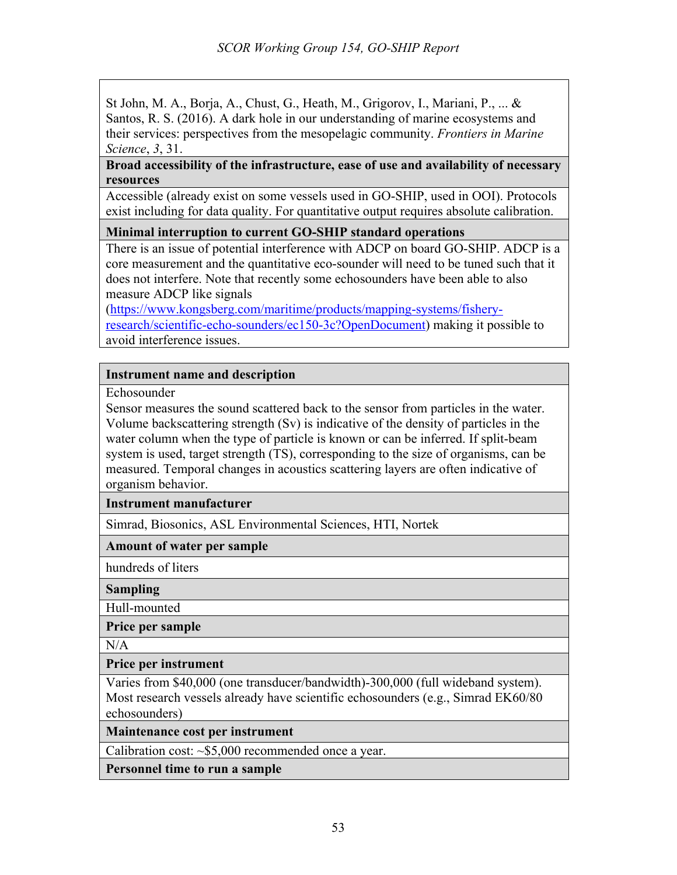St John, M. A., Borja, A., Chust, G., Heath, M., Grigorov, I., Mariani, P., ... & Santos, R. S. (2016). A dark hole in our understanding of marine ecosystems and their services: perspectives from the mesopelagic community. *Frontiers in Marine Science*, *3*, 31.

#### **Broad accessibility of the infrastructure, ease of use and availability of necessary resources**

Accessible (already exist on some vessels used in GO-SHIP, used in OOI). Protocols exist including for data quality. For quantitative output requires absolute calibration.

## **Minimal interruption to current GO-SHIP standard operations**

There is an issue of potential interference with ADCP on board GO-SHIP. ADCP is a core measurement and the quantitative eco-sounder will need to be tuned such that it does not interfere. Note that recently some echosounders have been able to also measure ADCP like signals

(https://www.kongsberg.com/maritime/products/mapping-systems/fisheryresearch/scientific-echo-sounders/ec150-3c?OpenDocument) making it possible to avoid interference issues.

#### **Instrument name and description**

Echosounder

Sensor measures the sound scattered back to the sensor from particles in the water. Volume backscattering strength (Sv) is indicative of the density of particles in the water column when the type of particle is known or can be inferred. If split-beam system is used, target strength (TS), corresponding to the size of organisms, can be measured. Temporal changes in acoustics scattering layers are often indicative of organism behavior.

**Instrument manufacturer**

Simrad, Biosonics, ASL Environmental Sciences, HTI, Nortek

#### **Amount of water per sample**

hundreds of liters

**Sampling**

Hull-mounted

**Price per sample**

 $N/A$ 

**Price per instrument** 

Varies from \$40,000 (one transducer/bandwidth)-300,000 (full wideband system). Most research vessels already have scientific echosounders (e.g., Simrad EK60/80 echosounders)

**Maintenance cost per instrument**

Calibration cost: ~\$5,000 recommended once a year.

**Personnel time to run a sample**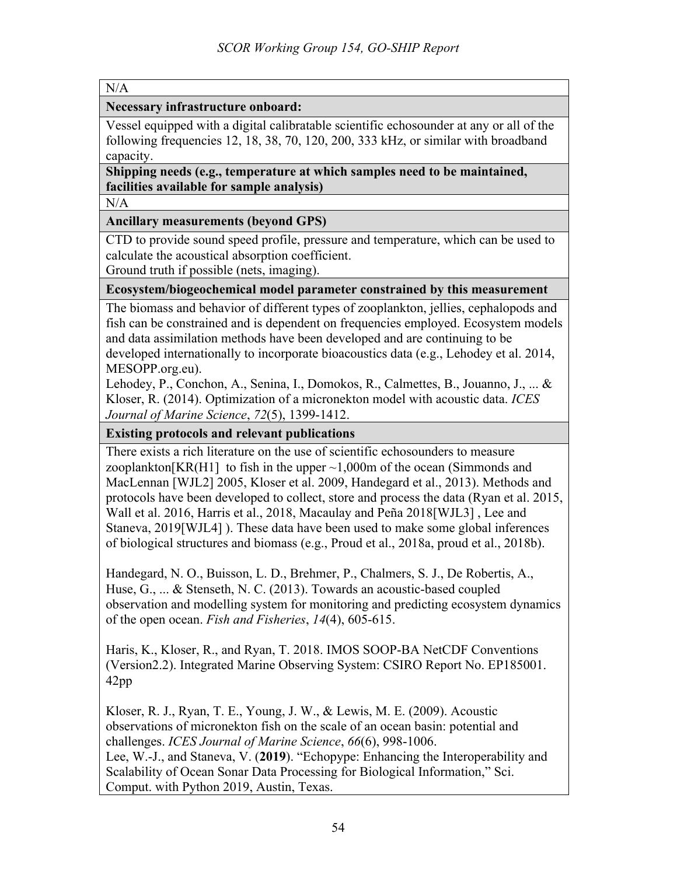|--|

**Necessary infrastructure onboard:** 

Vessel equipped with a digital calibratable scientific echosounder at any or all of the following frequencies 12, 18, 38, 70, 120, 200, 333 kHz, or similar with broadband capacity.

**Shipping needs (e.g., temperature at which samples need to be maintained, facilities available for sample analysis)**

N/A

#### **Ancillary measurements (beyond GPS)**

CTD to provide sound speed profile, pressure and temperature, which can be used to calculate the acoustical absorption coefficient.

Ground truth if possible (nets, imaging).

#### **Ecosystem/biogeochemical model parameter constrained by this measurement**

The biomass and behavior of different types of zooplankton, jellies, cephalopods and fish can be constrained and is dependent on frequencies employed. Ecosystem models and data assimilation methods have been developed and are continuing to be developed internationally to incorporate bioacoustics data (e.g., Lehodey et al. 2014, MESOPP.org.eu).

Lehodey, P., Conchon, A., Senina, I., Domokos, R., Calmettes, B., Jouanno, J., ... & Kloser, R. (2014). Optimization of a micronekton model with acoustic data. *ICES Journal of Marine Science*, *72*(5), 1399-1412.

**Existing protocols and relevant publications**

There exists a rich literature on the use of scientific echosounders to measure zooplankton $[KR(H1]$  to fish in the upper  $\sim 1,000$ m of the ocean (Simmonds and MacLennan [WJL2] 2005, Kloser et al. 2009, Handegard et al., 2013). Methods and protocols have been developed to collect, store and process the data (Ryan et al. 2015, Wall et al. 2016, Harris et al., 2018, Macaulay and Peña 2018[WJL3] , Lee and Staneva, 2019[WJL4] ). These data have been used to make some global inferences of biological structures and biomass (e.g., Proud et al., 2018a, proud et al., 2018b).

Handegard, N. O., Buisson, L. D., Brehmer, P., Chalmers, S. J., De Robertis, A., Huse, G., ... & Stenseth, N. C. (2013). Towards an acoustic-based coupled observation and modelling system for monitoring and predicting ecosystem dynamics of the open ocean. *Fish and Fisheries*, *14*(4), 605-615.

Haris, K., Kloser, R., and Ryan, T. 2018. IMOS SOOP-BA NetCDF Conventions (Version2.2). Integrated Marine Observing System: CSIRO Report No. EP185001. 42pp

Kloser, R. J., Ryan, T. E., Young, J. W., & Lewis, M. E. (2009). Acoustic observations of micronekton fish on the scale of an ocean basin: potential and challenges. *ICES Journal of Marine Science*, *66*(6), 998-1006. Lee, W.-J., and Staneva, V. (**2019**). "Echopype: Enhancing the Interoperability and Scalability of Ocean Sonar Data Processing for Biological Information," Sci. Comput. with Python 2019, Austin, Texas.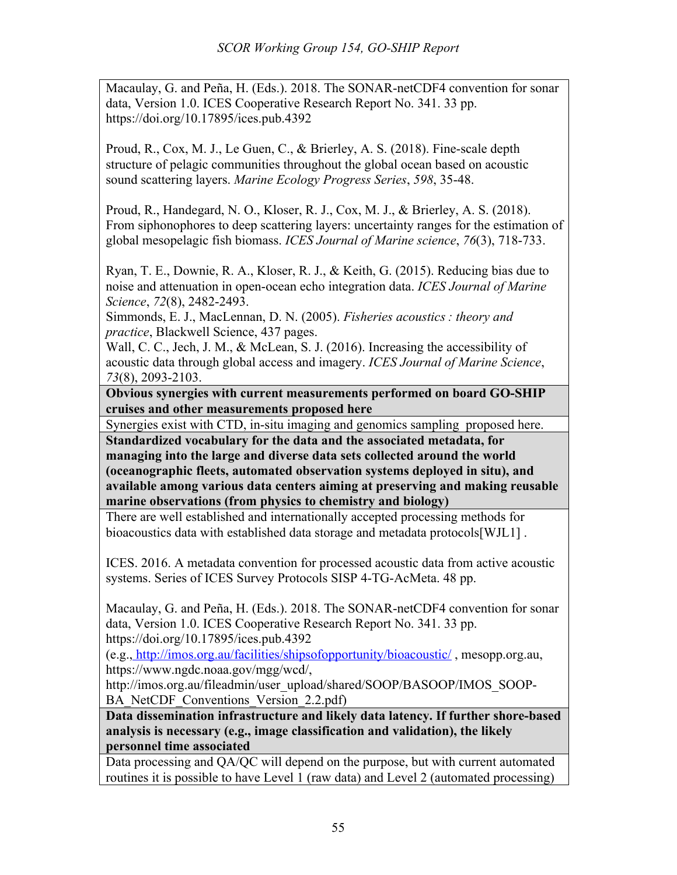Macaulay, G. and Peña, H. (Eds.). 2018. The SONAR-netCDF4 convention for sonar data, Version 1.0. ICES Cooperative Research Report No. 341. 33 pp. https://doi.org/10.17895/ices.pub.4392

Proud, R., Cox, M. J., Le Guen, C., & Brierley, A. S. (2018). Fine-scale depth structure of pelagic communities throughout the global ocean based on acoustic sound scattering layers. *Marine Ecology Progress Series*, *598*, 35-48.

Proud, R., Handegard, N. O., Kloser, R. J., Cox, M. J., & Brierley, A. S. (2018). From siphonophores to deep scattering layers: uncertainty ranges for the estimation of global mesopelagic fish biomass. *ICES Journal of Marine science*, *76*(3), 718-733.

Ryan, T. E., Downie, R. A., Kloser, R. J., & Keith, G. (2015). Reducing bias due to noise and attenuation in open-ocean echo integration data. *ICES Journal of Marine Science*, *72*(8), 2482-2493.

Simmonds, E. J., MacLennan, D. N. (2005). *Fisheries acoustics : theory and practice*, Blackwell Science, 437 pages.

Wall, C. C., Jech, J. M., & McLean, S. J. (2016). Increasing the accessibility of acoustic data through global access and imagery. *ICES Journal of Marine Science*, *73*(8), 2093-2103.

**Obvious synergies with current measurements performed on board GO-SHIP cruises and other measurements proposed here**

Synergies exist with CTD, in-situ imaging and genomics sampling proposed here.

**Standardized vocabulary for the data and the associated metadata, for managing into the large and diverse data sets collected around the world (oceanographic fleets, automated observation systems deployed in situ), and available among various data centers aiming at preserving and making reusable marine observations (from physics to chemistry and biology)**

There are well established and internationally accepted processing methods for bioacoustics data with established data storage and metadata protocols[WJL1] .

ICES. 2016. A metadata convention for processed acoustic data from active acoustic systems. Series of ICES Survey Protocols SISP 4-TG-AcMeta. 48 pp.

Macaulay, G. and Peña, H. (Eds.). 2018. The SONAR-netCDF4 convention for sonar data, Version 1.0. ICES Cooperative Research Report No. 341. 33 pp. https://doi.org/10.17895/ices.pub.4392

(e.g., http://imos.org.au/facilities/shipsofopportunity/bioacoustic/ , mesopp.org.au, https://www.ngdc.noaa.gov/mgg/wcd/,

http://imos.org.au/fileadmin/user\_upload/shared/SOOP/BASOOP/IMOS\_SOOP-BA\_NetCDF\_Conventions\_Version\_2.2.pdf)

**Data dissemination infrastructure and likely data latency. If further shore-based analysis is necessary (e.g., image classification and validation), the likely personnel time associated**

Data processing and QA/QC will depend on the purpose, but with current automated routines it is possible to have Level 1 (raw data) and Level 2 (automated processing)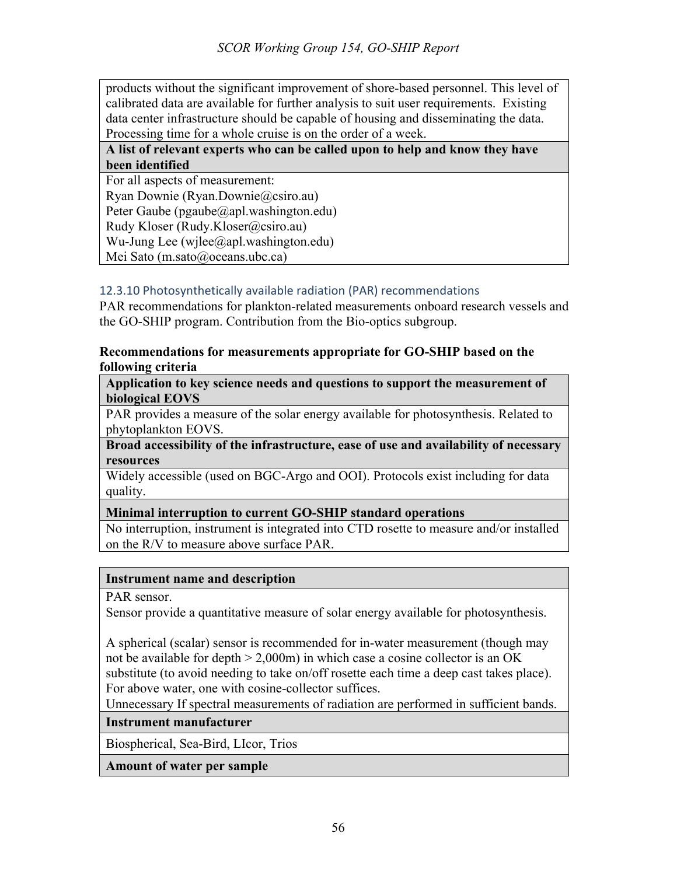products without the significant improvement of shore-based personnel. This level of calibrated data are available for further analysis to suit user requirements. Existing data center infrastructure should be capable of housing and disseminating the data. Processing time for a whole cruise is on the order of a week.

## **A list of relevant experts who can be called upon to help and know they have been identified**

For all aspects of measurement: Ryan Downie (Ryan.Downie@csiro.au) Peter Gaube (pgaube@apl.washington.edu) Rudy Kloser (Rudy.Kloser@csiro.au) Wu-Jung Lee (wjlee@apl.washington.edu) Mei Sato (m.sato@oceans.ubc.ca)

## 12.3.10 Photosynthetically available radiation (PAR) recommendations

PAR recommendations for plankton-related measurements onboard research vessels and the GO-SHIP program. Contribution from the Bio-optics subgroup.

#### **Recommendations for measurements appropriate for GO-SHIP based on the following criteria**

**Application to key science needs and questions to support the measurement of biological EOVS**

PAR provides a measure of the solar energy available for photosynthesis. Related to phytoplankton EOVS.

**Broad accessibility of the infrastructure, ease of use and availability of necessary resources**

Widely accessible (used on BGC-Argo and OOI). Protocols exist including for data quality.

## **Minimal interruption to current GO-SHIP standard operations**

No interruption, instrument is integrated into CTD rosette to measure and/or installed on the R/V to measure above surface PAR.

## **Instrument name and description**

PAR sensor.

Sensor provide a quantitative measure of solar energy available for photosynthesis.

A spherical (scalar) sensor is recommended for in-water measurement (though may not be available for depth  $> 2,000$ m) in which case a cosine collector is an OK substitute (to avoid needing to take on/off rosette each time a deep cast takes place). For above water, one with cosine-collector suffices.

Unnecessary If spectral measurements of radiation are performed in sufficient bands.

## **Instrument manufacturer**

Biospherical, Sea-Bird, LIcor, Trios

**Amount of water per sample**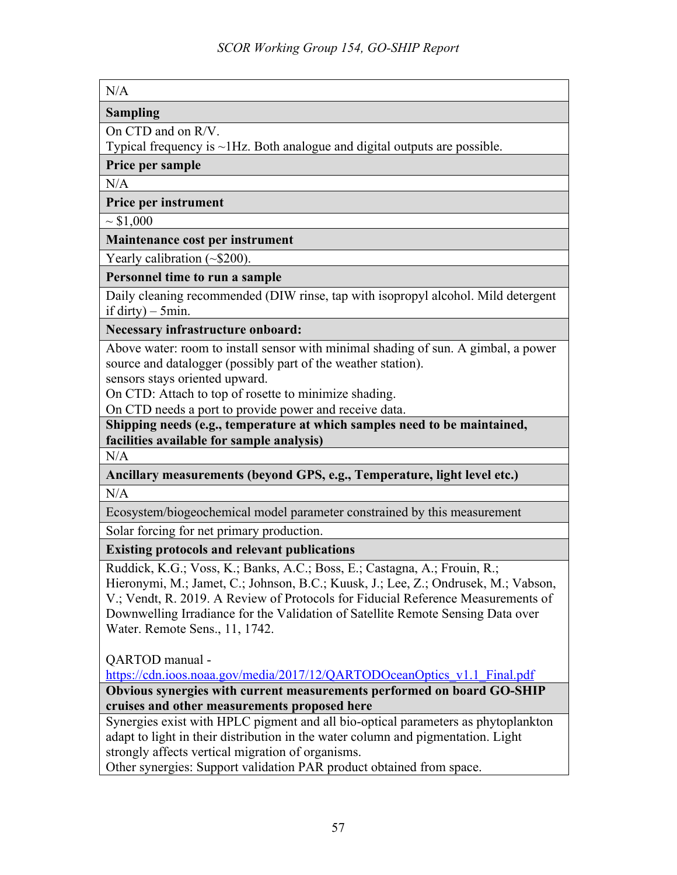#### **Sampling**

On CTD and on R/V.

Typical frequency is ~1Hz. Both analogue and digital outputs are possible.

**Price per sample**

 $N/A$ 

#### **Price per instrument**

 $\sim$  \$1,000

#### **Maintenance cost per instrument**

Yearly calibration (~\$200).

#### **Personnel time to run a sample**

Daily cleaning recommended (DIW rinse, tap with isopropyl alcohol. Mild detergent if dirty) –  $5$ min.

**Necessary infrastructure onboard:** 

Above water: room to install sensor with minimal shading of sun. A gimbal, a power source and datalogger (possibly part of the weather station).

sensors stays oriented upward.

On CTD: Attach to top of rosette to minimize shading.

On CTD needs a port to provide power and receive data.

**Shipping needs (e.g., temperature at which samples need to be maintained, facilities available for sample analysis)**

N/A

**Ancillary measurements (beyond GPS, e.g., Temperature, light level etc.)** N/A

Ecosystem/biogeochemical model parameter constrained by this measurement

Solar forcing for net primary production.

## **Existing protocols and relevant publications**

Ruddick, K.G.; Voss, K.; Banks, A.C.; Boss, E.; Castagna, A.; Frouin, R.; Hieronymi, M.; Jamet, C.; Johnson, B.C.; Kuusk, J.; Lee, Z.; Ondrusek, M.; Vabson, V.; Vendt, R. 2019. A Review of Protocols for Fiducial Reference Measurements of Downwelling Irradiance for the Validation of Satellite Remote Sensing Data over Water. Remote Sens., 11, 1742.

QARTOD manual -

https://cdn.ioos.noaa.gov/media/2017/12/QARTODOceanOptics\_v1.1\_Final.pdf

**Obvious synergies with current measurements performed on board GO-SHIP cruises and other measurements proposed here**

Synergies exist with HPLC pigment and all bio-optical parameters as phytoplankton adapt to light in their distribution in the water column and pigmentation. Light strongly affects vertical migration of organisms.

Other synergies: Support validation PAR product obtained from space.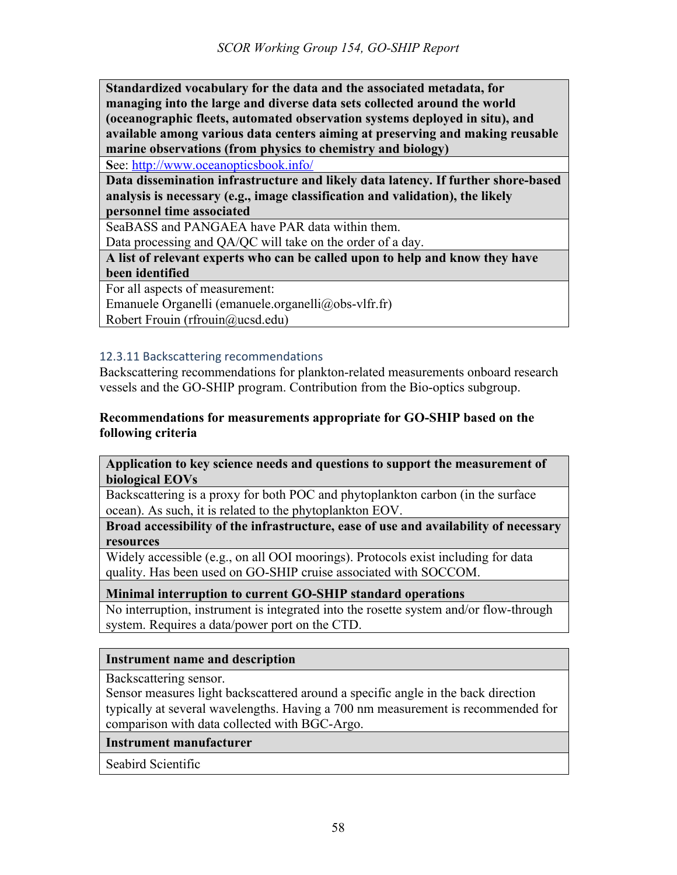**Standardized vocabulary for the data and the associated metadata, for managing into the large and diverse data sets collected around the world (oceanographic fleets, automated observation systems deployed in situ), and available among various data centers aiming at preserving and making reusable marine observations (from physics to chemistry and biology)**

**S**ee: http://www.oceanopticsbook.info/

**Data dissemination infrastructure and likely data latency. If further shore-based analysis is necessary (e.g., image classification and validation), the likely personnel time associated**

SeaBASS and PANGAEA have PAR data within them.

Data processing and QA/QC will take on the order of a day.

**A list of relevant experts who can be called upon to help and know they have been identified**

For all aspects of measurement:

Emanuele Organelli (emanuele.organelli@obs-vlfr.fr)

Robert Frouin (rfrouin@ucsd.edu)

## 12.3.11 Backscattering recommendations

Backscattering recommendations for plankton-related measurements onboard research vessels and the GO-SHIP program. Contribution from the Bio-optics subgroup.

## **Recommendations for measurements appropriate for GO-SHIP based on the following criteria**

**Application to key science needs and questions to support the measurement of biological EOVs**

Backscattering is a proxy for both POC and phytoplankton carbon (in the surface ocean). As such, it is related to the phytoplankton EOV.

**Broad accessibility of the infrastructure, ease of use and availability of necessary resources**

Widely accessible (e.g., on all OOI moorings). Protocols exist including for data quality. Has been used on GO-SHIP cruise associated with SOCCOM.

## **Minimal interruption to current GO-SHIP standard operations**

No interruption, instrument is integrated into the rosette system and/or flow-through system. Requires a data/power port on the CTD.

## **Instrument name and description**

Backscattering sensor.

Sensor measures light backscattered around a specific angle in the back direction typically at several wavelengths. Having a 700 nm measurement is recommended for comparison with data collected with BGC-Argo.

**Instrument manufacturer**

Seabird Scientific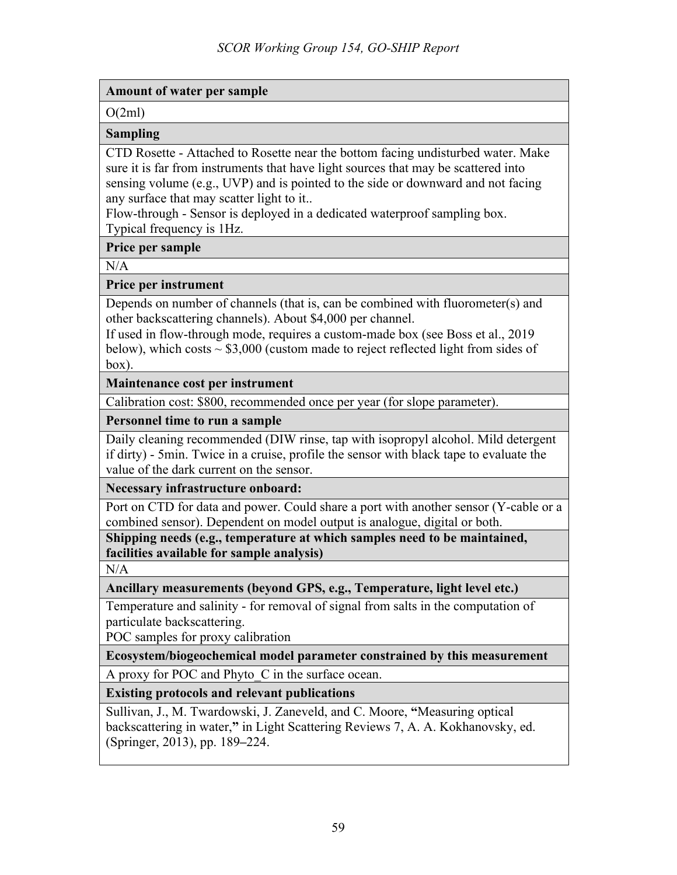## **Amount of water per sample**

 $O(2ml)$ 

## **Sampling**

CTD Rosette - Attached to Rosette near the bottom facing undisturbed water. Make sure it is far from instruments that have light sources that may be scattered into sensing volume (e.g., UVP) and is pointed to the side or downward and not facing any surface that may scatter light to it..

Flow-through - Sensor is deployed in a dedicated waterproof sampling box. Typical frequency is 1Hz.

## **Price per sample**

 $N/A$ 

# **Price per instrument**

Depends on number of channels (that is, can be combined with fluorometer(s) and other backscattering channels). About \$4,000 per channel.

If used in flow-through mode, requires a custom-made box (see Boss et al., 2019 below), which costs  $\sim$  \$3,000 (custom made to reject reflected light from sides of box).

# **Maintenance cost per instrument**

Calibration cost: \$800, recommended once per year (for slope parameter).

# **Personnel time to run a sample**

Daily cleaning recommended (DIW rinse, tap with isopropyl alcohol. Mild detergent if dirty) - 5min. Twice in a cruise, profile the sensor with black tape to evaluate the value of the dark current on the sensor.

## **Necessary infrastructure onboard:**

Port on CTD for data and power. Could share a port with another sensor (Y-cable or a combined sensor). Dependent on model output is analogue, digital or both.

**Shipping needs (e.g., temperature at which samples need to be maintained, facilities available for sample analysis)**

 $N/A$ 

# **Ancillary measurements (beyond GPS, e.g., Temperature, light level etc.)**

Temperature and salinity - for removal of signal from salts in the computation of particulate backscattering.

POC samples for proxy calibration

# **Ecosystem/biogeochemical model parameter constrained by this measurement**

A proxy for POC and Phyto C in the surface ocean.

# **Existing protocols and relevant publications**

Sullivan, J., M. Twardowski, J. Zaneveld, and C. Moore, **"**Measuring optical backscattering in water,**"** in Light Scattering Reviews 7, A. A. Kokhanovsky, ed. (Springer, 2013), pp. 189**–**224.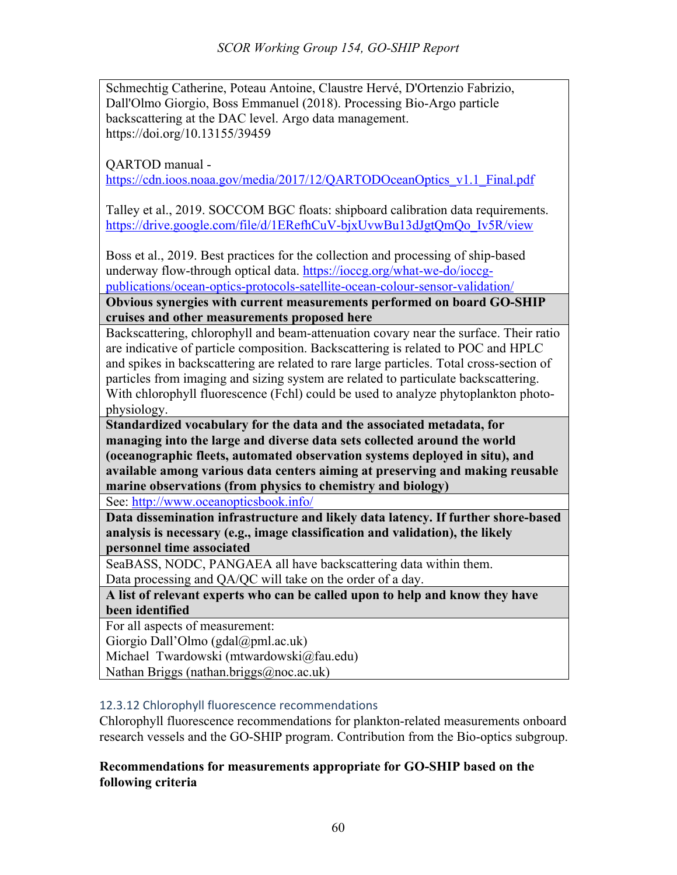Schmechtig Catherine, Poteau Antoine, Claustre Hervé, D'Ortenzio Fabrizio, Dall'Olmo Giorgio, Boss Emmanuel (2018). Processing Bio-Argo particle backscattering at the DAC level. Argo data management. https://doi.org/10.13155/39459

QARTOD manual -

https://cdn.ioos.noaa.gov/media/2017/12/QARTODOceanOptics\_v1.1\_Final.pdf

Talley et al., 2019. SOCCOM BGC floats: shipboard calibration data requirements. https://drive.google.com/file/d/1ERefhCuV-bjxUvwBu13dJgtQmQo\_Iv5R/view

Boss et al., 2019. Best practices for the collection and processing of ship-based underway flow-through optical data. https://ioccg.org/what-we-do/ioccgpublications/ocean-optics-protocols-satellite-ocean-colour-sensor-validation/

**Obvious synergies with current measurements performed on board GO-SHIP cruises and other measurements proposed here**

Backscattering, chlorophyll and beam-attenuation covary near the surface. Their ratio are indicative of particle composition. Backscattering is related to POC and HPLC and spikes in backscattering are related to rare large particles. Total cross-section of particles from imaging and sizing system are related to particulate backscattering. With chlorophyll fluorescence (Fchl) could be used to analyze phytoplankton photophysiology.

**Standardized vocabulary for the data and the associated metadata, for managing into the large and diverse data sets collected around the world (oceanographic fleets, automated observation systems deployed in situ), and available among various data centers aiming at preserving and making reusable marine observations (from physics to chemistry and biology)**

See: http://www.oceanopticsbook.info/

**Data dissemination infrastructure and likely data latency. If further shore-based analysis is necessary (e.g., image classification and validation), the likely personnel time associated**

SeaBASS, NODC, PANGAEA all have backscattering data within them. Data processing and QA/QC will take on the order of a day.

**A list of relevant experts who can be called upon to help and know they have been identified**

For all aspects of measurement:

Giorgio Dall'Olmo (gdal@pml.ac.uk)

Michael Twardowski (mtwardowski@fau.edu)

Nathan Briggs (nathan.briggs@noc.ac.uk)

## 12.3.12 Chlorophyll fluorescence recommendations

Chlorophyll fluorescence recommendations for plankton-related measurements onboard research vessels and the GO-SHIP program. Contribution from the Bio-optics subgroup.

## **Recommendations for measurements appropriate for GO-SHIP based on the following criteria**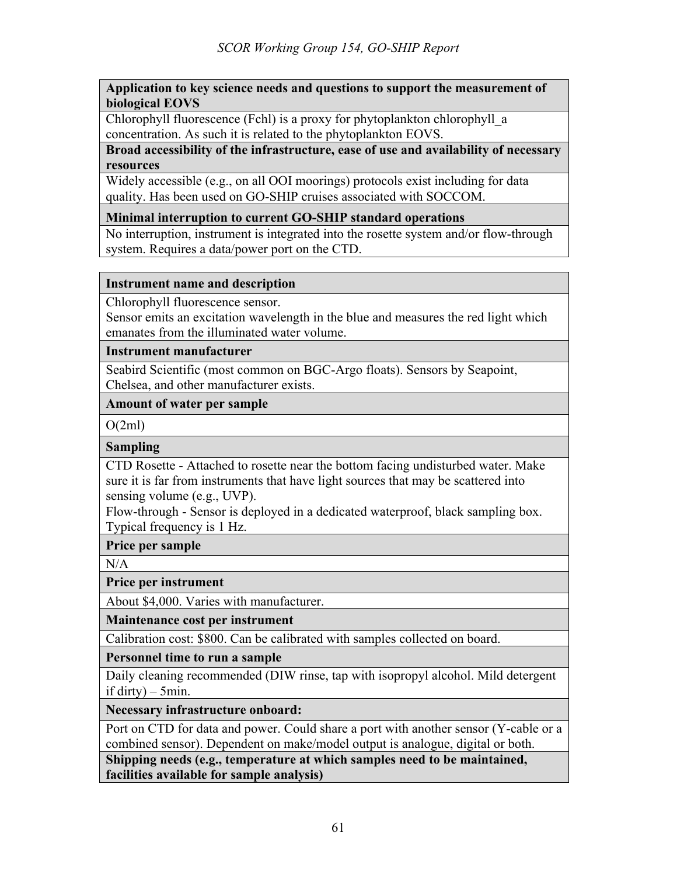#### **Application to key science needs and questions to support the measurement of biological EOVS**

Chlorophyll fluorescence (Fchl) is a proxy for phytoplankton chlorophyll\_a concentration. As such it is related to the phytoplankton EOVS.

**Broad accessibility of the infrastructure, ease of use and availability of necessary resources**

Widely accessible (e.g., on all OOI moorings) protocols exist including for data quality. Has been used on GO-SHIP cruises associated with SOCCOM.

## **Minimal interruption to current GO-SHIP standard operations**

No interruption, instrument is integrated into the rosette system and/or flow-through system. Requires a data/power port on the CTD.

#### **Instrument name and description**

Chlorophyll fluorescence sensor.

Sensor emits an excitation wavelength in the blue and measures the red light which emanates from the illuminated water volume.

#### **Instrument manufacturer**

Seabird Scientific (most common on BGC-Argo floats). Sensors by Seapoint, Chelsea, and other manufacturer exists.

#### **Amount of water per sample**

 $O(2ml)$ 

## **Sampling**

CTD Rosette - Attached to rosette near the bottom facing undisturbed water. Make sure it is far from instruments that have light sources that may be scattered into sensing volume (e.g., UVP).

Flow-through - Sensor is deployed in a dedicated waterproof, black sampling box. Typical frequency is 1 Hz.

#### **Price per sample**

 $N/A$ 

**Price per instrument** 

About \$4,000. Varies with manufacturer.

**Maintenance cost per instrument**

Calibration cost: \$800. Can be calibrated with samples collected on board.

**Personnel time to run a sample**

Daily cleaning recommended (DIW rinse, tap with isopropyl alcohol. Mild detergent if dirty)  $-5$ min.

**Necessary infrastructure onboard:** 

Port on CTD for data and power. Could share a port with another sensor (Y-cable or a combined sensor). Dependent on make/model output is analogue, digital or both.

**Shipping needs (e.g., temperature at which samples need to be maintained, facilities available for sample analysis)**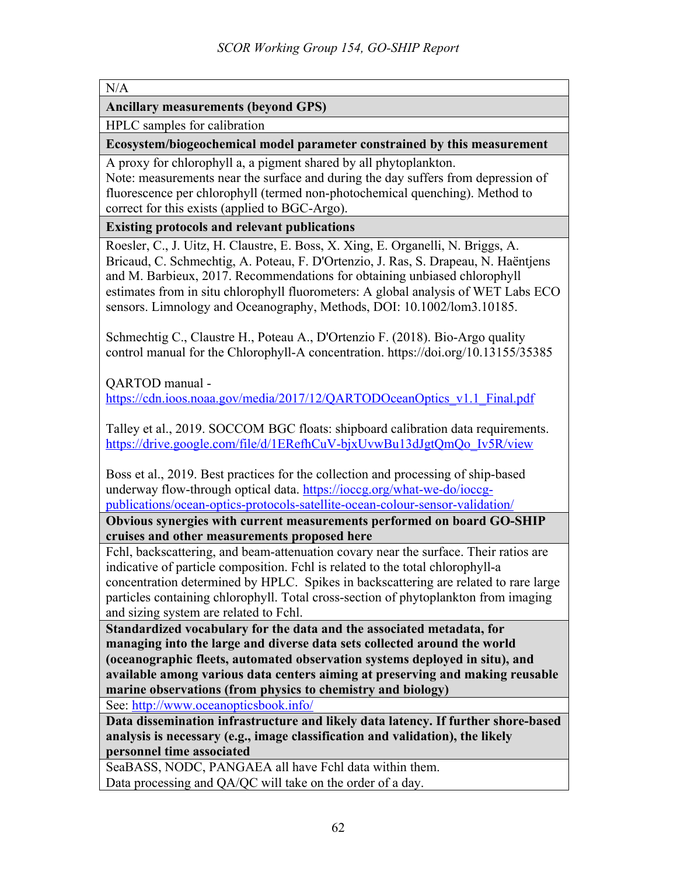**Ancillary measurements (beyond GPS)**

HPLC samples for calibration

**Ecosystem/biogeochemical model parameter constrained by this measurement**

A proxy for chlorophyll a, a pigment shared by all phytoplankton. Note: measurements near the surface and during the day suffers from depression of fluorescence per chlorophyll (termed non-photochemical quenching). Method to

correct for this exists (applied to BGC-Argo).

**Existing protocols and relevant publications**

Roesler, C., J. Uitz, H. Claustre, E. Boss, X. Xing, E. Organelli, N. Briggs, A. Bricaud, C. Schmechtig, A. Poteau, F. D'Ortenzio, J. Ras, S. Drapeau, N. Haëntjens and M. Barbieux, 2017. Recommendations for obtaining unbiased chlorophyll estimates from in situ chlorophyll fluorometers: A global analysis of WET Labs ECO sensors. Limnology and Oceanography, Methods, DOI: 10.1002/lom3.10185.

Schmechtig C., Claustre H., Poteau A., D'Ortenzio F. (2018). Bio-Argo quality control manual for the Chlorophyll-A concentration. https://doi.org/10.13155/35385

QARTOD manual https://cdn.ioos.noaa.gov/media/2017/12/QARTODOceanOptics\_v1.1\_Final.pdf

Talley et al., 2019. SOCCOM BGC floats: shipboard calibration data requirements. https://drive.google.com/file/d/1ERefhCuV-bjxUvwBu13dJgtQmQo\_Iv5R/view

Boss et al., 2019. Best practices for the collection and processing of ship-based underway flow-through optical data. https://ioccg.org/what-we-do/ioccgpublications/ocean-optics-protocols-satellite-ocean-colour-sensor-validation/

**Obvious synergies with current measurements performed on board GO-SHIP cruises and other measurements proposed here**

Fchl, backscattering, and beam-attenuation covary near the surface. Their ratios are indicative of particle composition. Fchl is related to the total chlorophyll-a concentration determined by HPLC. Spikes in backscattering are related to rare large particles containing chlorophyll. Total cross-section of phytoplankton from imaging and sizing system are related to Fchl.

**Standardized vocabulary for the data and the associated metadata, for managing into the large and diverse data sets collected around the world (oceanographic fleets, automated observation systems deployed in situ), and available among various data centers aiming at preserving and making reusable marine observations (from physics to chemistry and biology)**

See: http://www.oceanopticsbook.info/

**Data dissemination infrastructure and likely data latency. If further shore-based analysis is necessary (e.g., image classification and validation), the likely personnel time associated**

SeaBASS, NODC, PANGAEA all have Fchl data within them. Data processing and QA/QC will take on the order of a day.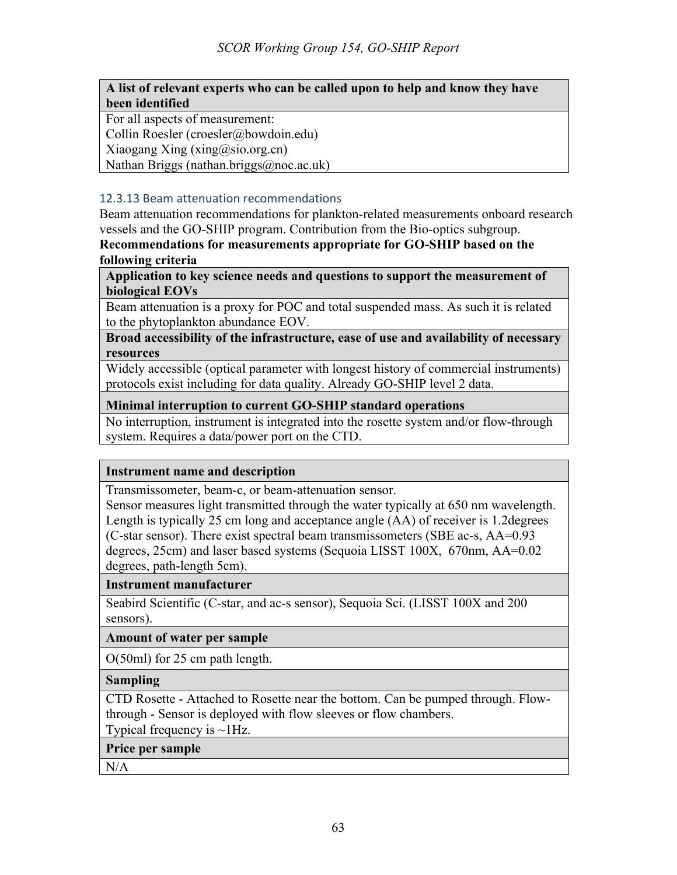## **A list of relevant experts who can be called upon to help and know they have been identified**

For all aspects of measurement:

Collin Roesler (croesler@bowdoin.edu)

Xiaogang Xing  $(xing@sio.org.cn)$ 

Nathan Briggs (nathan.briggs@noc.ac.uk)

#### 12.3.13 Beam attenuation recommendations

Beam attenuation recommendations for plankton-related measurements onboard research vessels and the GO-SHIP program. Contribution from the Bio-optics subgroup.

**Recommendations for measurements appropriate for GO-SHIP based on the following criteria**

**Application to key science needs and questions to support the measurement of biological EOVs**

Beam attenuation is a proxy for POC and total suspended mass. As such it is related to the phytoplankton abundance EOV.

**Broad accessibility of the infrastructure, ease of use and availability of necessary resources**

Widely accessible (optical parameter with longest history of commercial instruments) protocols exist including for data quality. Already GO-SHIP level 2 data.

## **Minimal interruption to current GO-SHIP standard operations**

No interruption, instrument is integrated into the rosette system and/or flow-through system. Requires a data/power port on the CTD.

## **Instrument name and description**

Transmissometer, beam-c, or beam-attenuation sensor.

Sensor measures light transmitted through the water typically at 650 nm wavelength. Length is typically 25 cm long and acceptance angle (AA) of receiver is 1.2degrees (C-star sensor). There exist spectral beam transmissometers (SBE ac-s, AA=0.93 degrees, 25cm) and laser based systems (Sequoia LISST 100X, 670nm, AA=0.02 degrees, path-length 5cm).

#### **Instrument manufacturer**

Seabird Scientific (C-star, and ac-s sensor), Sequoia Sci. (LISST 100X and 200 sensors).

**Amount of water per sample**

O(50ml) for 25 cm path length.

## **Sampling**

CTD Rosette - Attached to Rosette near the bottom. Can be pumped through. Flowthrough - Sensor is deployed with flow sleeves or flow chambers.

Typical frequency is  $\sim$ 1Hz.

**Price per sample**

N/A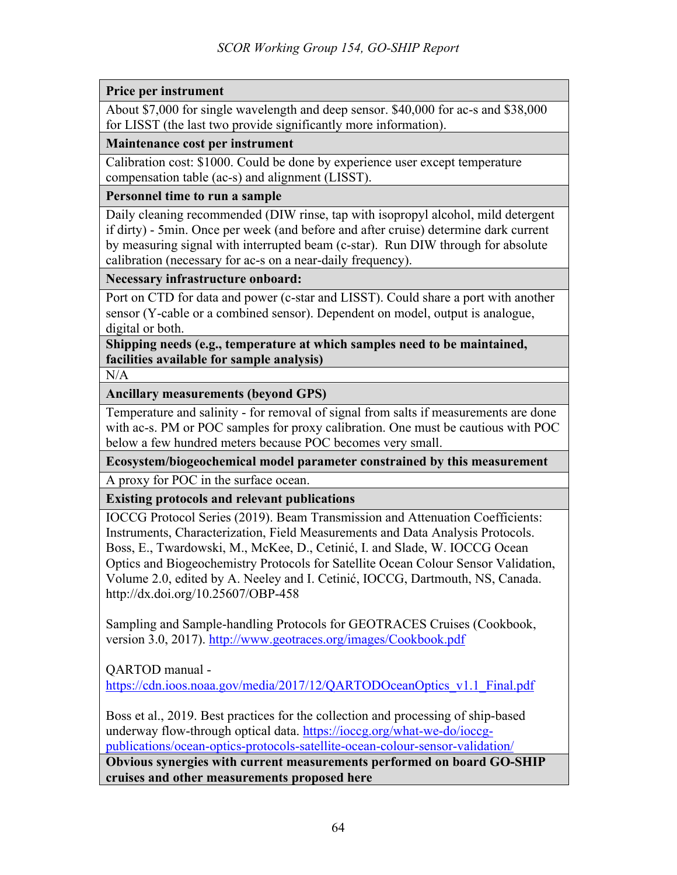# **Price per instrument**

About \$7,000 for single wavelength and deep sensor. \$40,000 for ac-s and \$38,000 for LISST (the last two provide significantly more information).

## **Maintenance cost per instrument**

Calibration cost: \$1000. Could be done by experience user except temperature compensation table (ac-s) and alignment (LISST).

#### **Personnel time to run a sample**

Daily cleaning recommended (DIW rinse, tap with isopropyl alcohol, mild detergent if dirty) - 5min. Once per week (and before and after cruise) determine dark current by measuring signal with interrupted beam (c-star). Run DIW through for absolute calibration (necessary for ac-s on a near-daily frequency).

#### **Necessary infrastructure onboard:**

Port on CTD for data and power (c-star and LISST). Could share a port with another sensor (Y-cable or a combined sensor). Dependent on model, output is analogue, digital or both.

**Shipping needs (e.g., temperature at which samples need to be maintained, facilities available for sample analysis)**

N/A

**Ancillary measurements (beyond GPS)**

Temperature and salinity - for removal of signal from salts if measurements are done with ac-s. PM or POC samples for proxy calibration. One must be cautious with POC below a few hundred meters because POC becomes very small.

**Ecosystem/biogeochemical model parameter constrained by this measurement**

A proxy for POC in the surface ocean.

**Existing protocols and relevant publications**

IOCCG Protocol Series (2019). Beam Transmission and Attenuation Coefficients: Instruments, Characterization, Field Measurements and Data Analysis Protocols. Boss, E., Twardowski, M., McKee, D., Cetinić, I. and Slade, W. IOCCG Ocean Optics and Biogeochemistry Protocols for Satellite Ocean Colour Sensor Validation, Volume 2.0, edited by A. Neeley and I. Cetinić, IOCCG, Dartmouth, NS, Canada. http://dx.doi.org/10.25607/OBP-458

Sampling and Sample-handling Protocols for GEOTRACES Cruises (Cookbook, version 3.0, 2017). http://www.geotraces.org/images/Cookbook.pdf

QARTOD manual -

https://cdn.ioos.noaa.gov/media/2017/12/QARTODOceanOptics\_v1.1\_Final.pdf

Boss et al., 2019. Best practices for the collection and processing of ship-based underway flow-through optical data. https://ioccg.org/what-we-do/ioccgpublications/ocean-optics-protocols-satellite-ocean-colour-sensor-validation/

**Obvious synergies with current measurements performed on board GO-SHIP cruises and other measurements proposed here**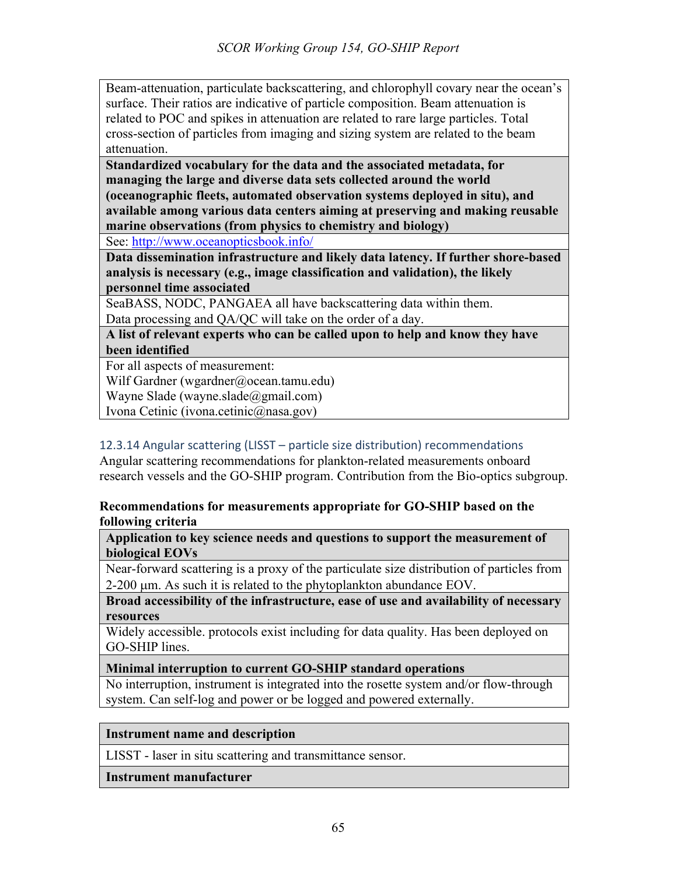Beam-attenuation, particulate backscattering, and chlorophyll covary near the ocean's surface. Their ratios are indicative of particle composition. Beam attenuation is related to POC and spikes in attenuation are related to rare large particles. Total cross-section of particles from imaging and sizing system are related to the beam attenuation.

**Standardized vocabulary for the data and the associated metadata, for managing the large and diverse data sets collected around the world (oceanographic fleets, automated observation systems deployed in situ), and available among various data centers aiming at preserving and making reusable marine observations (from physics to chemistry and biology)**

See: http://www.oceanopticsbook.info/

**Data dissemination infrastructure and likely data latency. If further shore-based analysis is necessary (e.g., image classification and validation), the likely personnel time associated**

SeaBASS, NODC, PANGAEA all have backscattering data within them. Data processing and QA/QC will take on the order of a day.

**A list of relevant experts who can be called upon to help and know they have been identified**

For all aspects of measurement:

Wilf Gardner (wgardner@ocean.tamu.edu)

Wayne Slade (wayne.slade@gmail.com)

Ivona Cetinic (ivona.cetinic@nasa.gov)

# 12.3.14 Angular scattering (LISST – particle size distribution) recommendations

Angular scattering recommendations for plankton-related measurements onboard research vessels and the GO-SHIP program. Contribution from the Bio-optics subgroup.

# **Recommendations for measurements appropriate for GO-SHIP based on the following criteria**

**Application to key science needs and questions to support the measurement of biological EOVs**

Near-forward scattering is a proxy of the particulate size distribution of particles from 2-200 µm. As such it is related to the phytoplankton abundance EOV.

**Broad accessibility of the infrastructure, ease of use and availability of necessary resources**

Widely accessible. protocols exist including for data quality. Has been deployed on GO-SHIP lines.

## **Minimal interruption to current GO-SHIP standard operations**

No interruption, instrument is integrated into the rosette system and/or flow-through system. Can self-log and power or be logged and powered externally.

## **Instrument name and description**

LISST - laser in situ scattering and transmittance sensor.

#### **Instrument manufacturer**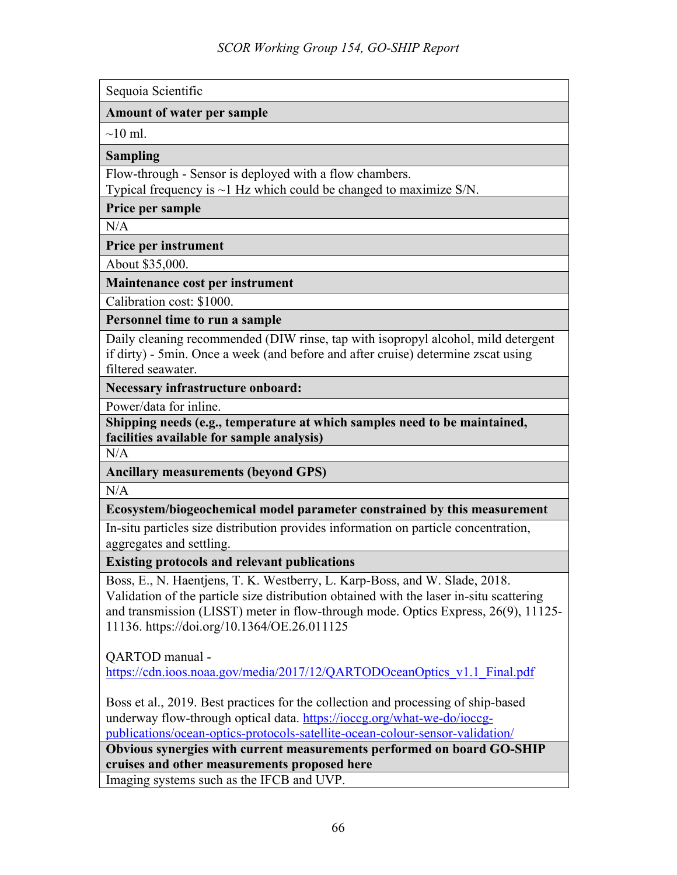Sequoia Scientific

#### **Amount of water per sample**

 $\sim$ 10 ml.

**Sampling**

Flow-through - Sensor is deployed with a flow chambers.

Typical frequency is  $\sim$ 1 Hz which could be changed to maximize S/N.

**Price per sample**

 $N/A$ 

**Price per instrument** 

About \$35,000.

**Maintenance cost per instrument**

Calibration cost: \$1000.

**Personnel time to run a sample**

Daily cleaning recommended (DIW rinse, tap with isopropyl alcohol, mild detergent if dirty) - 5min. Once a week (and before and after cruise) determine zscat using filtered seawater.

**Necessary infrastructure onboard:** 

Power/data for inline.

**Shipping needs (e.g., temperature at which samples need to be maintained, facilities available for sample analysis)**

 $N/A$ 

**Ancillary measurements (beyond GPS)**

 $N/A$ 

**Ecosystem/biogeochemical model parameter constrained by this measurement**

In-situ particles size distribution provides information on particle concentration, aggregates and settling.

**Existing protocols and relevant publications**

Boss, E., N. Haentjens, T. K. Westberry, L. Karp-Boss, and W. Slade, 2018. Validation of the particle size distribution obtained with the laser in-situ scattering and transmission (LISST) meter in flow-through mode. Optics Express, 26(9), 11125- 11136. https://doi.org/10.1364/OE.26.011125

QARTOD manual -

https://cdn.ioos.noaa.gov/media/2017/12/QARTODOceanOptics\_v1.1\_Final.pdf

Boss et al., 2019. Best practices for the collection and processing of ship-based underway flow-through optical data. https://ioccg.org/what-we-do/ioccgpublications/ocean-optics-protocols-satellite-ocean-colour-sensor-validation/

**Obvious synergies with current measurements performed on board GO-SHIP cruises and other measurements proposed here**

Imaging systems such as the IFCB and UVP.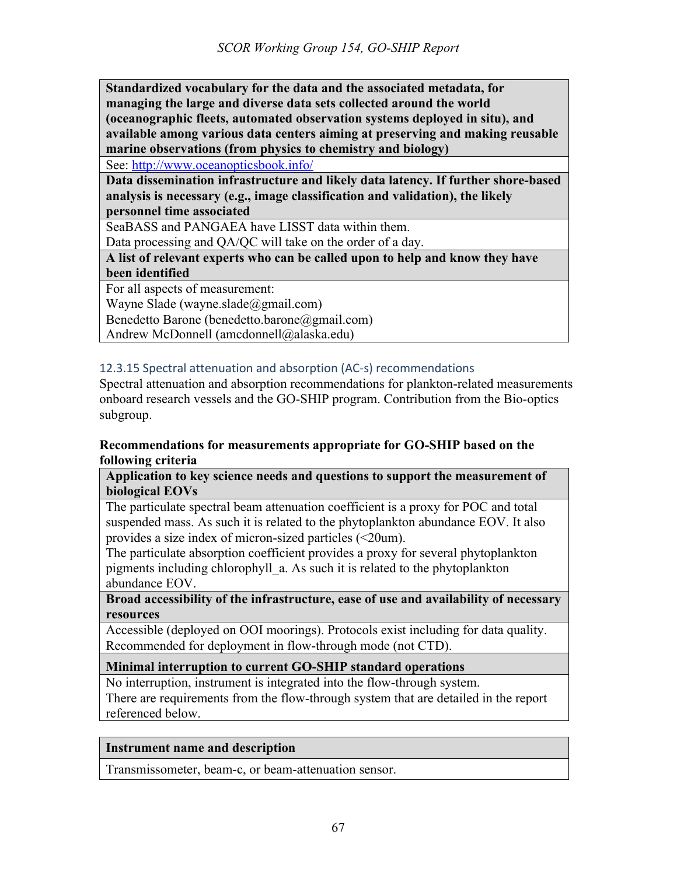**Standardized vocabulary for the data and the associated metadata, for managing the large and diverse data sets collected around the world (oceanographic fleets, automated observation systems deployed in situ), and available among various data centers aiming at preserving and making reusable marine observations (from physics to chemistry and biology)**

See: http://www.oceanopticsbook.info/

**Data dissemination infrastructure and likely data latency. If further shore-based analysis is necessary (e.g., image classification and validation), the likely personnel time associated**

SeaBASS and PANGAEA have LISST data within them.

Data processing and QA/QC will take on the order of a day.

**A list of relevant experts who can be called upon to help and know they have been identified**

For all aspects of measurement:

Wayne Slade (wayne.slade@gmail.com)

Benedetto Barone (benedetto.barone@gmail.com)

Andrew McDonnell (amcdonnell@alaska.edu)

#### 12.3.15 Spectral attenuation and absorption (AC-s) recommendations

Spectral attenuation and absorption recommendations for plankton-related measurements onboard research vessels and the GO-SHIP program. Contribution from the Bio-optics subgroup.

#### **Recommendations for measurements appropriate for GO-SHIP based on the following criteria**

**Application to key science needs and questions to support the measurement of biological EOVs**

The particulate spectral beam attenuation coefficient is a proxy for POC and total suspended mass. As such it is related to the phytoplankton abundance EOV. It also provides a size index of micron-sized particles (<20um).

The particulate absorption coefficient provides a proxy for several phytoplankton pigments including chlorophyll\_a. As such it is related to the phytoplankton abundance EOV.

**Broad accessibility of the infrastructure, ease of use and availability of necessary resources**

Accessible (deployed on OOI moorings). Protocols exist including for data quality. Recommended for deployment in flow-through mode (not CTD).

#### **Minimal interruption to current GO-SHIP standard operations**

No interruption, instrument is integrated into the flow-through system.

There are requirements from the flow-through system that are detailed in the report referenced below.

#### **Instrument name and description**

Transmissometer, beam-c, or beam-attenuation sensor.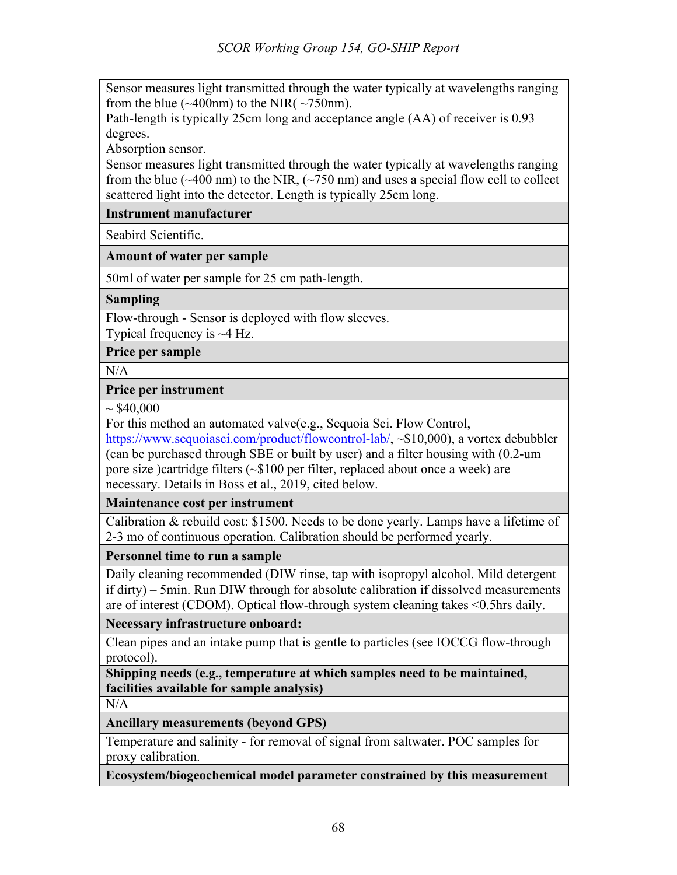Sensor measures light transmitted through the water typically at wavelengths ranging from the blue  $(\sim 400$ nm) to the NIR(  $\sim 750$ nm).

Path-length is typically 25cm long and acceptance angle (AA) of receiver is 0.93 degrees.

Absorption sensor.

Sensor measures light transmitted through the water typically at wavelengths ranging from the blue ( $\sim$ 400 nm) to the NIR, ( $\sim$ 750 nm) and uses a special flow cell to collect scattered light into the detector. Length is typically 25cm long.

**Instrument manufacturer**

Seabird Scientific.

**Amount of water per sample**

50ml of water per sample for 25 cm path-length.

**Sampling**

Flow-through - Sensor is deployed with flow sleeves.

Typical frequency is  $~\sim$ 4 Hz.

**Price per sample**

 $N/A$ 

**Price per instrument** 

 $\sim$  \$40,000

For this method an automated valve(e.g., Sequoia Sci. Flow Control,

https://www.sequoiasci.com/product/flowcontrol-lab/, ~\$10,000), a vortex debubbler (can be purchased through SBE or built by user) and a filter housing with (0.2-um pore size )cartridge filters (~\$100 per filter, replaced about once a week) are necessary. Details in Boss et al., 2019, cited below.

**Maintenance cost per instrument**

Calibration & rebuild cost: \$1500. Needs to be done yearly. Lamps have a lifetime of 2-3 mo of continuous operation. Calibration should be performed yearly.

**Personnel time to run a sample**

Daily cleaning recommended (DIW rinse, tap with isopropyl alcohol. Mild detergent if dirty) – 5min. Run DIW through for absolute calibration if dissolved measurements are of interest (CDOM). Optical flow-through system cleaning takes <0.5hrs daily.

**Necessary infrastructure onboard:** 

Clean pipes and an intake pump that is gentle to particles (see IOCCG flow-through protocol).

**Shipping needs (e.g., temperature at which samples need to be maintained, facilities available for sample analysis)**

N/A

**Ancillary measurements (beyond GPS)**

Temperature and salinity - for removal of signal from saltwater. POC samples for proxy calibration.

**Ecosystem/biogeochemical model parameter constrained by this measurement**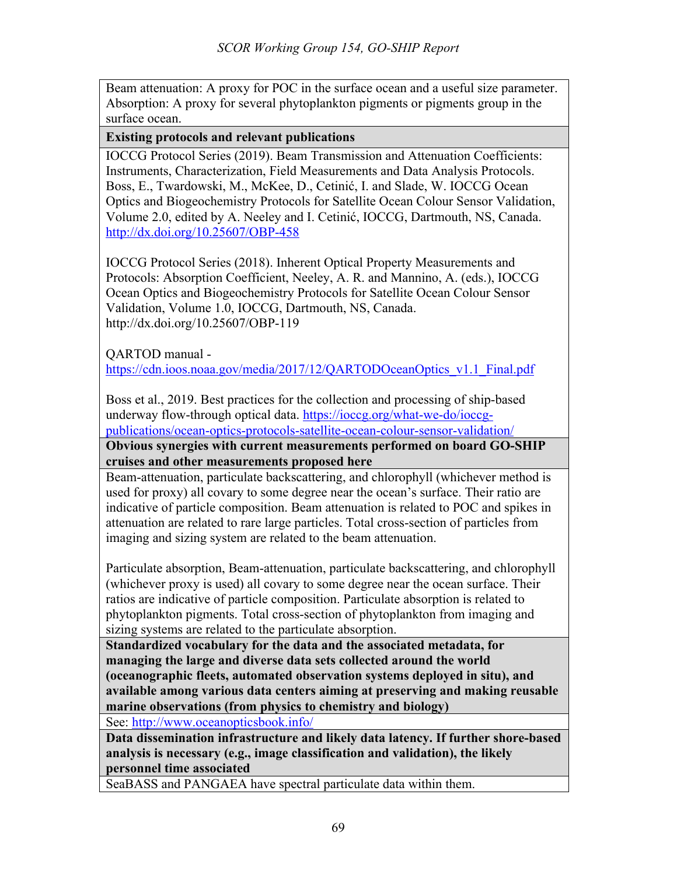Beam attenuation: A proxy for POC in the surface ocean and a useful size parameter. Absorption: A proxy for several phytoplankton pigments or pigments group in the surface ocean.

**Existing protocols and relevant publications**

IOCCG Protocol Series (2019). Beam Transmission and Attenuation Coefficients: Instruments, Characterization, Field Measurements and Data Analysis Protocols. Boss, E., Twardowski, M., McKee, D., Cetinić, I. and Slade, W. IOCCG Ocean Optics and Biogeochemistry Protocols for Satellite Ocean Colour Sensor Validation, Volume 2.0, edited by A. Neeley and I. Cetinić, IOCCG, Dartmouth, NS, Canada. http://dx.doi.org/10.25607/OBP-458

IOCCG Protocol Series (2018). Inherent Optical Property Measurements and Protocols: Absorption Coefficient, Neeley, A. R. and Mannino, A. (eds.), IOCCG Ocean Optics and Biogeochemistry Protocols for Satellite Ocean Colour Sensor Validation, Volume 1.0, IOCCG, Dartmouth, NS, Canada. http://dx.doi.org/10.25607/OBP-119

QARTOD manual -

https://cdn.ioos.noaa.gov/media/2017/12/QARTODOceanOptics\_v1.1\_Final.pdf

Boss et al., 2019. Best practices for the collection and processing of ship-based underway flow-through optical data. https://ioccg.org/what-we-do/ioccgpublications/ocean-optics-protocols-satellite-ocean-colour-sensor-validation/

**Obvious synergies with current measurements performed on board GO-SHIP cruises and other measurements proposed here**

Beam-attenuation, particulate backscattering, and chlorophyll (whichever method is used for proxy) all covary to some degree near the ocean's surface. Their ratio are indicative of particle composition. Beam attenuation is related to POC and spikes in attenuation are related to rare large particles. Total cross-section of particles from imaging and sizing system are related to the beam attenuation.

Particulate absorption, Beam-attenuation, particulate backscattering, and chlorophyll (whichever proxy is used) all covary to some degree near the ocean surface. Their ratios are indicative of particle composition. Particulate absorption is related to phytoplankton pigments. Total cross-section of phytoplankton from imaging and sizing systems are related to the particulate absorption.

**Standardized vocabulary for the data and the associated metadata, for managing the large and diverse data sets collected around the world (oceanographic fleets, automated observation systems deployed in situ), and available among various data centers aiming at preserving and making reusable marine observations (from physics to chemistry and biology)**

See: http://www.oceanopticsbook.info/

**Data dissemination infrastructure and likely data latency. If further shore-based analysis is necessary (e.g., image classification and validation), the likely personnel time associated**

SeaBASS and PANGAEA have spectral particulate data within them.